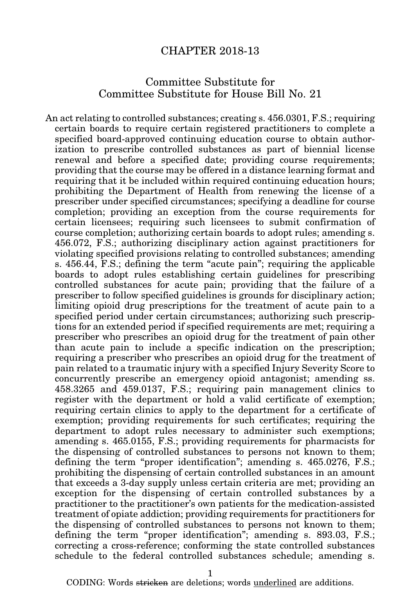# CHAPTER 2018-13

# Committee Substitute for Committee Substitute for House Bill No. 21

An act relating to controlled substances; creating s. 456.0301, F.S.; requiring certain boards to require certain registered practitioners to complete a specified board-approved continuing education course to obtain authorization to prescribe controlled substances as part of biennial license renewal and before a specified date; providing course requirements; providing that the course may be offered in a distance learning format and requiring that it be included within required continuing education hours; prohibiting the Department of Health from renewing the license of a prescriber under specified circumstances; specifying a deadline for course completion; providing an exception from the course requirements for certain licensees; requiring such licensees to submit confirmation of course completion; authorizing certain boards to adopt rules; amending s. 456.072, F.S.; authorizing disciplinary action against practitioners for violating specified provisions relating to controlled substances; amending s. 456.44, F.S.; defining the term "acute pain"; requiring the applicable boards to adopt rules establishing certain guidelines for prescribing controlled substances for acute pain; providing that the failure of a prescriber to follow specified guidelines is grounds for disciplinary action; limiting opioid drug prescriptions for the treatment of acute pain to a specified period under certain circumstances; authorizing such prescriptions for an extended period if specified requirements are met; requiring a prescriber who prescribes an opioid drug for the treatment of pain other than acute pain to include a specific indication on the prescription; requiring a prescriber who prescribes an opioid drug for the treatment of pain related to a traumatic injury with a specified Injury Severity Score to concurrently prescribe an emergency opioid antagonist; amending ss. 458.3265 and 459.0137, F.S.; requiring pain management clinics to register with the department or hold a valid certificate of exemption; requiring certain clinics to apply to the department for a certificate of exemption; providing requirements for such certificates; requiring the department to adopt rules necessary to administer such exemptions; amending s. 465.0155, F.S.; providing requirements for pharmacists for the dispensing of controlled substances to persons not known to them; defining the term "proper identification"; amending s. 465.0276, F.S.; prohibiting the dispensing of certain controlled substances in an amount that exceeds a 3-day supply unless certain criteria are met; providing an exception for the dispensing of certain controlled substances by a practitioner to the practitioner's own patients for the medication-assisted treatment of opiate addiction; providing requirements for practitioners for the dispensing of controlled substances to persons not known to them; defining the term "proper identification"; amending s. 893.03, F.S.; correcting a cross-reference; conforming the state controlled substances schedule to the federal controlled substances schedule; amending s.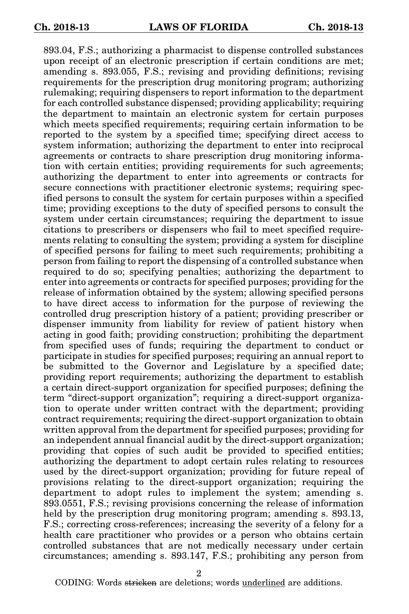893.04, F.S.; authorizing a pharmacist to dispense controlled substances upon receipt of an electronic prescription if certain conditions are met; amending s. 893.055, F.S.; revising and providing definitions; revising requirements for the prescription drug monitoring program; authorizing rulemaking; requiring dispensers to report information to the department for each controlled substance dispensed; providing applicability; requiring the department to maintain an electronic system for certain purposes which meets specified requirements; requiring certain information to be reported to the system by a specified time; specifying direct access to system information; authorizing the department to enter into reciprocal agreements or contracts to share prescription drug monitoring information with certain entities; providing requirements for such agreements; authorizing the department to enter into agreements or contracts for secure connections with practitioner electronic systems; requiring specified persons to consult the system for certain purposes within a specified time; providing exceptions to the duty of specified persons to consult the system under certain circumstances; requiring the department to issue citations to prescribers or dispensers who fail to meet specified requirements relating to consulting the system; providing a system for discipline of specified persons for failing to meet such requirements; prohibiting a person from failing to report the dispensing of a controlled substance when required to do so; specifying penalties; authorizing the department to enter into agreements or contracts for specified purposes; providing for the release of information obtained by the system; allowing specified persons to have direct access to information for the purpose of reviewing the controlled drug prescription history of a patient; providing prescriber or dispenser immunity from liability for review of patient history when acting in good faith; providing construction; prohibiting the department from specified uses of funds; requiring the department to conduct or participate in studies for specified purposes; requiring an annual report to be submitted to the Governor and Legislature by a specified date; providing report requirements; authorizing the department to establish a certain direct-support organization for specified purposes; defining the term "direct-support organization"; requiring a direct-support organization to operate under written contract with the department; providing contract requirements; requiring the direct-support organization to obtain written approval from the department for specified purposes; providing for an independent annual financial audit by the direct-support organization; providing that copies of such audit be provided to specified entities; authorizing the department to adopt certain rules relating to resources used by the direct-support organization; providing for future repeal of provisions relating to the direct-support organization; requiring the department to adopt rules to implement the system; amending s. 893.0551, F.S.; revising provisions concerning the release of information held by the prescription drug monitoring program; amending s. 893.13, F.S.; correcting cross-references; increasing the severity of a felony for a health care practitioner who provides or a person who obtains certain controlled substances that are not medically necessary under certain circumstances; amending s. 893.147, F.S.; prohibiting any person from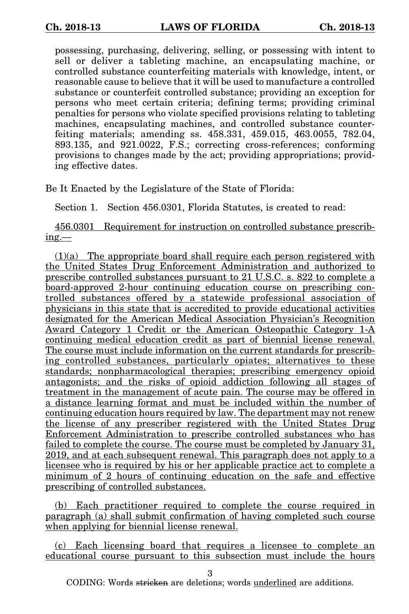possessing, purchasing, delivering, selling, or possessing with intent to sell or deliver a tableting machine, an encapsulating machine, or controlled substance counterfeiting materials with knowledge, intent, or reasonable cause to believe that it will be used to manufacture a controlled substance or counterfeit controlled substance; providing an exception for persons who meet certain criteria; defining terms; providing criminal penalties for persons who violate specified provisions relating to tableting machines, encapsulating machines, and controlled substance counterfeiting materials; amending ss. 458.331, 459.015, 463.0055, 782.04, 893.135, and 921.0022, F.S.; correcting cross-references; conforming provisions to changes made by the act; providing appropriations; providing effective dates.

Be It Enacted by the Legislature of the State of Florida:

Section 1. Section 456.0301, Florida Statutes, is created to read:

456.0301 Requirement for instruction on controlled substance prescribing.—

 $(1)(a)$  The appropriate board shall require each person registered with the United States Drug Enforcement Administration and authorized to prescribe controlled substances pursuant to 21 U.S.C. s. 822 to complete a board-approved 2-hour continuing education course on prescribing controlled substances offered by a statewide professional association of physicians in this state that is accredited to provide educational activities designated for the American Medical Association Physician's Recognition Award Category 1 Credit or the American Osteopathic Category 1-A continuing medical education credit as part of biennial license renewal. The course must include information on the current standards for prescribing controlled substances, particularly opiates; alternatives to these standards; nonpharmacological therapies; prescribing emergency opioid antagonists; and the risks of opioid addiction following all stages of treatment in the management of acute pain. The course may be offered in a distance learning format and must be included within the number of continuing education hours required by law. The department may not renew the license of any prescriber registered with the United States Drug Enforcement Administration to prescribe controlled substances who has failed to complete the course. The course must be completed by January 31, 2019, and at each subsequent renewal. This paragraph does not apply to a licensee who is required by his or her applicable practice act to complete a minimum of 2 hours of continuing education on the safe and effective prescribing of controlled substances.

(b) Each practitioner required to complete the course required in paragraph (a) shall submit confirmation of having completed such course when applying for biennial license renewal.

(c) Each licensing board that requires a licensee to complete an educational course pursuant to this subsection must include the hours

3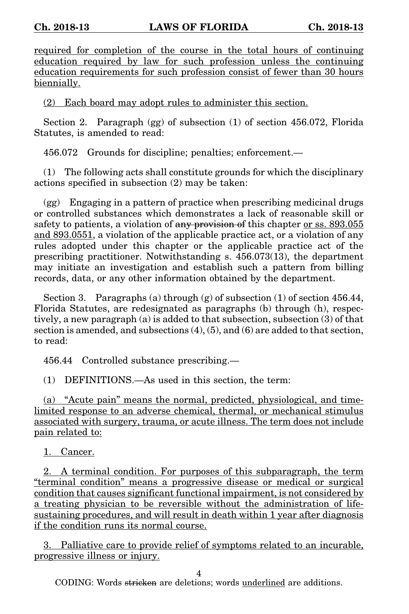required for completion of the course in the total hours of continuing education required by law for such profession unless the continuing education requirements for such profession consist of fewer than 30 hours biennially.

(2) Each board may adopt rules to administer this section.

Section 2. Paragraph (gg) of subsection (1) of section 456.072, Florida Statutes, is amended to read:

456.072 Grounds for discipline; penalties; enforcement.—

(1) The following acts shall constitute grounds for which the disciplinary actions specified in subsection (2) may be taken:

(gg) Engaging in a pattern of practice when prescribing medicinal drugs or controlled substances which demonstrates a lack of reasonable skill or safety to patients, a violation of any provision of this chapter or ss. 893.055 and 893.0551, a violation of the applicable practice act, or a violation of any rules adopted under this chapter or the applicable practice act of the prescribing practitioner. Notwithstanding s. 456.073(13), the department may initiate an investigation and establish such a pattern from billing records, data, or any other information obtained by the department.

Section 3. Paragraphs (a) through (g) of subsection  $(1)$  of section 456.44, Florida Statutes, are redesignated as paragraphs (b) through (h), respectively, a new paragraph (a) is added to that subsection, subsection (3) of that section is amended, and subsections (4), (5), and (6) are added to that section, to read:

456.44 Controlled substance prescribing.—

(1) DEFINITIONS.—As used in this section, the term:

(a) "Acute pain" means the normal, predicted, physiological, and timelimited response to an adverse chemical, thermal, or mechanical stimulus associated with surgery, trauma, or acute illness. The term does not include pain related to:

1. Cancer.

2. A terminal condition. For purposes of this subparagraph, the term "terminal condition" means a progressive disease or medical or surgical condition that causes significant functional impairment, is not considered by a treating physician to be reversible without the administration of lifesustaining procedures, and will result in death within 1 year after diagnosis if the condition runs its normal course.

3. Palliative care to provide relief of symptoms related to an incurable, progressive illness or injury.

4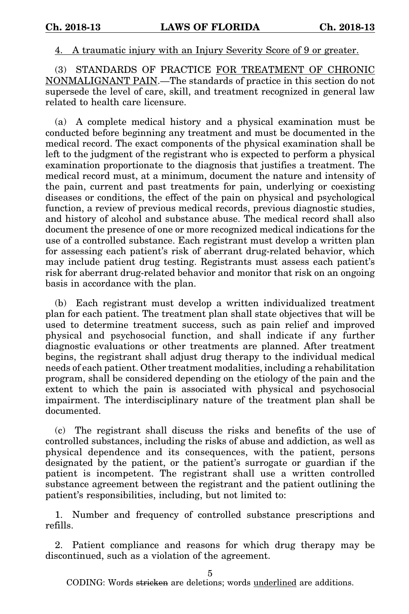### 4. A traumatic injury with an Injury Severity Score of 9 or greater.

(3) STANDARDS OF PRACTICE FOR TREATMENT OF CHRONIC NONMALIGNANT PAIN.—The standards of practice in this section do not supersede the level of care, skill, and treatment recognized in general law related to health care licensure.

(a) A complete medical history and a physical examination must be conducted before beginning any treatment and must be documented in the medical record. The exact components of the physical examination shall be left to the judgment of the registrant who is expected to perform a physical examination proportionate to the diagnosis that justifies a treatment. The medical record must, at a minimum, document the nature and intensity of the pain, current and past treatments for pain, underlying or coexisting diseases or conditions, the effect of the pain on physical and psychological function, a review of previous medical records, previous diagnostic studies, and history of alcohol and substance abuse. The medical record shall also document the presence of one or more recognized medical indications for the use of a controlled substance. Each registrant must develop a written plan for assessing each patient's risk of aberrant drug-related behavior, which may include patient drug testing. Registrants must assess each patient's risk for aberrant drug-related behavior and monitor that risk on an ongoing basis in accordance with the plan.

(b) Each registrant must develop a written individualized treatment plan for each patient. The treatment plan shall state objectives that will be used to determine treatment success, such as pain relief and improved physical and psychosocial function, and shall indicate if any further diagnostic evaluations or other treatments are planned. After treatment begins, the registrant shall adjust drug therapy to the individual medical needs of each patient. Other treatment modalities, including a rehabilitation program, shall be considered depending on the etiology of the pain and the extent to which the pain is associated with physical and psychosocial impairment. The interdisciplinary nature of the treatment plan shall be documented.

(c) The registrant shall discuss the risks and benefits of the use of controlled substances, including the risks of abuse and addiction, as well as physical dependence and its consequences, with the patient, persons designated by the patient, or the patient's surrogate or guardian if the patient is incompetent. The registrant shall use a written controlled substance agreement between the registrant and the patient outlining the patient's responsibilities, including, but not limited to:

1. Number and frequency of controlled substance prescriptions and refills.

2. Patient compliance and reasons for which drug therapy may be discontinued, such as a violation of the agreement.

5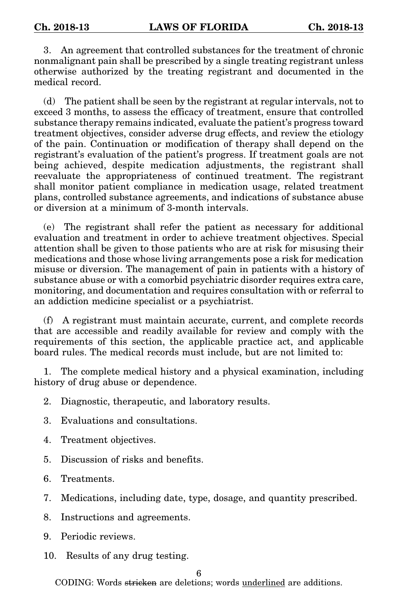3. An agreement that controlled substances for the treatment of chronic nonmalignant pain shall be prescribed by a single treating registrant unless otherwise authorized by the treating registrant and documented in the medical record.

(d) The patient shall be seen by the registrant at regular intervals, not to exceed 3 months, to assess the efficacy of treatment, ensure that controlled substance therapy remains indicated, evaluate the patient's progress toward treatment objectives, consider adverse drug effects, and review the etiology of the pain. Continuation or modification of therapy shall depend on the registrant's evaluation of the patient's progress. If treatment goals are not being achieved, despite medication adjustments, the registrant shall reevaluate the appropriateness of continued treatment. The registrant shall monitor patient compliance in medication usage, related treatment plans, controlled substance agreements, and indications of substance abuse or diversion at a minimum of 3-month intervals.

(e) The registrant shall refer the patient as necessary for additional evaluation and treatment in order to achieve treatment objectives. Special attention shall be given to those patients who are at risk for misusing their medications and those whose living arrangements pose a risk for medication misuse or diversion. The management of pain in patients with a history of substance abuse or with a comorbid psychiatric disorder requires extra care, monitoring, and documentation and requires consultation with or referral to an addiction medicine specialist or a psychiatrist.

(f) A registrant must maintain accurate, current, and complete records that are accessible and readily available for review and comply with the requirements of this section, the applicable practice act, and applicable board rules. The medical records must include, but are not limited to:

1. The complete medical history and a physical examination, including history of drug abuse or dependence.

- 2. Diagnostic, therapeutic, and laboratory results.
- 3. Evaluations and consultations.
- 4. Treatment objectives.
- 5. Discussion of risks and benefits.
- 6. Treatments.
- 7. Medications, including date, type, dosage, and quantity prescribed.
- 8. Instructions and agreements.
- 9. Periodic reviews.
- 10. Results of any drug testing.

### 6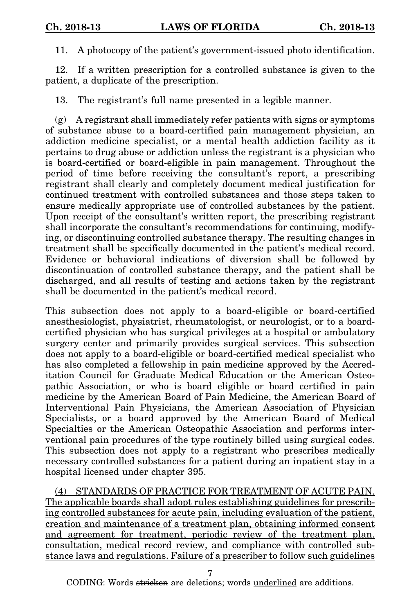11. A photocopy of the patient's government-issued photo identification.

12. If a written prescription for a controlled substance is given to the patient, a duplicate of the prescription.

13. The registrant's full name presented in a legible manner.

(g) A registrant shall immediately refer patients with signs or symptoms of substance abuse to a board-certified pain management physician, an addiction medicine specialist, or a mental health addiction facility as it pertains to drug abuse or addiction unless the registrant is a physician who is board-certified or board-eligible in pain management. Throughout the period of time before receiving the consultant's report, a prescribing registrant shall clearly and completely document medical justification for continued treatment with controlled substances and those steps taken to ensure medically appropriate use of controlled substances by the patient. Upon receipt of the consultant's written report, the prescribing registrant shall incorporate the consultant's recommendations for continuing, modifying, or discontinuing controlled substance therapy. The resulting changes in treatment shall be specifically documented in the patient's medical record. Evidence or behavioral indications of diversion shall be followed by discontinuation of controlled substance therapy, and the patient shall be discharged, and all results of testing and actions taken by the registrant shall be documented in the patient's medical record.

This subsection does not apply to a board-eligible or board-certified anesthesiologist, physiatrist, rheumatologist, or neurologist, or to a boardcertified physician who has surgical privileges at a hospital or ambulatory surgery center and primarily provides surgical services. This subsection does not apply to a board-eligible or board-certified medical specialist who has also completed a fellowship in pain medicine approved by the Accreditation Council for Graduate Medical Education or the American Osteopathic Association, or who is board eligible or board certified in pain medicine by the American Board of Pain Medicine, the American Board of Interventional Pain Physicians, the American Association of Physician Specialists, or a board approved by the American Board of Medical Specialties or the American Osteopathic Association and performs interventional pain procedures of the type routinely billed using surgical codes. This subsection does not apply to a registrant who prescribes medically necessary controlled substances for a patient during an inpatient stay in a hospital licensed under chapter 395.

(4) STANDARDS OF PRACTICE FOR TREATMENT OF ACUTE PAIN. The applicable boards shall adopt rules establishing guidelines for prescribing controlled substances for acute pain, including evaluation of the patient, creation and maintenance of a treatment plan, obtaining informed consent and agreement for treatment, periodic review of the treatment plan, consultation, medical record review, and compliance with controlled substance laws and regulations. Failure of a prescriber to follow such guidelines

7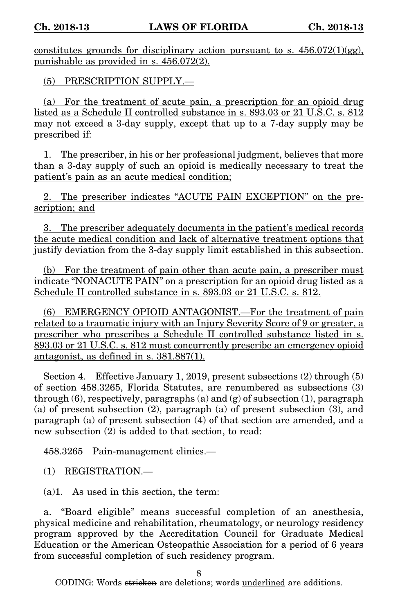constitutes grounds for disciplinary action pursuant to s.  $456.072(1)(gg)$ , punishable as provided in s. 456.072(2).

(5) PRESCRIPTION SUPPLY.—

(a) For the treatment of acute pain, a prescription for an opioid drug listed as a Schedule II controlled substance in s. 893.03 or 21 U.S.C. s. 812 may not exceed a 3-day supply, except that up to a 7-day supply may be prescribed if:

1. The prescriber, in his or her professional judgment, believes that more than a 3-day supply of such an opioid is medically necessary to treat the patient's pain as an acute medical condition;

The prescriber indicates "ACUTE PAIN EXCEPTION" on the prescription; and

3. The prescriber adequately documents in the patient's medical records the acute medical condition and lack of alternative treatment options that justify deviation from the 3-day supply limit established in this subsection.

(b) For the treatment of pain other than acute pain, a prescriber must indicate "NONACUTE PAIN" on a prescription for an opioid drug listed as a Schedule II controlled substance in s. 893.03 or 21 U.S.C. s. 812.

(6) EMERGENCY OPIOID ANTAGONIST.—For the treatment of pain related to a traumatic injury with an Injury Severity Score of 9 or greater, a prescriber who prescribes a Schedule II controlled substance listed in s. 893.03 or 21 U.S.C. s. 812 must concurrently prescribe an emergency opioid antagonist, as defined in s. 381.887(1).

Section 4. Effective January 1, 2019, present subsections (2) through (5) of section 458.3265, Florida Statutes, are renumbered as subsections (3) through (6), respectively, paragraphs (a) and (g) of subsection (1), paragraph (a) of present subsection (2), paragraph (a) of present subsection (3), and paragraph (a) of present subsection (4) of that section are amended, and a new subsection (2) is added to that section, to read:

458.3265 Pain-management clinics.—

(1) REGISTRATION.—

(a)1. As used in this section, the term:

a. "Board eligible" means successful completion of an anesthesia, physical medicine and rehabilitation, rheumatology, or neurology residency program approved by the Accreditation Council for Graduate Medical Education or the American Osteopathic Association for a period of 6 years from successful completion of such residency program.

8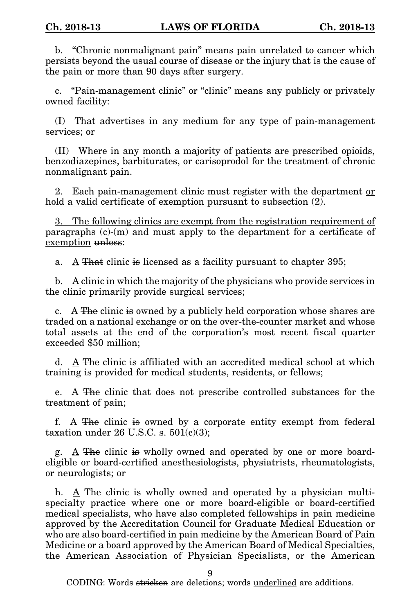b. "Chronic nonmalignant pain" means pain unrelated to cancer which persists beyond the usual course of disease or the injury that is the cause of the pain or more than 90 days after surgery.

c. "Pain-management clinic" or "clinic" means any publicly or privately owned facility:

(I) That advertises in any medium for any type of pain-management services; or

(II) Where in any month a majority of patients are prescribed opioids, benzodiazepines, barbiturates, or carisoprodol for the treatment of chronic nonmalignant pain.

2. Each pain-management clinic must register with the department or hold a valid certificate of exemption pursuant to subsection  $(2)$ .

3. The following clinics are exempt from the registration requirement of paragraphs  $(c)$ - $(m)$  and must apply to the department for a certificate of exemption unless:

a.  $\Delta$  That clinic is licensed as a facility pursuant to chapter 395;

b. A clinic in which the majority of the physicians who provide services in the clinic primarily provide surgical services;

c. A The clinic is owned by a publicly held corporation whose shares are traded on a national exchange or on the over-the-counter market and whose total assets at the end of the corporation's most recent fiscal quarter exceeded \$50 million;

d. A The clinic is affiliated with an accredited medical school at which training is provided for medical students, residents, or fellows;

e. A The clinic that does not prescribe controlled substances for the treatment of pain;

f. A The clinic is owned by a corporate entity exempt from federal taxation under 26 U.S.C. s.  $501(c)(3)$ ;

g. A The clinic is wholly owned and operated by one or more boardeligible or board-certified anesthesiologists, physiatrists, rheumatologists, or neurologists; or

h. A The clinic is wholly owned and operated by a physician multispecialty practice where one or more board-eligible or board-certified medical specialists, who have also completed fellowships in pain medicine approved by the Accreditation Council for Graduate Medical Education or who are also board-certified in pain medicine by the American Board of Pain Medicine or a board approved by the American Board of Medical Specialties, the American Association of Physician Specialists, or the American

9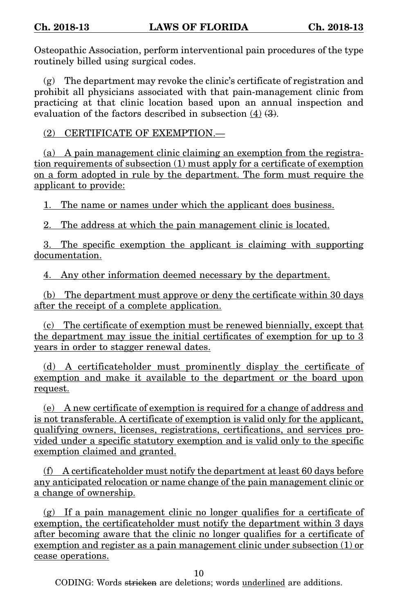Osteopathic Association, perform interventional pain procedures of the type routinely billed using surgical codes.

(g) The department may revoke the clinic's certificate of registration and prohibit all physicians associated with that pain-management clinic from practicing at that clinic location based upon an annual inspection and evaluation of the factors described in subsection (4) (3).

(2) CERTIFICATE OF EXEMPTION.—

(a) A pain management clinic claiming an exemption from the registration requirements of subsection (1) must apply for a certificate of exemption on a form adopted in rule by the department. The form must require the applicant to provide:

1. The name or names under which the applicant does business.

2. The address at which the pain management clinic is located.

3. The specific exemption the applicant is claiming with supporting documentation.

4. Any other information deemed necessary by the department.

(b) The department must approve or deny the certificate within 30 days after the receipt of a complete application.

(c) The certificate of exemption must be renewed biennially, except that the department may issue the initial certificates of exemption for up to 3 years in order to stagger renewal dates.

(d) A certificateholder must prominently display the certificate of exemption and make it available to the department or the board upon request.

(e) A new certificate of exemption is required for a change of address and is not transferable. A certificate of exemption is valid only for the applicant, qualifying owners, licenses, registrations, certifications, and services provided under a specific statutory exemption and is valid only to the specific exemption claimed and granted.

(f) A certificateholder must notify the department at least 60 days before any anticipated relocation or name change of the pain management clinic or a change of ownership.

(g) If a pain management clinic no longer qualifies for a certificate of exemption, the certificateholder must notify the department within 3 days after becoming aware that the clinic no longer qualifies for a certificate of exemption and register as a pain management clinic under subsection (1) or cease operations.

10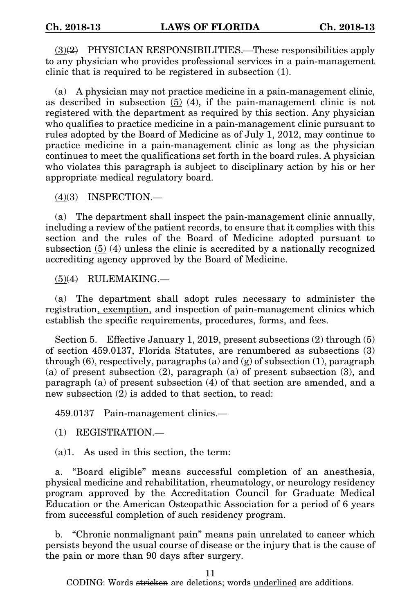$(3)(2)$  PHYSICIAN RESPONSIBILITIES.—These responsibilities apply to any physician who provides professional services in a pain-management clinic that is required to be registered in subsection (1).

(a) A physician may not practice medicine in a pain-management clinic, as described in subsection (5) (4), if the pain-management clinic is not registered with the department as required by this section. Any physician who qualifies to practice medicine in a pain-management clinic pursuant to rules adopted by the Board of Medicine as of July 1, 2012, may continue to practice medicine in a pain-management clinic as long as the physician continues to meet the qualifications set forth in the board rules. A physician who violates this paragraph is subject to disciplinary action by his or her appropriate medical regulatory board.

 $(4)(3)$  INSPECTION.—

(a) The department shall inspect the pain-management clinic annually, including a review of the patient records, to ensure that it complies with this section and the rules of the Board of Medicine adopted pursuant to subsection  $(5)$   $(4)$  unless the clinic is accredited by a nationally recognized accrediting agency approved by the Board of Medicine.

 $(5)(4)$  RULEMAKING.

(a) The department shall adopt rules necessary to administer the registration, exemption, and inspection of pain-management clinics which establish the specific requirements, procedures, forms, and fees.

Section 5. Effective January 1, 2019, present subsections (2) through (5) of section 459.0137, Florida Statutes, are renumbered as subsections (3) through  $(6)$ , respectively, paragraphs  $(a)$  and  $(g)$  of subsection  $(1)$ , paragraph (a) of present subsection (2), paragraph (a) of present subsection (3), and paragraph (a) of present subsection (4) of that section are amended, and a new subsection (2) is added to that section, to read:

459.0137 Pain-management clinics.—

(1) REGISTRATION.—

(a)1. As used in this section, the term:

a. "Board eligible" means successful completion of an anesthesia, physical medicine and rehabilitation, rheumatology, or neurology residency program approved by the Accreditation Council for Graduate Medical Education or the American Osteopathic Association for a period of 6 years from successful completion of such residency program.

b. "Chronic nonmalignant pain" means pain unrelated to cancer which persists beyond the usual course of disease or the injury that is the cause of the pain or more than 90 days after surgery.

11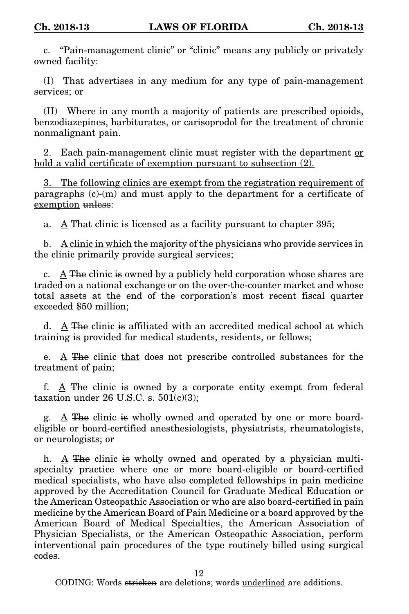c. "Pain-management clinic" or "clinic" means any publicly or privately owned facility:

(I) That advertises in any medium for any type of pain-management services; or

(II) Where in any month a majority of patients are prescribed opioids, benzodiazepines, barbiturates, or carisoprodol for the treatment of chronic nonmalignant pain.

2. Each pain-management clinic must register with the department or hold a valid certificate of exemption pursuant to subsection (2).

3. The following clinics are exempt from the registration requirement of paragraphs  $(c)$ - $(m)$  and must apply to the department for a certificate of exemption unless:

a. A That clinic is licensed as a facility pursuant to chapter 395;

b. A clinic in which the majority of the physicians who provide services in the clinic primarily provide surgical services;

c. A The clinic is owned by a publicly held corporation whose shares are traded on a national exchange or on the over-the-counter market and whose total assets at the end of the corporation's most recent fiscal quarter exceeded \$50 million;

d.  $\Delta$  The clinic is affiliated with an accredited medical school at which training is provided for medical students, residents, or fellows;

e. A The clinic that does not prescribe controlled substances for the treatment of pain;

f. A The clinic is owned by a corporate entity exempt from federal taxation under  $26$  U.S.C. s.  $501(c)(3)$ ;

g.  $\Delta$  The clinic is wholly owned and operated by one or more boardeligible or board-certified anesthesiologists, physiatrists, rheumatologists, or neurologists; or

h. A The clinic is wholly owned and operated by a physician multispecialty practice where one or more board-eligible or board-certified medical specialists, who have also completed fellowships in pain medicine approved by the Accreditation Council for Graduate Medical Education or the American Osteopathic Association or who are also board-certified in pain medicine by the American Board of Pain Medicine or a board approved by the American Board of Medical Specialties, the American Association of Physician Specialists, or the American Osteopathic Association, perform interventional pain procedures of the type routinely billed using surgical codes.

12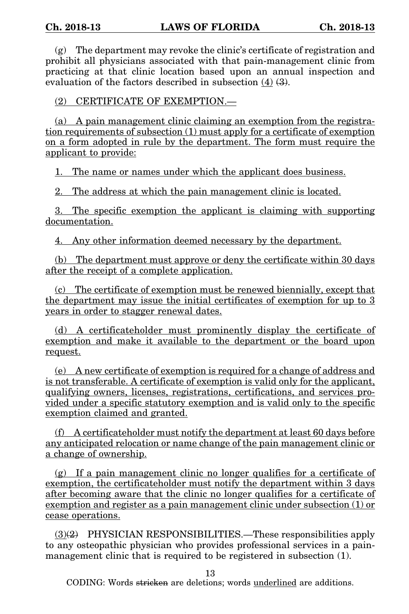(g) The department may revoke the clinic's certificate of registration and prohibit all physicians associated with that pain-management clinic from practicing at that clinic location based upon an annual inspection and evaluation of the factors described in subsection  $(4)$   $(3)$ .

(2) CERTIFICATE OF EXEMPTION.—

(a) A pain management clinic claiming an exemption from the registration requirements of subsection (1) must apply for a certificate of exemption on a form adopted in rule by the department. The form must require the applicant to provide:

1. The name or names under which the applicant does business.

2. The address at which the pain management clinic is located.

3. The specific exemption the applicant is claiming with supporting documentation.

4. Any other information deemed necessary by the department.

(b) The department must approve or deny the certificate within 30 days after the receipt of a complete application.

(c) The certificate of exemption must be renewed biennially, except that the department may issue the initial certificates of exemption for up to 3 years in order to stagger renewal dates.

(d) A certificateholder must prominently display the certificate of exemption and make it available to the department or the board upon request.

(e) A new certificate of exemption is required for a change of address and is not transferable. A certificate of exemption is valid only for the applicant, qualifying owners, licenses, registrations, certifications, and services provided under a specific statutory exemption and is valid only to the specific exemption claimed and granted.

(f) A certificateholder must notify the department at least 60 days before any anticipated relocation or name change of the pain management clinic or a change of ownership.

 $(g)$  If a pain management clinic no longer qualifies for a certificate of exemption, the certificateholder must notify the department within 3 days after becoming aware that the clinic no longer qualifies for a certificate of exemption and register as a pain management clinic under subsection (1) or cease operations.

 $(3)(2)$  PHYSICIAN RESPONSIBILITIES.—These responsibilities apply to any osteopathic physician who provides professional services in a painmanagement clinic that is required to be registered in subsection (1).

13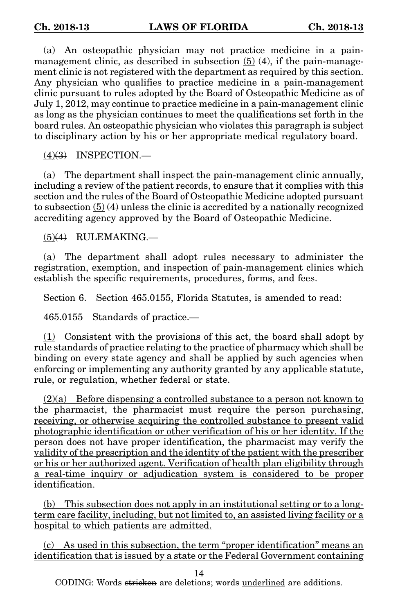(a) An osteopathic physician may not practice medicine in a painmanagement clinic, as described in subsection  $(5)$   $(4)$ , if the pain-management clinic is not registered with the department as required by this section. Any physician who qualifies to practice medicine in a pain-management clinic pursuant to rules adopted by the Board of Osteopathic Medicine as of July 1, 2012, may continue to practice medicine in a pain-management clinic as long as the physician continues to meet the qualifications set forth in the board rules. An osteopathic physician who violates this paragraph is subject to disciplinary action by his or her appropriate medical regulatory board.

 $(4)(3)$  INSPECTION.—

(a) The department shall inspect the pain-management clinic annually, including a review of the patient records, to ensure that it complies with this section and the rules of the Board of Osteopathic Medicine adopted pursuant to subsection  $(5)$  (4) unless the clinic is accredited by a nationally recognized accrediting agency approved by the Board of Osteopathic Medicine.

 $(5)(4)$  RULEMAKING.

(a) The department shall adopt rules necessary to administer the registration, exemption, and inspection of pain-management clinics which establish the specific requirements, procedures, forms, and fees.

Section 6. Section 465.0155, Florida Statutes, is amended to read:

465.0155 Standards of practice.—

(1) Consistent with the provisions of this act, the board shall adopt by rule standards of practice relating to the practice of pharmacy which shall be binding on every state agency and shall be applied by such agencies when enforcing or implementing any authority granted by any applicable statute, rule, or regulation, whether federal or state.

 $(2)(a)$  Before dispensing a controlled substance to a person not known to the pharmacist, the pharmacist must require the person purchasing, receiving, or otherwise acquiring the controlled substance to present valid photographic identification or other verification of his or her identity. If the person does not have proper identification, the pharmacist may verify the validity of the prescription and the identity of the patient with the prescriber or his or her authorized agent. Verification of health plan eligibility through a real-time inquiry or adjudication system is considered to be proper identification.

(b) This subsection does not apply in an institutional setting or to a longterm care facility, including, but not limited to, an assisted living facility or a hospital to which patients are admitted.

(c) As used in this subsection, the term "proper identification" means an identification that is issued by a state or the Federal Government containing

14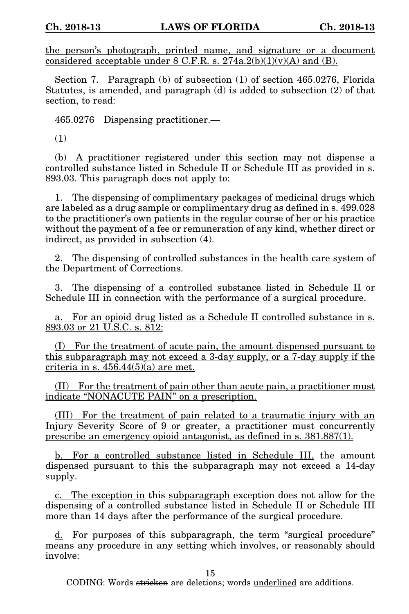the person's photograph, printed name, and signature or a document considered acceptable under  $8$  C.F.R. s.  $274a.2(b)(1)(v)(A)$  and (B).

Section 7. Paragraph (b) of subsection (1) of section 465.0276, Florida Statutes, is amended, and paragraph (d) is added to subsection (2) of that section, to read:

465.0276 Dispensing practitioner.—

(1)

(b) A practitioner registered under this section may not dispense a controlled substance listed in Schedule II or Schedule III as provided in s. 893.03. This paragraph does not apply to:

1. The dispensing of complimentary packages of medicinal drugs which are labeled as a drug sample or complimentary drug as defined in s. 499.028 to the practitioner's own patients in the regular course of her or his practice without the payment of a fee or remuneration of any kind, whether direct or indirect, as provided in subsection (4).

2. The dispensing of controlled substances in the health care system of the Department of Corrections.

3. The dispensing of a controlled substance listed in Schedule II or Schedule III in connection with the performance of a surgical procedure.

a. For an opioid drug listed as a Schedule II controlled substance in s. 893.03 or 21 U.S.C. s. 812:

(I) For the treatment of acute pain, the amount dispensed pursuant to this subparagraph may not exceed a 3-day supply, or a 7-day supply if the criteria in s.  $456.44(5)(a)$  are met.

(II) For the treatment of pain other than acute pain, a practitioner must indicate "NONACUTE PAIN" on a prescription.

(III) For the treatment of pain related to a traumatic injury with an Injury Severity Score of 9 or greater, a practitioner must concurrently prescribe an emergency opioid antagonist, as defined in s. 381.887(1).

b. For a controlled substance listed in Schedule III, the amount dispensed pursuant to this the subparagraph may not exceed a 14-day supply.

c. The exception in this subparagraph exception does not allow for the dispensing of a controlled substance listed in Schedule II or Schedule III more than 14 days after the performance of the surgical procedure.

d. For purposes of this subparagraph, the term "surgical procedure" means any procedure in any setting which involves, or reasonably should involve:

15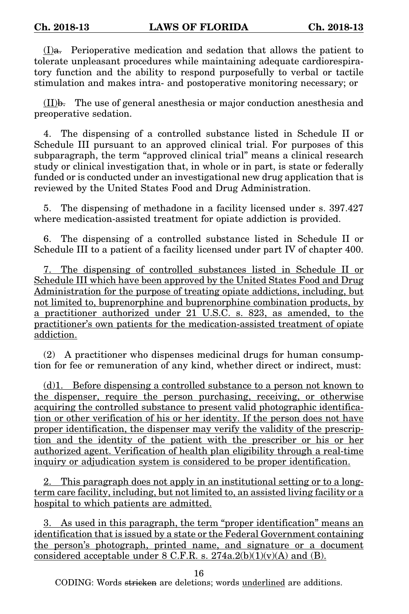$(I)$ a. Perioperative medication and sedation that allows the patient to tolerate unpleasant procedures while maintaining adequate cardiorespiratory function and the ability to respond purposefully to verbal or tactile stimulation and makes intra- and postoperative monitoring necessary; or

(II)b. The use of general anesthesia or major conduction anesthesia and preoperative sedation.

4. The dispensing of a controlled substance listed in Schedule II or Schedule III pursuant to an approved clinical trial. For purposes of this subparagraph, the term "approved clinical trial" means a clinical research study or clinical investigation that, in whole or in part, is state or federally funded or is conducted under an investigational new drug application that is reviewed by the United States Food and Drug Administration.

5. The dispensing of methadone in a facility licensed under s. 397.427 where medication-assisted treatment for opiate addiction is provided.

6. The dispensing of a controlled substance listed in Schedule II or Schedule III to a patient of a facility licensed under part IV of chapter 400.

7. The dispensing of controlled substances listed in Schedule II or Schedule III which have been approved by the United States Food and Drug Administration for the purpose of treating opiate addictions, including, but not limited to, buprenorphine and buprenorphine combination products, by a practitioner authorized under 21 U.S.C. s. 823, as amended, to the practitioner's own patients for the medication-assisted treatment of opiate addiction.

(2) A practitioner who dispenses medicinal drugs for human consumption for fee or remuneration of any kind, whether direct or indirect, must:

(d)1. Before dispensing a controlled substance to a person not known to the dispenser, require the person purchasing, receiving, or otherwise acquiring the controlled substance to present valid photographic identification or other verification of his or her identity. If the person does not have proper identification, the dispenser may verify the validity of the prescription and the identity of the patient with the prescriber or his or her authorized agent. Verification of health plan eligibility through a real-time inquiry or adjudication system is considered to be proper identification.

2. This paragraph does not apply in an institutional setting or to a longterm care facility, including, but not limited to, an assisted living facility or a hospital to which patients are admitted.

3. As used in this paragraph, the term "proper identification" means an identification that is issued by a state or the Federal Government containing the person's photograph, printed name, and signature or a document considered acceptable under  $8$  C.F.R. s.  $274a.2(b)(1)(v)(A)$  and (B).

16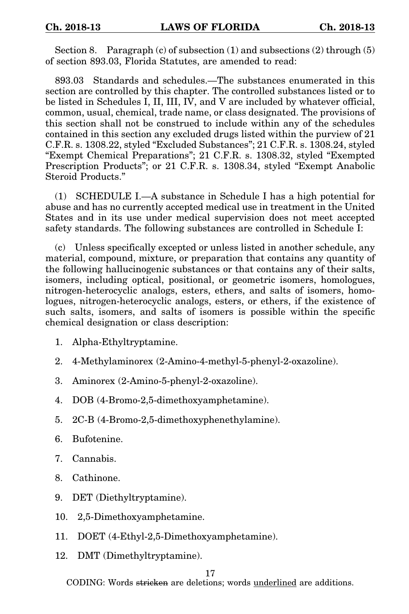Section 8. Paragraph  $(c)$  of subsection  $(1)$  and subsections  $(2)$  through  $(5)$ of section 893.03, Florida Statutes, are amended to read:

893.03 Standards and schedules.—The substances enumerated in this section are controlled by this chapter. The controlled substances listed or to be listed in Schedules I, II, III, IV, and V are included by whatever official, common, usual, chemical, trade name, or class designated. The provisions of this section shall not be construed to include within any of the schedules contained in this section any excluded drugs listed within the purview of 21 C.F.R. s. 1308.22, styled "Excluded Substances"; 21 C.F.R. s. 1308.24, styled "Exempt Chemical Preparations"; 21 C.F.R. s. 1308.32, styled "Exempted Prescription Products"; or 21 C.F.R. s. 1308.34, styled "Exempt Anabolic Steroid Products."

(1) SCHEDULE I.—A substance in Schedule I has a high potential for abuse and has no currently accepted medical use in treatment in the United States and in its use under medical supervision does not meet accepted safety standards. The following substances are controlled in Schedule I:

(c) Unless specifically excepted or unless listed in another schedule, any material, compound, mixture, or preparation that contains any quantity of the following hallucinogenic substances or that contains any of their salts, isomers, including optical, positional, or geometric isomers, homologues, nitrogen-heterocyclic analogs, esters, ethers, and salts of isomers, homologues, nitrogen-heterocyclic analogs, esters, or ethers, if the existence of such salts, isomers, and salts of isomers is possible within the specific chemical designation or class description:

- 1. Alpha-Ethyltryptamine.
- 2. 4-Methylaminorex (2-Amino-4-methyl-5-phenyl-2-oxazoline).
- 3. Aminorex (2-Amino-5-phenyl-2-oxazoline).
- 4. DOB (4-Bromo-2,5-dimethoxyamphetamine).
- 5. 2C-B (4-Bromo-2,5-dimethoxyphenethylamine).
- 6. Bufotenine.
- 7. Cannabis.
- 8. Cathinone.
- 9. DET (Diethyltryptamine).
- 10. 2,5-Dimethoxyamphetamine.
- 11. DOET (4-Ethyl-2,5-Dimethoxyamphetamine).
- 12. DMT (Dimethyltryptamine).

17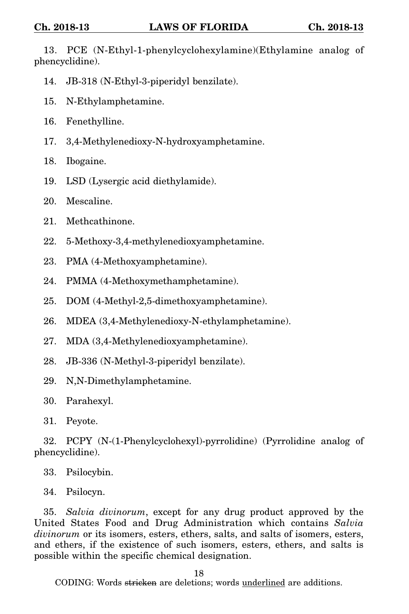13. PCE (N-Ethyl-1-phenylcyclohexylamine)(Ethylamine analog of phencyclidine).

- 14. JB-318 (N-Ethyl-3-piperidyl benzilate).
- 15. N-Ethylamphetamine.
- 16. Fenethylline.
- 17. 3,4-Methylenedioxy-N-hydroxyamphetamine.
- 18. Ibogaine.
- 19. LSD (Lysergic acid diethylamide).
- 20. Mescaline.
- 21. Methcathinone.
- 22. 5-Methoxy-3,4-methylenedioxyamphetamine.
- 23. PMA (4-Methoxyamphetamine).
- 24. PMMA (4-Methoxymethamphetamine).
- 25. DOM (4-Methyl-2,5-dimethoxyamphetamine).
- 26. MDEA (3,4-Methylenedioxy-N-ethylamphetamine).
- 27. MDA (3,4-Methylenedioxyamphetamine).
- 28. JB-336 (N-Methyl-3-piperidyl benzilate).
- 29. N,N-Dimethylamphetamine.
- 30. Parahexyl.
- 31. Peyote.

32. PCPY (N-(1-Phenylcyclohexyl)-pyrrolidine) (Pyrrolidine analog of phencyclidine).

- 33. Psilocybin.
- 34. Psilocyn.

35. *Salvia divinorum*, except for any drug product approved by the United States Food and Drug Administration which contains *Salvia divinorum* or its isomers, esters, ethers, salts, and salts of isomers, esters, and ethers, if the existence of such isomers, esters, ethers, and salts is possible within the specific chemical designation.

18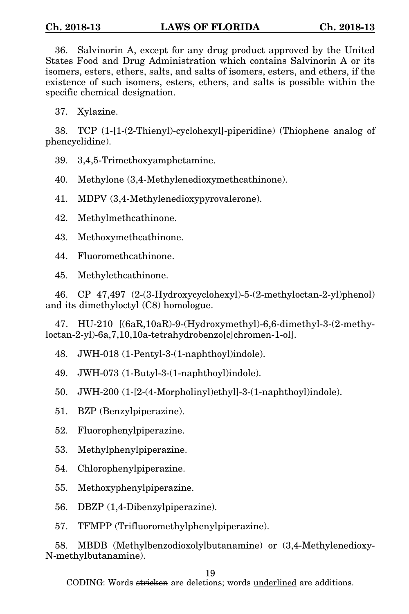36. Salvinorin A, except for any drug product approved by the United States Food and Drug Administration which contains Salvinorin A or its isomers, esters, ethers, salts, and salts of isomers, esters, and ethers, if the existence of such isomers, esters, ethers, and salts is possible within the specific chemical designation.

37. Xylazine.

38. TCP (1-[1-(2-Thienyl)-cyclohexyl]-piperidine) (Thiophene analog of phencyclidine).

39. 3,4,5-Trimethoxyamphetamine.

40. Methylone (3,4-Methylenedioxymethcathinone).

41. MDPV (3,4-Methylenedioxypyrovalerone).

42. Methylmethcathinone.

43. Methoxymethcathinone.

44. Fluoromethcathinone.

45. Methylethcathinone.

46. CP 47,497 (2-(3-Hydroxycyclohexyl)-5-(2-methyloctan-2-yl)phenol) and its dimethyloctyl (C8) homologue.

47. HU-210 [(6aR,10aR)-9-(Hydroxymethyl)-6,6-dimethyl-3-(2-methyloctan-2-yl)-6a,7,10,10a-tetrahydrobenzo[c]chromen-1-ol].

48. JWH-018 (1-Pentyl-3-(1-naphthoyl)indole).

49. JWH-073 (1-Butyl-3-(1-naphthoyl)indole).

50. JWH-200 (1-[2-(4-Morpholinyl)ethyl]-3-(1-naphthoyl)indole).

51. BZP (Benzylpiperazine).

52. Fluorophenylpiperazine.

53. Methylphenylpiperazine.

54. Chlorophenylpiperazine.

55. Methoxyphenylpiperazine.

56. DBZP (1,4-Dibenzylpiperazine).

57. TFMPP (Trifluoromethylphenylpiperazine).

58. MBDB (Methylbenzodioxolylbutanamine) or (3,4-Methylenedioxy-N-methylbutanamine).

19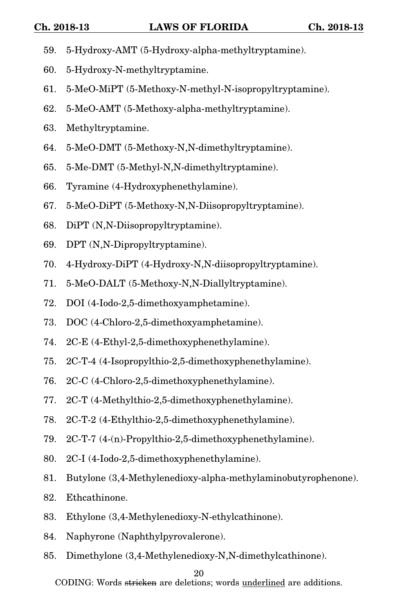- 59. 5-Hydroxy-AMT (5-Hydroxy-alpha-methyltryptamine).
- 60. 5-Hydroxy-N-methyltryptamine.
- 61. 5-MeO-MiPT (5-Methoxy-N-methyl-N-isopropyltryptamine).
- 62. 5-MeO-AMT (5-Methoxy-alpha-methyltryptamine).
- 63. Methyltryptamine.
- 64. 5-MeO-DMT (5-Methoxy-N,N-dimethyltryptamine).
- 65. 5-Me-DMT (5-Methyl-N,N-dimethyltryptamine).
- 66. Tyramine (4-Hydroxyphenethylamine).
- 67. 5-MeO-DiPT (5-Methoxy-N,N-Diisopropyltryptamine).
- 68. DiPT (N,N-Diisopropyltryptamine).
- 69. DPT (N,N-Dipropyltryptamine).
- 70. 4-Hydroxy-DiPT (4-Hydroxy-N,N-diisopropyltryptamine).
- 71. 5-MeO-DALT (5-Methoxy-N,N-Diallyltryptamine).
- 72. DOI (4-Iodo-2,5-dimethoxyamphetamine).
- 73. DOC (4-Chloro-2,5-dimethoxyamphetamine).
- 74. 2C-E (4-Ethyl-2,5-dimethoxyphenethylamine).
- 75. 2C-T-4 (4-Isopropylthio-2,5-dimethoxyphenethylamine).
- 76. 2C-C (4-Chloro-2,5-dimethoxyphenethylamine).
- 77. 2C-T (4-Methylthio-2,5-dimethoxyphenethylamine).
- 78. 2C-T-2 (4-Ethylthio-2,5-dimethoxyphenethylamine).
- 79. 2C-T-7 (4-(n)-Propylthio-2,5-dimethoxyphenethylamine).
- 80. 2C-I (4-Iodo-2,5-dimethoxyphenethylamine).
- 81. Butylone (3,4-Methylenedioxy-alpha-methylaminobutyrophenone).
- 82. Ethcathinone.
- 83. Ethylone (3,4-Methylenedioxy-N-ethylcathinone).
- 84. Naphyrone (Naphthylpyrovalerone).
- 85. Dimethylone (3,4-Methylenedioxy-N,N-dimethylcathinone).

### 20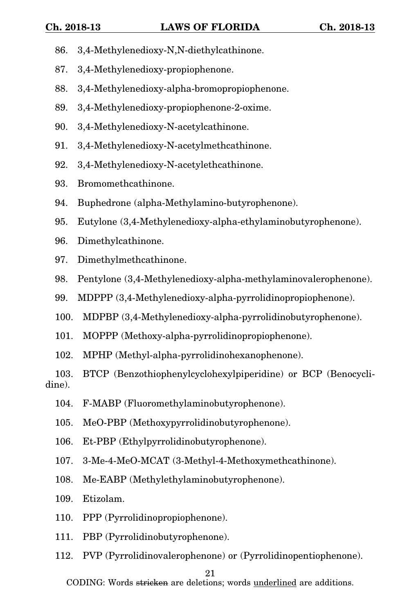- 86. 3,4-Methylenedioxy-N,N-diethylcathinone.
- 87. 3,4-Methylenedioxy-propiophenone.
- 88. 3,4-Methylenedioxy-alpha-bromopropiophenone.
- 89. 3,4-Methylenedioxy-propiophenone-2-oxime.
- 90. 3,4-Methylenedioxy-N-acetylcathinone.
- 91. 3,4-Methylenedioxy-N-acetylmethcathinone.
- 92. 3,4-Methylenedioxy-N-acetylethcathinone.
- 93. Bromomethcathinone.
- 94. Buphedrone (alpha-Methylamino-butyrophenone).
- 95. Eutylone (3,4-Methylenedioxy-alpha-ethylaminobutyrophenone).
- 96. Dimethylcathinone.
- 97. Dimethylmethcathinone.
- 98. Pentylone (3,4-Methylenedioxy-alpha-methylaminovalerophenone).
- 99. MDPPP (3,4-Methylenedioxy-alpha-pyrrolidinopropiophenone).
- 100. MDPBP (3,4-Methylenedioxy-alpha-pyrrolidinobutyrophenone).
- 101. MOPPP (Methoxy-alpha-pyrrolidinopropiophenone).
- 102. MPHP (Methyl-alpha-pyrrolidinohexanophenone).

103. BTCP (Benzothiophenylcyclohexylpiperidine) or BCP (Benocyclidine).

- 104. F-MABP (Fluoromethylaminobutyrophenone).
- 105. MeO-PBP (Methoxypyrrolidinobutyrophenone).
- 106. Et-PBP (Ethylpyrrolidinobutyrophenone).
- 107. 3-Me-4-MeO-MCAT (3-Methyl-4-Methoxymethcathinone).
- 108. Me-EABP (Methylethylaminobutyrophenone).
- 109. Etizolam.
- 110. PPP (Pyrrolidinopropiophenone).
- 111. PBP (Pyrrolidinobutyrophenone).
- 112. PVP (Pyrrolidinovalerophenone) or (Pyrrolidinopentiophenone).

21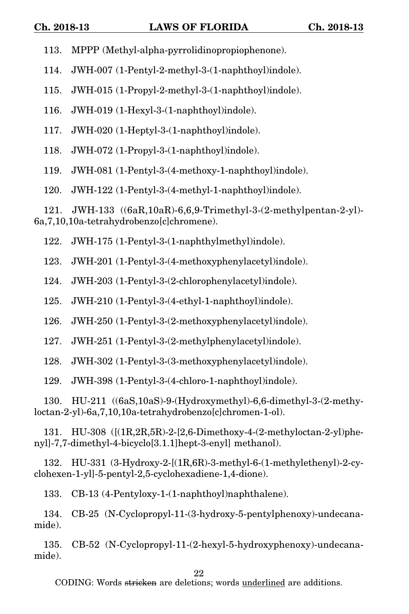113. MPPP (Methyl-alpha-pyrrolidinopropiophenone).

114. JWH-007 (1-Pentyl-2-methyl-3-(1-naphthoyl)indole).

115. JWH-015 (1-Propyl-2-methyl-3-(1-naphthoyl)indole).

116. JWH-019 (1-Hexyl-3-(1-naphthoyl)indole).

117. JWH-020 (1-Heptyl-3-(1-naphthoyl)indole).

118. JWH-072 (1-Propyl-3-(1-naphthoyl)indole).

119. JWH-081 (1-Pentyl-3-(4-methoxy-1-naphthoyl)indole).

120. JWH-122 (1-Pentyl-3-(4-methyl-1-naphthoyl)indole).

121. JWH-133 ((6aR,10aR)-6,6,9-Trimethyl-3-(2-methylpentan-2-yl)- 6a,7,10,10a-tetrahydrobenzo[c]chromene).

122. JWH-175 (1-Pentyl-3-(1-naphthylmethyl)indole).

123. JWH-201 (1-Pentyl-3-(4-methoxyphenylacetyl)indole).

124. JWH-203 (1-Pentyl-3-(2-chlorophenylacetyl)indole).

125. JWH-210 (1-Pentyl-3-(4-ethyl-1-naphthoyl)indole).

126. JWH-250 (1-Pentyl-3-(2-methoxyphenylacetyl)indole).

127. JWH-251 (1-Pentyl-3-(2-methylphenylacetyl)indole).

128. JWH-302 (1-Pentyl-3-(3-methoxyphenylacetyl)indole).

129. JWH-398 (1-Pentyl-3-(4-chloro-1-naphthoyl)indole).

130. HU-211 ((6aS,10aS)-9-(Hydroxymethyl)-6,6-dimethyl-3-(2-methyloctan-2-yl)-6a,7,10,10a-tetrahydrobenzo[c]chromen-1-ol).

131. HU-308 ([(1R,2R,5R)-2-[2,6-Dimethoxy-4-(2-methyloctan-2-yl)phenyl]-7,7-dimethyl-4-bicyclo[3.1.1]hept-3-enyl] methanol).

132. HU-331 (3-Hydroxy-2-[(1R,6R)-3-methyl-6-(1-methylethenyl)-2-cyclohexen-1-yl]-5-pentyl-2,5-cyclohexadiene-1,4-dione).

133. CB-13 (4-Pentyloxy-1-(1-naphthoyl)naphthalene).

134. CB-25 (N-Cyclopropyl-11-(3-hydroxy-5-pentylphenoxy)-undecanamide).

135. CB-52 (N-Cyclopropyl-11-(2-hexyl-5-hydroxyphenoxy)-undecanamide).

22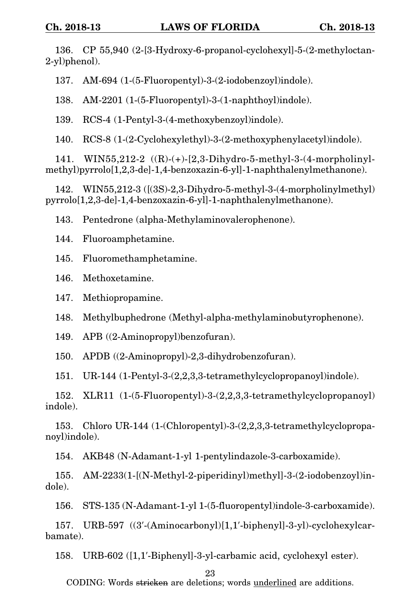136. CP 55,940 (2-[3-Hydroxy-6-propanol-cyclohexyl]-5-(2-methyloctan-2-yl)phenol).

137. AM-694 (1-(5-Fluoropentyl)-3-(2-iodobenzoyl)indole).

138. AM-2201 (1-(5-Fluoropentyl)-3-(1-naphthoyl)indole).

139. RCS-4 (1-Pentyl-3-(4-methoxybenzoyl)indole).

140. RCS-8 (1-(2-Cyclohexylethyl)-3-(2-methoxyphenylacetyl)indole).

141. WIN55,212-2 ((R)-(+)-[2,3-Dihydro-5-methyl-3-(4-morpholinylmethyl)pyrrolo[1,2,3-de]-1,4-benzoxazin-6-yl]-1-naphthalenylmethanone).

142. WIN55,212-3 ([(3S)-2,3-Dihydro-5-methyl-3-(4-morpholinylmethyl) pyrrolo[1,2,3-de]-1,4-benzoxazin-6-yl]-1-naphthalenylmethanone).

143. Pentedrone (alpha-Methylaminovalerophenone).

144. Fluoroamphetamine.

145. Fluoromethamphetamine.

146. Methoxetamine.

147. Methiopropamine.

148. Methylbuphedrone (Methyl-alpha-methylaminobutyrophenone).

149. APB ((2-Aminopropyl)benzofuran).

150. APDB ((2-Aminopropyl)-2,3-dihydrobenzofuran).

151. UR-144 (1-Pentyl-3-(2,2,3,3-tetramethylcyclopropanoyl)indole).

152. XLR11 (1-(5-Fluoropentyl)-3-(2,2,3,3-tetramethylcyclopropanoyl) indole).

153. Chloro UR-144 (1-(Chloropentyl)-3-(2,2,3,3-tetramethylcyclopropanoyl)indole).

154. AKB48 (N-Adamant-1-yl 1-pentylindazole-3-carboxamide).

155. AM-2233(1-[(N-Methyl-2-piperidinyl)methyl]-3-(2-iodobenzoyl)indole).

156. STS-135 (N-Adamant-1-yl 1-(5-fluoropentyl)indole-3-carboxamide).

157. URB-597 ((3′-(Aminocarbonyl)[1,1′-biphenyl]-3-yl)-cyclohexylcarbamate).

158. URB-602 ([1,1′-Biphenyl]-3-yl-carbamic acid, cyclohexyl ester).

23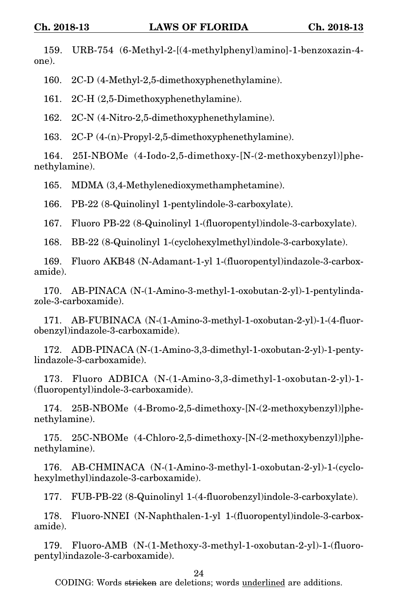159. URB-754 (6-Methyl-2-[(4-methylphenyl)amino]-1-benzoxazin-4 one).

160. 2C-D (4-Methyl-2,5-dimethoxyphenethylamine).

161. 2C-H (2,5-Dimethoxyphenethylamine).

162. 2C-N (4-Nitro-2,5-dimethoxyphenethylamine).

163. 2C-P (4-(n)-Propyl-2,5-dimethoxyphenethylamine).

164. 25I-NBOMe (4-Iodo-2,5-dimethoxy-[N-(2-methoxybenzyl)]phenethylamine).

165. MDMA (3,4-Methylenedioxymethamphetamine).

166. PB-22 (8-Quinolinyl 1-pentylindole-3-carboxylate).

167. Fluoro PB-22 (8-Quinolinyl 1-(fluoropentyl)indole-3-carboxylate).

168. BB-22 (8-Quinolinyl 1-(cyclohexylmethyl)indole-3-carboxylate).

169. Fluoro AKB48 (N-Adamant-1-yl 1-(fluoropentyl)indazole-3-carboxamide).

170. AB-PINACA (N-(1-Amino-3-methyl-1-oxobutan-2-yl)-1-pentylindazole-3-carboxamide).

171. AB-FUBINACA (N-(1-Amino-3-methyl-1-oxobutan-2-yl)-1-(4-fluorobenzyl)indazole-3-carboxamide).

172. ADB-PINACA (N-(1-Amino-3,3-dimethyl-1-oxobutan-2-yl)-1-pentylindazole-3-carboxamide).

173. Fluoro ADBICA (N-(1-Amino-3,3-dimethyl-1-oxobutan-2-yl)-1- (fluoropentyl)indole-3-carboxamide).

174. 25B-NBOMe (4-Bromo-2,5-dimethoxy-[N-(2-methoxybenzyl)]phenethylamine).

175. 25C-NBOMe (4-Chloro-2,5-dimethoxy-[N-(2-methoxybenzyl)]phenethylamine).

176. AB-CHMINACA (N-(1-Amino-3-methyl-1-oxobutan-2-yl)-1-(cyclohexylmethyl)indazole-3-carboxamide).

177. FUB-PB-22 (8-Quinolinyl 1-(4-fluorobenzyl)indole-3-carboxylate).

178. Fluoro-NNEI (N-Naphthalen-1-yl 1-(fluoropentyl)indole-3-carboxamide).

179. Fluoro-AMB (N-(1-Methoxy-3-methyl-1-oxobutan-2-yl)-1-(fluoropentyl)indazole-3-carboxamide).

24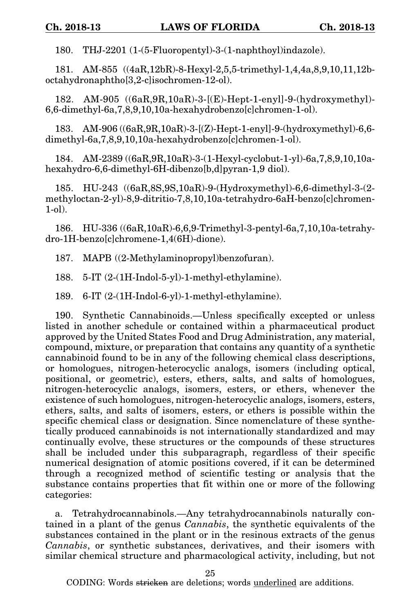180. THJ-2201 (1-(5-Fluoropentyl)-3-(1-naphthoyl)indazole).

181. AM-855 ((4aR,12bR)-8-Hexyl-2,5,5-trimethyl-1,4,4a,8,9,10,11,12boctahydronaphtho[3,2-c]isochromen-12-ol).

182. AM-905 ((6aR,9R,10aR)-3-[(E)-Hept-1-enyl]-9-(hydroxymethyl)- 6,6-dimethyl-6a,7,8,9,10,10a-hexahydrobenzo[c]chromen-1-ol).

183. AM-906 ((6aR,9R,10aR)-3-[(Z)-Hept-1-enyl]-9-(hydroxymethyl)-6,6 dimethyl-6a,7,8,9,10,10a-hexahydrobenzo[c]chromen-1-ol).

184. AM-2389 ((6aR,9R,10aR)-3-(1-Hexyl-cyclobut-1-yl)-6a,7,8,9,10,10ahexahydro-6,6-dimethyl-6H-dibenzo[b,d]pyran-1,9 diol).

185. HU-243 ((6aR,8S,9S,10aR)-9-(Hydroxymethyl)-6,6-dimethyl-3-(2 methyloctan-2-yl)-8,9-ditritio-7,8,10,10a-tetrahydro-6aH-benzo[c]chromen-1-ol).

186. HU-336 ((6aR,10aR)-6,6,9-Trimethyl-3-pentyl-6a,7,10,10a-tetrahydro-1H-benzo[c]chromene-1,4(6H)-dione).

187. MAPB ((2-Methylaminopropyl)benzofuran).

188. 5-IT (2-(1H-Indol-5-yl)-1-methyl-ethylamine).

189. 6-IT (2-(1H-Indol-6-yl)-1-methyl-ethylamine).

190. Synthetic Cannabinoids.—Unless specifically excepted or unless listed in another schedule or contained within a pharmaceutical product approved by the United States Food and Drug Administration, any material, compound, mixture, or preparation that contains any quantity of a synthetic cannabinoid found to be in any of the following chemical class descriptions, or homologues, nitrogen-heterocyclic analogs, isomers (including optical, positional, or geometric), esters, ethers, salts, and salts of homologues, nitrogen-heterocyclic analogs, isomers, esters, or ethers, whenever the existence of such homologues, nitrogen-heterocyclic analogs, isomers, esters, ethers, salts, and salts of isomers, esters, or ethers is possible within the specific chemical class or designation. Since nomenclature of these synthetically produced cannabinoids is not internationally standardized and may continually evolve, these structures or the compounds of these structures shall be included under this subparagraph, regardless of their specific numerical designation of atomic positions covered, if it can be determined through a recognized method of scientific testing or analysis that the substance contains properties that fit within one or more of the following categories:

a. Tetrahydrocannabinols.—Any tetrahydrocannabinols naturally contained in a plant of the genus *Cannabis*, the synthetic equivalents of the substances contained in the plant or in the resinous extracts of the genus *Cannabis*, or synthetic substances, derivatives, and their isomers with similar chemical structure and pharmacological activity, including, but not

25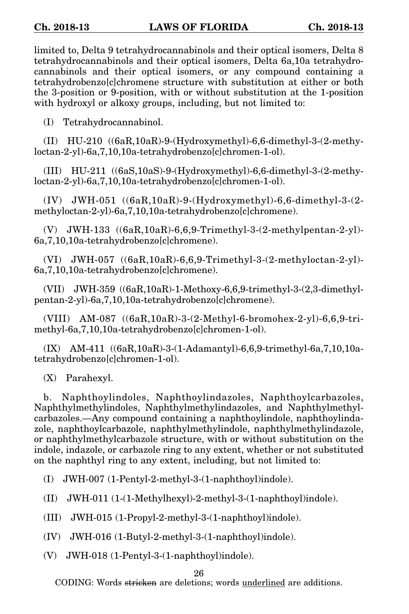limited to, Delta 9 tetrahydrocannabinols and their optical isomers, Delta 8 tetrahydrocannabinols and their optical isomers, Delta 6a,10a tetrahydrocannabinols and their optical isomers, or any compound containing a tetrahydrobenzo[c]chromene structure with substitution at either or both the 3-position or 9-position, with or without substitution at the 1-position with hydroxyl or alkoxy groups, including, but not limited to:

(I) Tetrahydrocannabinol.

(II) HU-210 ((6aR,10aR)-9-(Hydroxymethyl)-6,6-dimethyl-3-(2-methyloctan-2-yl)-6a,7,10,10a-tetrahydrobenzo[c]chromen-1-ol).

(III) HU-211 ((6aS,10aS)-9-(Hydroxymethyl)-6,6-dimethyl-3-(2-methyloctan-2-yl)-6a,7,10,10a-tetrahydrobenzo[c]chromen-1-ol).

(IV) JWH-051 ((6aR,10aR)-9-(Hydroxymethyl)-6,6-dimethyl-3-(2 methyloctan-2-yl)-6a,7,10,10a-tetrahydrobenzo[c]chromene).

(V) JWH-133 ((6aR,10aR)-6,6,9-Trimethyl-3-(2-methylpentan-2-yl)- 6a,7,10,10a-tetrahydrobenzo[c]chromene).

(VI) JWH-057 ((6aR,10aR)-6,6,9-Trimethyl-3-(2-methyloctan-2-yl)- 6a,7,10,10a-tetrahydrobenzo[c]chromene).

(VII) JWH-359 ((6aR,10aR)-1-Methoxy-6,6,9-trimethyl-3-(2,3-dimethylpentan-2-yl)-6a,7,10,10a-tetrahydrobenzo[c]chromene).

(VIII) AM-087 ((6aR,10aR)-3-(2-Methyl-6-bromohex-2-yl)-6,6,9-trimethyl-6a,7,10,10a-tetrahydrobenzo[c]chromen-1-ol).

(IX) AM-411 ((6aR,10aR)-3-(1-Adamantyl)-6,6,9-trimethyl-6a,7,10,10atetrahydrobenzo[c]chromen-1-ol).

(X) Parahexyl.

b. Naphthoylindoles, Naphthoylindazoles, Naphthoylcarbazoles, Naphthylmethylindoles, Naphthylmethylindazoles, and Naphthylmethylcarbazoles.—Any compound containing a naphthoylindole, naphthoylindazole, naphthoylcarbazole, naphthylmethylindole, naphthylmethylindazole, or naphthylmethylcarbazole structure, with or without substitution on the indole, indazole, or carbazole ring to any extent, whether or not substituted on the naphthyl ring to any extent, including, but not limited to:

(I) JWH-007 (1-Pentyl-2-methyl-3-(1-naphthoyl)indole).

(II) JWH-011 (1-(1-Methylhexyl)-2-methyl-3-(1-naphthoyl)indole).

- (III) JWH-015 (1-Propyl-2-methyl-3-(1-naphthoyl)indole).
- (IV) JWH-016 (1-Butyl-2-methyl-3-(1-naphthoyl)indole).
- (V) JWH-018 (1-Pentyl-3-(1-naphthoyl)indole).

#### 26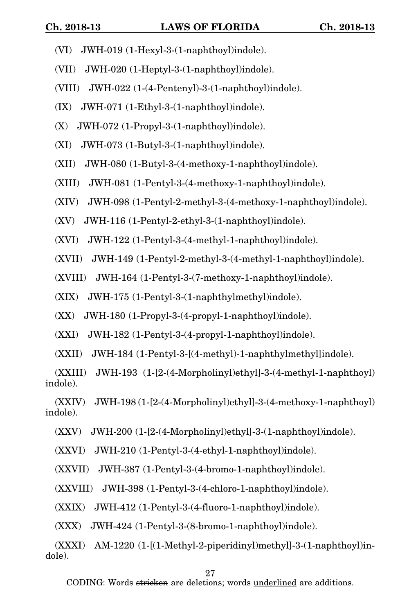- (VI) JWH-019 (1-Hexyl-3-(1-naphthoyl)indole).
- (VII) JWH-020 (1-Heptyl-3-(1-naphthoyl)indole).
- (VIII) JWH-022 (1-(4-Pentenyl)-3-(1-naphthoyl)indole).
- (IX) JWH-071 (1-Ethyl-3-(1-naphthoyl)indole).
- (X) JWH-072 (1-Propyl-3-(1-naphthoyl)indole).
- (XI) JWH-073 (1-Butyl-3-(1-naphthoyl)indole).
- (XII) JWH-080 (1-Butyl-3-(4-methoxy-1-naphthoyl)indole).
- (XIII) JWH-081 (1-Pentyl-3-(4-methoxy-1-naphthoyl)indole).
- (XIV) JWH-098 (1-Pentyl-2-methyl-3-(4-methoxy-1-naphthoyl)indole).
- (XV) JWH-116 (1-Pentyl-2-ethyl-3-(1-naphthoyl)indole).
- (XVI) JWH-122 (1-Pentyl-3-(4-methyl-1-naphthoyl)indole).
- (XVII) JWH-149 (1-Pentyl-2-methyl-3-(4-methyl-1-naphthoyl)indole).
- (XVIII) JWH-164 (1-Pentyl-3-(7-methoxy-1-naphthoyl)indole).
- (XIX) JWH-175 (1-Pentyl-3-(1-naphthylmethyl)indole).
- (XX) JWH-180 (1-Propyl-3-(4-propyl-1-naphthoyl)indole).
- (XXI) JWH-182 (1-Pentyl-3-(4-propyl-1-naphthoyl)indole).
- (XXII) JWH-184 (1-Pentyl-3-[(4-methyl)-1-naphthylmethyl]indole).
- (XXIII) JWH-193 (1-[2-(4-Morpholinyl)ethyl]-3-(4-methyl-1-naphthoyl) indole).
- (XXIV) JWH-198 (1-[2-(4-Morpholinyl)ethyl]-3-(4-methoxy-1-naphthoyl) indole).
	- (XXV) JWH-200 (1-[2-(4-Morpholinyl)ethyl]-3-(1-naphthoyl)indole).
	- (XXVI) JWH-210 (1-Pentyl-3-(4-ethyl-1-naphthoyl)indole).
	- (XXVII) JWH-387 (1-Pentyl-3-(4-bromo-1-naphthoyl)indole).
	- (XXVIII) JWH-398 (1-Pentyl-3-(4-chloro-1-naphthoyl)indole).
	- (XXIX) JWH-412 (1-Pentyl-3-(4-fluoro-1-naphthoyl)indole).
	- (XXX) JWH-424 (1-Pentyl-3-(8-bromo-1-naphthoyl)indole).
- (XXXI) AM-1220 (1-[(1-Methyl-2-piperidinyl)methyl]-3-(1-naphthoyl)indole).

27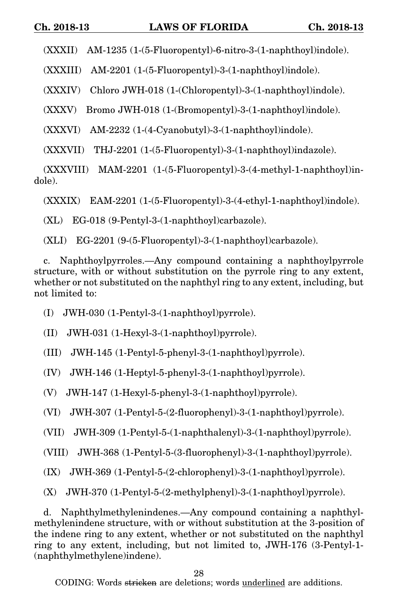(XXXII) AM-1235 (1-(5-Fluoropentyl)-6-nitro-3-(1-naphthoyl)indole).

(XXXIII) AM-2201 (1-(5-Fluoropentyl)-3-(1-naphthoyl)indole).

(XXXIV) Chloro JWH-018 (1-(Chloropentyl)-3-(1-naphthoyl)indole).

(XXXV) Bromo JWH-018 (1-(Bromopentyl)-3-(1-naphthoyl)indole).

(XXXVI) AM-2232 (1-(4-Cyanobutyl)-3-(1-naphthoyl)indole).

(XXXVII) THJ-2201 (1-(5-Fluoropentyl)-3-(1-naphthoyl)indazole).

(XXXVIII) MAM-2201 (1-(5-Fluoropentyl)-3-(4-methyl-1-naphthoyl)indole).

(XXXIX) EAM-2201 (1-(5-Fluoropentyl)-3-(4-ethyl-1-naphthoyl)indole).

(XL) EG-018 (9-Pentyl-3-(1-naphthoyl)carbazole).

(XLI) EG-2201 (9-(5-Fluoropentyl)-3-(1-naphthoyl)carbazole).

c. Naphthoylpyrroles.—Any compound containing a naphthoylpyrrole structure, with or without substitution on the pyrrole ring to any extent, whether or not substituted on the naphthyl ring to any extent, including, but not limited to:

- (I) JWH-030 (1-Pentyl-3-(1-naphthoyl)pyrrole).
- (II) JWH-031 (1-Hexyl-3-(1-naphthoyl)pyrrole).
- (III) JWH-145 (1-Pentyl-5-phenyl-3-(1-naphthoyl)pyrrole).
- (IV) JWH-146 (1-Heptyl-5-phenyl-3-(1-naphthoyl)pyrrole).
- (V) JWH-147 (1-Hexyl-5-phenyl-3-(1-naphthoyl)pyrrole).
- (VI) JWH-307 (1-Pentyl-5-(2-fluorophenyl)-3-(1-naphthoyl)pyrrole).
- (VII) JWH-309 (1-Pentyl-5-(1-naphthalenyl)-3-(1-naphthoyl)pyrrole).
- (VIII) JWH-368 (1-Pentyl-5-(3-fluorophenyl)-3-(1-naphthoyl)pyrrole).
- (IX) JWH-369 (1-Pentyl-5-(2-chlorophenyl)-3-(1-naphthoyl)pyrrole).
- (X) JWH-370 (1-Pentyl-5-(2-methylphenyl)-3-(1-naphthoyl)pyrrole).

d. Naphthylmethylenindenes.—Any compound containing a naphthylmethylenindene structure, with or without substitution at the 3-position of the indene ring to any extent, whether or not substituted on the naphthyl ring to any extent, including, but not limited to, JWH-176 (3-Pentyl-1- (naphthylmethylene)indene).

28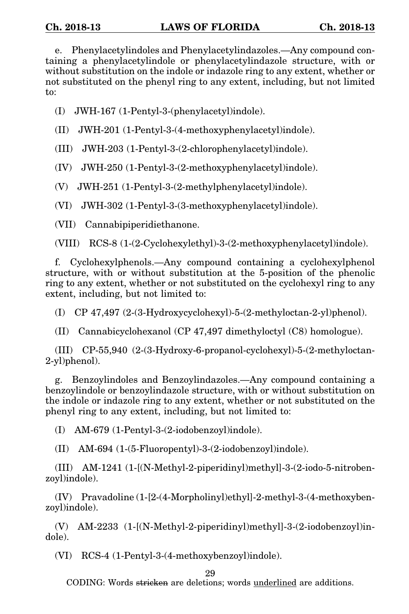e. Phenylacetylindoles and Phenylacetylindazoles.—Any compound containing a phenylacetylindole or phenylacetylindazole structure, with or without substitution on the indole or indazole ring to any extent, whether or not substituted on the phenyl ring to any extent, including, but not limited to:

- (I) JWH-167 (1-Pentyl-3-(phenylacetyl)indole).
- (II) JWH-201 (1-Pentyl-3-(4-methoxyphenylacetyl)indole).
- (III) JWH-203 (1-Pentyl-3-(2-chlorophenylacetyl)indole).
- (IV) JWH-250 (1-Pentyl-3-(2-methoxyphenylacetyl)indole).
- (V) JWH-251 (1-Pentyl-3-(2-methylphenylacetyl)indole).
- (VI) JWH-302 (1-Pentyl-3-(3-methoxyphenylacetyl)indole).

(VII) Cannabipiperidiethanone.

(VIII) RCS-8 (1-(2-Cyclohexylethyl)-3-(2-methoxyphenylacetyl)indole).

f. Cyclohexylphenols.—Any compound containing a cyclohexylphenol structure, with or without substitution at the 5-position of the phenolic ring to any extent, whether or not substituted on the cyclohexyl ring to any extent, including, but not limited to:

(I) CP 47,497 (2-(3-Hydroxycyclohexyl)-5-(2-methyloctan-2-yl)phenol).

(II) Cannabicyclohexanol (CP 47,497 dimethyloctyl (C8) homologue).

(III) CP-55,940 (2-(3-Hydroxy-6-propanol-cyclohexyl)-5-(2-methyloctan-2-yl)phenol).

g. Benzoylindoles and Benzoylindazoles.—Any compound containing a benzoylindole or benzoylindazole structure, with or without substitution on the indole or indazole ring to any extent, whether or not substituted on the phenyl ring to any extent, including, but not limited to:

(I) AM-679 (1-Pentyl-3-(2-iodobenzoyl)indole).

(II) AM-694 (1-(5-Fluoropentyl)-3-(2-iodobenzoyl)indole).

(III) AM-1241 (1-[(N-Methyl-2-piperidinyl)methyl]-3-(2-iodo-5-nitrobenzoyl)indole).

(IV) Pravadoline (1-[2-(4-Morpholinyl)ethyl]-2-methyl-3-(4-methoxybenzoyl)indole).

(V) AM-2233 (1-[(N-Methyl-2-piperidinyl)methyl]-3-(2-iodobenzoyl)indole).

(VI) RCS-4 (1-Pentyl-3-(4-methoxybenzoyl)indole).

29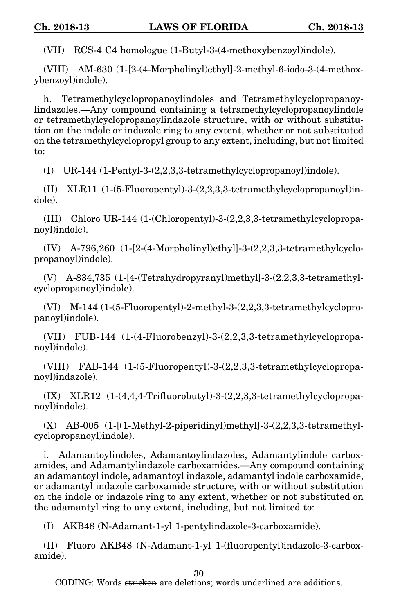(VII) RCS-4 C4 homologue (1-Butyl-3-(4-methoxybenzoyl)indole).

(VIII) AM-630 (1-[2-(4-Morpholinyl)ethyl]-2-methyl-6-iodo-3-(4-methoxybenzoyl)indole).

h. Tetramethylcyclopropanoylindoles and Tetramethylcyclopropanoylindazoles.—Any compound containing a tetramethylcyclopropanoylindole or tetramethylcyclopropanoylindazole structure, with or without substitution on the indole or indazole ring to any extent, whether or not substituted on the tetramethylcyclopropyl group to any extent, including, but not limited to:

(I) UR-144 (1-Pentyl-3-(2,2,3,3-tetramethylcyclopropanoyl)indole).

(II) XLR11 (1-(5-Fluoropentyl)-3-(2,2,3,3-tetramethylcyclopropanoyl)indole).

(III) Chloro UR-144 (1-(Chloropentyl)-3-(2,2,3,3-tetramethylcyclopropanoyl)indole).

 $(IV)$  A-796,260  $(1-[2-(4-Morpholiny])ethyl]-3-(2,2,3,3-tetramethylcyclo$ propanoyl)indole).

(V) A-834,735 (1-[4-(Tetrahydropyranyl)methyl]-3-(2,2,3,3-tetramethylcyclopropanoyl)indole).

(VI) M-144 (1-(5-Fluoropentyl)-2-methyl-3-(2,2,3,3-tetramethylcyclopropanoyl)indole).

(VII) FUB-144 (1-(4-Fluorobenzyl)-3-(2,2,3,3-tetramethylcyclopropanoyl)indole).

(VIII) FAB-144 (1-(5-Fluoropentyl)-3-(2,2,3,3-tetramethylcyclopropanoyl)indazole).

(IX) XLR12 (1-(4,4,4-Trifluorobutyl)-3-(2,2,3,3-tetramethylcyclopropanoyl)indole).

(X) AB-005 (1-[(1-Methyl-2-piperidinyl)methyl]-3-(2,2,3,3-tetramethylcyclopropanoyl)indole).

i. Adamantoylindoles, Adamantoylindazoles, Adamantylindole carboxamides, and Adamantylindazole carboxamides.—Any compound containing an adamantoyl indole, adamantoyl indazole, adamantyl indole carboxamide, or adamantyl indazole carboxamide structure, with or without substitution on the indole or indazole ring to any extent, whether or not substituted on the adamantyl ring to any extent, including, but not limited to:

(I) AKB48 (N-Adamant-1-yl 1-pentylindazole-3-carboxamide).

(II) Fluoro AKB48 (N-Adamant-1-yl 1-(fluoropentyl)indazole-3-carboxamide).

30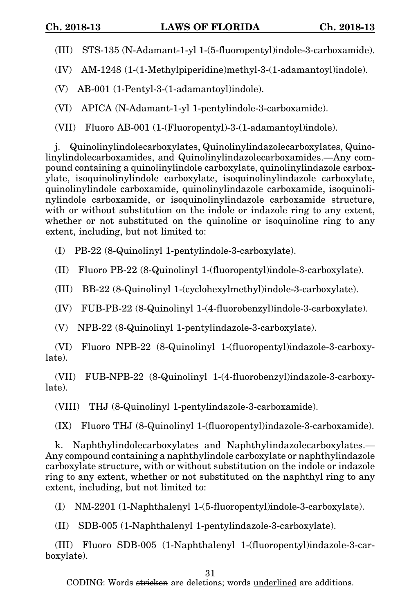- (III) STS-135 (N-Adamant-1-yl 1-(5-fluoropentyl)indole-3-carboxamide).
- (IV) AM-1248 (1-(1-Methylpiperidine)methyl-3-(1-adamantoyl)indole).
- (V) AB-001 (1-Pentyl-3-(1-adamantoyl)indole).

(VI) APICA (N-Adamant-1-yl 1-pentylindole-3-carboxamide).

(VII) Fluoro AB-001 (1-(Fluoropentyl)-3-(1-adamantoyl)indole).

j. Quinolinylindolecarboxylates, Quinolinylindazolecarboxylates, Quinolinylindolecarboxamides, and Quinolinylindazolecarboxamides.—Any compound containing a quinolinylindole carboxylate, quinolinylindazole carboxylate, isoquinolinylindole carboxylate, isoquinolinylindazole carboxylate, quinolinylindole carboxamide, quinolinylindazole carboxamide, isoquinolinylindole carboxamide, or isoquinolinylindazole carboxamide structure, with or without substitution on the indole or indazole ring to any extent. whether or not substituted on the quinoline or isoquinoline ring to any extent, including, but not limited to:

(I) PB-22 (8-Quinolinyl 1-pentylindole-3-carboxylate).

(II) Fluoro PB-22 (8-Quinolinyl 1-(fluoropentyl)indole-3-carboxylate).

(III) BB-22 (8-Quinolinyl 1-(cyclohexylmethyl)indole-3-carboxylate).

(IV) FUB-PB-22 (8-Quinolinyl 1-(4-fluorobenzyl)indole-3-carboxylate).

(V) NPB-22 (8-Quinolinyl 1-pentylindazole-3-carboxylate).

(VI) Fluoro NPB-22 (8-Quinolinyl 1-(fluoropentyl)indazole-3-carboxylate).

(VII) FUB-NPB-22 (8-Quinolinyl 1-(4-fluorobenzyl)indazole-3-carboxylate).

(VIII) THJ (8-Quinolinyl 1-pentylindazole-3-carboxamide).

(IX) Fluoro THJ (8-Quinolinyl 1-(fluoropentyl)indazole-3-carboxamide).

k. Naphthylindolecarboxylates and Naphthylindazolecarboxylates.— Any compound containing a naphthylindole carboxylate or naphthylindazole carboxylate structure, with or without substitution on the indole or indazole ring to any extent, whether or not substituted on the naphthyl ring to any extent, including, but not limited to:

(I) NM-2201 (1-Naphthalenyl 1-(5-fluoropentyl)indole-3-carboxylate).

(II) SDB-005 (1-Naphthalenyl 1-pentylindazole-3-carboxylate).

(III) Fluoro SDB-005 (1-Naphthalenyl 1-(fluoropentyl)indazole-3-carboxylate).

31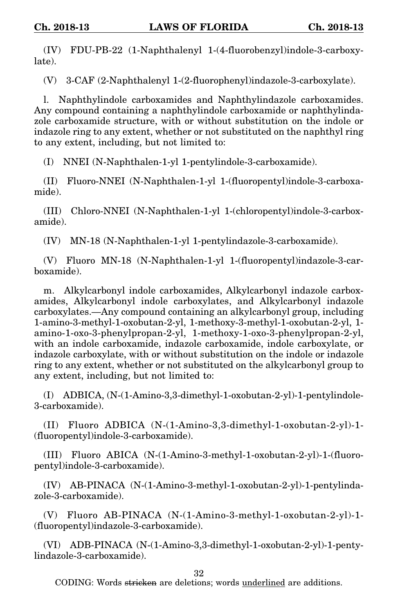(IV) FDU-PB-22 (1-Naphthalenyl 1-(4-fluorobenzyl)indole-3-carboxylate).

(V) 3-CAF (2-Naphthalenyl 1-(2-fluorophenyl)indazole-3-carboxylate).

l. Naphthylindole carboxamides and Naphthylindazole carboxamides. Any compound containing a naphthylindole carboxamide or naphthylindazole carboxamide structure, with or without substitution on the indole or indazole ring to any extent, whether or not substituted on the naphthyl ring to any extent, including, but not limited to:

(I) NNEI (N-Naphthalen-1-yl 1-pentylindole-3-carboxamide).

(II) Fluoro-NNEI (N-Naphthalen-1-yl 1-(fluoropentyl)indole-3-carboxamide).

(III) Chloro-NNEI (N-Naphthalen-1-yl 1-(chloropentyl)indole-3-carboxamide).

(IV) MN-18 (N-Naphthalen-1-yl 1-pentylindazole-3-carboxamide).

(V) Fluoro MN-18 (N-Naphthalen-1-yl 1-(fluoropentyl)indazole-3-carboxamide).

m. Alkylcarbonyl indole carboxamides, Alkylcarbonyl indazole carboxamides, Alkylcarbonyl indole carboxylates, and Alkylcarbonyl indazole carboxylates.—Any compound containing an alkylcarbonyl group, including 1-amino-3-methyl-1-oxobutan-2-yl, 1-methoxy-3-methyl-1-oxobutan-2-yl, 1 amino-1-oxo-3-phenylpropan-2-yl, 1-methoxy-1-oxo-3-phenylpropan-2-yl, with an indole carboxamide, indazole carboxamide, indole carboxylate, or indazole carboxylate, with or without substitution on the indole or indazole ring to any extent, whether or not substituted on the alkylcarbonyl group to any extent, including, but not limited to:

(I) ADBICA, (N-(1-Amino-3,3-dimethyl-1-oxobutan-2-yl)-1-pentylindole-3-carboxamide).

(II) Fluoro ADBICA (N-(1-Amino-3,3-dimethyl-1-oxobutan-2-yl)-1- (fluoropentyl)indole-3-carboxamide).

(III) Fluoro ABICA (N-(1-Amino-3-methyl-1-oxobutan-2-yl)-1-(fluoropentyl)indole-3-carboxamide).

(IV) AB-PINACA (N-(1-Amino-3-methyl-1-oxobutan-2-yl)-1-pentylindazole-3-carboxamide).

(V) Fluoro AB-PINACA (N-(1-Amino-3-methyl-1-oxobutan-2-yl)-1- (fluoropentyl)indazole-3-carboxamide).

(VI) ADB-PINACA (N-(1-Amino-3,3-dimethyl-1-oxobutan-2-yl)-1-pentylindazole-3-carboxamide).

32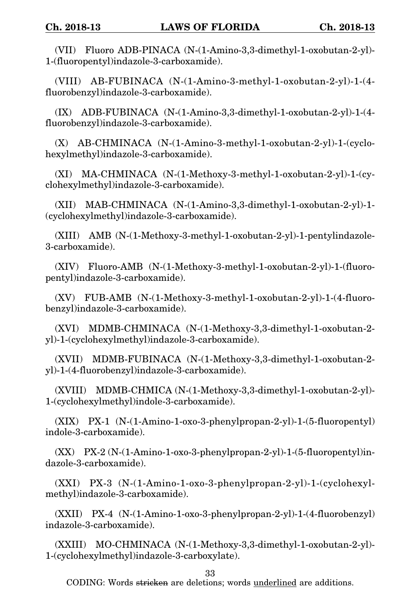(VII) Fluoro ADB-PINACA (N-(1-Amino-3,3-dimethyl-1-oxobutan-2-yl)- 1-(fluoropentyl)indazole-3-carboxamide).

(VIII) AB-FUBINACA (N-(1-Amino-3-methyl-1-oxobutan-2-yl)-1-(4 fluorobenzyl)indazole-3-carboxamide).

(IX) ADB-FUBINACA (N-(1-Amino-3,3-dimethyl-1-oxobutan-2-yl)-1-(4 fluorobenzyl)indazole-3-carboxamide).

(X) AB-CHMINACA (N-(1-Amino-3-methyl-1-oxobutan-2-yl)-1-(cyclohexylmethyl)indazole-3-carboxamide).

(XI) MA-CHMINACA (N-(1-Methoxy-3-methyl-1-oxobutan-2-yl)-1-(cyclohexylmethyl)indazole-3-carboxamide).

(XII) MAB-CHMINACA (N-(1-Amino-3,3-dimethyl-1-oxobutan-2-yl)-1- (cyclohexylmethyl)indazole-3-carboxamide).

(XIII) AMB (N-(1-Methoxy-3-methyl-1-oxobutan-2-yl)-1-pentylindazole-3-carboxamide).

(XIV) Fluoro-AMB (N-(1-Methoxy-3-methyl-1-oxobutan-2-yl)-1-(fluoropentyl)indazole-3-carboxamide).

(XV) FUB-AMB (N-(1-Methoxy-3-methyl-1-oxobutan-2-yl)-1-(4-fluorobenzyl)indazole-3-carboxamide).

(XVI) MDMB-CHMINACA (N-(1-Methoxy-3,3-dimethyl-1-oxobutan-2 yl)-1-(cyclohexylmethyl)indazole-3-carboxamide).

(XVII) MDMB-FUBINACA (N-(1-Methoxy-3,3-dimethyl-1-oxobutan-2 yl)-1-(4-fluorobenzyl)indazole-3-carboxamide).

(XVIII) MDMB-CHMICA (N-(1-Methoxy-3,3-dimethyl-1-oxobutan-2-yl)- 1-(cyclohexylmethyl)indole-3-carboxamide).

(XIX) PX-1 (N-(1-Amino-1-oxo-3-phenylpropan-2-yl)-1-(5-fluoropentyl) indole-3-carboxamide).

(XX) PX-2 (N-(1-Amino-1-oxo-3-phenylpropan-2-yl)-1-(5-fluoropentyl)indazole-3-carboxamide).

(XXI) PX-3 (N-(1-Amino-1-oxo-3-phenylpropan-2-yl)-1-(cyclohexylmethyl)indazole-3-carboxamide).

(XXII) PX-4 (N-(1-Amino-1-oxo-3-phenylpropan-2-yl)-1-(4-fluorobenzyl) indazole-3-carboxamide).

(XXIII) MO-CHMINACA (N-(1-Methoxy-3,3-dimethyl-1-oxobutan-2-yl)- 1-(cyclohexylmethyl)indazole-3-carboxylate).

33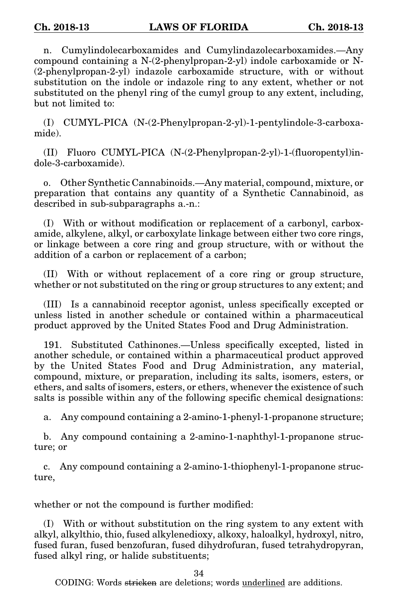n. Cumylindolecarboxamides and Cumylindazolecarboxamides.—Any compound containing a N-(2-phenylpropan-2-yl) indole carboxamide or N-  $(2$ -phenylpropan-2-yl) indazole carboxamide structure, with or without substitution on the indole or indazole ring to any extent, whether or not substituted on the phenyl ring of the cumyl group to any extent, including, but not limited to:

(I) CUMYL-PICA (N-(2-Phenylpropan-2-yl)-1-pentylindole-3-carboxamide).

(II) Fluoro CUMYL-PICA (N-(2-Phenylpropan-2-yl)-1-(fluoropentyl)indole-3-carboxamide).

o. Other Synthetic Cannabinoids.—Any material, compound, mixture, or preparation that contains any quantity of a Synthetic Cannabinoid, as described in sub-subparagraphs a.-n.:

(I) With or without modification or replacement of a carbonyl, carboxamide, alkylene, alkyl, or carboxylate linkage between either two core rings, or linkage between a core ring and group structure, with or without the addition of a carbon or replacement of a carbon;

(II) With or without replacement of a core ring or group structure, whether or not substituted on the ring or group structures to any extent; and

(III) Is a cannabinoid receptor agonist, unless specifically excepted or unless listed in another schedule or contained within a pharmaceutical product approved by the United States Food and Drug Administration.

191. Substituted Cathinones.—Unless specifically excepted, listed in another schedule, or contained within a pharmaceutical product approved by the United States Food and Drug Administration, any material, compound, mixture, or preparation, including its salts, isomers, esters, or ethers, and salts of isomers, esters, or ethers, whenever the existence of such salts is possible within any of the following specific chemical designations:

a. Any compound containing a 2-amino-1-phenyl-1-propanone structure;

b. Any compound containing a 2-amino-1-naphthyl-1-propanone structure; or

c. Any compound containing a 2-amino-1-thiophenyl-1-propanone structure,

whether or not the compound is further modified:

(I) With or without substitution on the ring system to any extent with alkyl, alkylthio, thio, fused alkylenedioxy, alkoxy, haloalkyl, hydroxyl, nitro, fused furan, fused benzofuran, fused dihydrofuran, fused tetrahydropyran, fused alkyl ring, or halide substituents;

34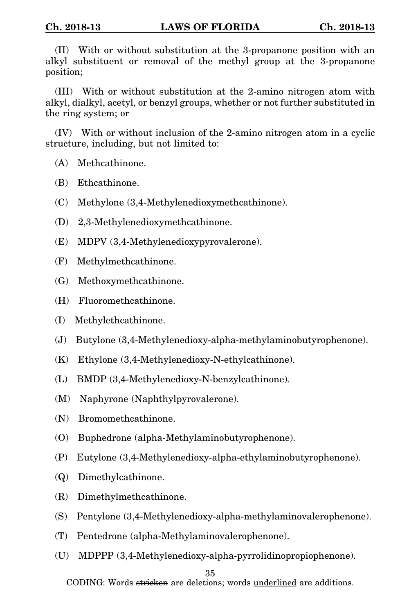(II) With or without substitution at the 3-propanone position with an alkyl substituent or removal of the methyl group at the 3-propanone position;

(III) With or without substitution at the 2-amino nitrogen atom with alkyl, dialkyl, acetyl, or benzyl groups, whether or not further substituted in the ring system; or

(IV) With or without inclusion of the 2-amino nitrogen atom in a cyclic structure, including, but not limited to:

- (A) Methcathinone.
- (B) Ethcathinone.
- (C) Methylone (3,4-Methylenedioxymethcathinone).
- (D) 2,3-Methylenedioxymethcathinone.
- (E) MDPV (3,4-Methylenedioxypyrovalerone).
- (F) Methylmethcathinone.
- (G) Methoxymethcathinone.
- (H) Fluoromethcathinone.
- (I) Methylethcathinone.
- (J) Butylone (3,4-Methylenedioxy-alpha-methylaminobutyrophenone).
- (K) Ethylone (3,4-Methylenedioxy-N-ethylcathinone).
- (L) BMDP (3,4-Methylenedioxy-N-benzylcathinone).
- (M) Naphyrone (Naphthylpyrovalerone).
- (N) Bromomethcathinone.
- (O) Buphedrone (alpha-Methylaminobutyrophenone).
- (P) Eutylone (3,4-Methylenedioxy-alpha-ethylaminobutyrophenone).
- (Q) Dimethylcathinone.
- (R) Dimethylmethcathinone.
- (S) Pentylone (3,4-Methylenedioxy-alpha-methylaminovalerophenone).
- (T) Pentedrone (alpha-Methylaminovalerophenone).
- (U) MDPPP (3,4-Methylenedioxy-alpha-pyrrolidinopropiophenone).

35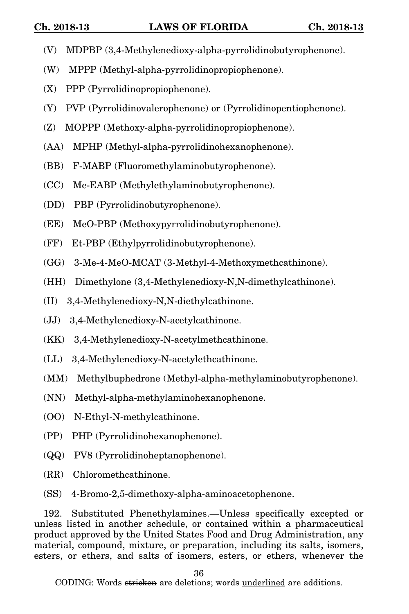- (V) MDPBP (3,4-Methylenedioxy-alpha-pyrrolidinobutyrophenone).
- (W) MPPP (Methyl-alpha-pyrrolidinopropiophenone).
- (X) PPP (Pyrrolidinopropiophenone).
- (Y) PVP (Pyrrolidinovalerophenone) or (Pyrrolidinopentiophenone).
- (Z) MOPPP (Methoxy-alpha-pyrrolidinopropiophenone).
- (AA) MPHP (Methyl-alpha-pyrrolidinohexanophenone).
- (BB) F-MABP (Fluoromethylaminobutyrophenone).
- (CC) Me-EABP (Methylethylaminobutyrophenone).
- (DD) PBP (Pyrrolidinobutyrophenone).
- (EE) MeO-PBP (Methoxypyrrolidinobutyrophenone).
- (FF) Et-PBP (Ethylpyrrolidinobutyrophenone).
- (GG) 3-Me-4-MeO-MCAT (3-Methyl-4-Methoxymethcathinone).
- (HH) Dimethylone (3,4-Methylenedioxy-N,N-dimethylcathinone).
- (II) 3,4-Methylenedioxy-N,N-diethylcathinone.
- (JJ) 3,4-Methylenedioxy-N-acetylcathinone.
- (KK) 3,4-Methylenedioxy-N-acetylmethcathinone.
- (LL) 3,4-Methylenedioxy-N-acetylethcathinone.
- (MM) Methylbuphedrone (Methyl-alpha-methylaminobutyrophenone).
- (NN) Methyl-alpha-methylaminohexanophenone.
- (OO) N-Ethyl-N-methylcathinone.
- (PP) PHP (Pyrrolidinohexanophenone).
- (QQ) PV8 (Pyrrolidinoheptanophenone).
- (RR) Chloromethcathinone.
- (SS) 4-Bromo-2,5-dimethoxy-alpha-aminoacetophenone.

192. Substituted Phenethylamines.—Unless specifically excepted or unless listed in another schedule, or contained within a pharmaceutical product approved by the United States Food and Drug Administration, any material, compound, mixture, or preparation, including its salts, isomers, esters, or ethers, and salts of isomers, esters, or ethers, whenever the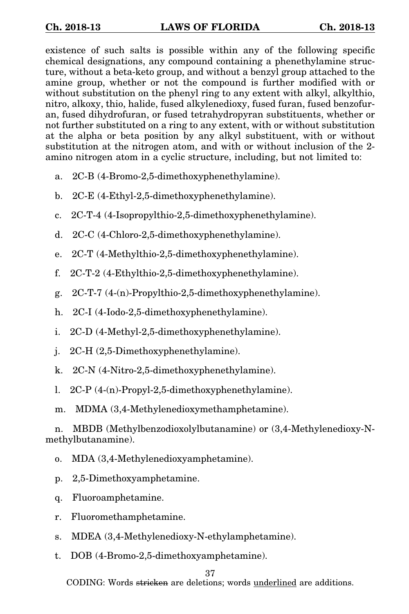existence of such salts is possible within any of the following specific chemical designations, any compound containing a phenethylamine structure, without a beta-keto group, and without a benzyl group attached to the amine group, whether or not the compound is further modified with or without substitution on the phenyl ring to any extent with alkyl, alkylthio, nitro, alkoxy, thio, halide, fused alkylenedioxy, fused furan, fused benzofuran, fused dihydrofuran, or fused tetrahydropyran substituents, whether or not further substituted on a ring to any extent, with or without substitution at the alpha or beta position by any alkyl substituent, with or without substitution at the nitrogen atom, and with or without inclusion of the 2 amino nitrogen atom in a cyclic structure, including, but not limited to:

- a. 2C-B (4-Bromo-2,5-dimethoxyphenethylamine).
- b. 2C-E (4-Ethyl-2,5-dimethoxyphenethylamine).
- c. 2C-T-4 (4-Isopropylthio-2,5-dimethoxyphenethylamine).
- d. 2C-C (4-Chloro-2,5-dimethoxyphenethylamine).
- e. 2C-T (4-Methylthio-2,5-dimethoxyphenethylamine).
- f. 2C-T-2 (4-Ethylthio-2,5-dimethoxyphenethylamine).
- g. 2C-T-7 (4-(n)-Propylthio-2,5-dimethoxyphenethylamine).
- h. 2C-I (4-Iodo-2,5-dimethoxyphenethylamine).
- i. 2C-D (4-Methyl-2,5-dimethoxyphenethylamine).
- j. 2C-H (2,5-Dimethoxyphenethylamine).
- k. 2C-N (4-Nitro-2,5-dimethoxyphenethylamine).
- l. 2C-P (4-(n)-Propyl-2,5-dimethoxyphenethylamine).

m. MDMA (3,4-Methylenedioxymethamphetamine).

n. MBDB (Methylbenzodioxolylbutanamine) or (3,4-Methylenedioxy-Nmethylbutanamine).

- o. MDA (3,4-Methylenedioxyamphetamine).
- p. 2,5-Dimethoxyamphetamine.
- q. Fluoroamphetamine.
- r. Fluoromethamphetamine.
- s. MDEA (3,4-Methylenedioxy-N-ethylamphetamine).
- t. DOB (4-Bromo-2,5-dimethoxyamphetamine).

## 37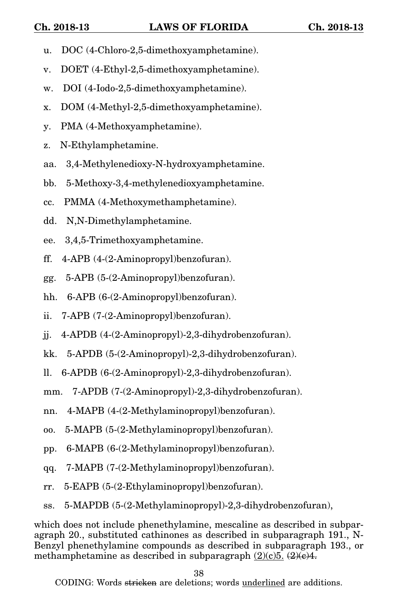- u. DOC (4-Chloro-2,5-dimethoxyamphetamine).
- v. DOET (4-Ethyl-2,5-dimethoxyamphetamine).
- w. DOI (4-Iodo-2,5-dimethoxyamphetamine).
- x. DOM (4-Methyl-2,5-dimethoxyamphetamine).
- y. PMA (4-Methoxyamphetamine).
- z. N-Ethylamphetamine.
- aa. 3,4-Methylenedioxy-N-hydroxyamphetamine.
- bb. 5-Methoxy-3,4-methylenedioxyamphetamine.
- cc. PMMA (4-Methoxymethamphetamine).
- dd. N,N-Dimethylamphetamine.
- ee. 3,4,5-Trimethoxyamphetamine.
- ff. 4-APB (4-(2-Aminopropyl)benzofuran).
- gg. 5-APB (5-(2-Aminopropyl)benzofuran).
- hh. 6-APB (6-(2-Aminopropyl)benzofuran).
- ii. 7-APB (7-(2-Aminopropyl)benzofuran).
- jj. 4-APDB (4-(2-Aminopropyl)-2,3-dihydrobenzofuran).
- kk. 5-APDB (5-(2-Aminopropyl)-2,3-dihydrobenzofuran).
- ll. 6-APDB (6-(2-Aminopropyl)-2,3-dihydrobenzofuran).
- mm. 7-APDB (7-(2-Aminopropyl)-2,3-dihydrobenzofuran).
- nn. 4-MAPB (4-(2-Methylaminopropyl)benzofuran).
- oo. 5-MAPB (5-(2-Methylaminopropyl)benzofuran).
- pp. 6-MAPB (6-(2-Methylaminopropyl)benzofuran).
- qq. 7-MAPB (7-(2-Methylaminopropyl)benzofuran).
- rr. 5-EAPB (5-(2-Ethylaminopropyl)benzofuran).
- ss. 5-MAPDB (5-(2-Methylaminopropyl)-2,3-dihydrobenzofuran),

which does not include phenethylamine, mescaline as described in subparagraph 20., substituted cathinones as described in subparagraph 191., N-Benzyl phenethylamine compounds as described in subparagraph 193., or methamphetamine as described in subparagraph  $(2)(c)5$ .  $(2)(e)4$ .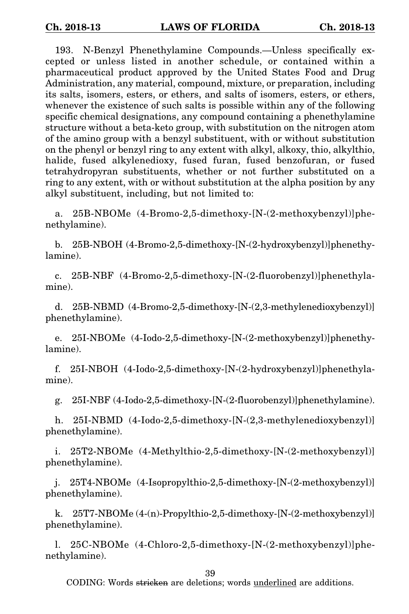193. N-Benzyl Phenethylamine Compounds.—Unless specifically excepted or unless listed in another schedule, or contained within a pharmaceutical product approved by the United States Food and Drug Administration, any material, compound, mixture, or preparation, including its salts, isomers, esters, or ethers, and salts of isomers, esters, or ethers, whenever the existence of such salts is possible within any of the following specific chemical designations, any compound containing a phenethylamine structure without a beta-keto group, with substitution on the nitrogen atom of the amino group with a benzyl substituent, with or without substitution on the phenyl or benzyl ring to any extent with alkyl, alkoxy, thio, alkylthio, halide, fused alkylenedioxy, fused furan, fused benzofuran, or fused tetrahydropyran substituents, whether or not further substituted on a ring to any extent, with or without substitution at the alpha position by any alkyl substituent, including, but not limited to:

a. 25B-NBOMe (4-Bromo-2,5-dimethoxy-[N-(2-methoxybenzyl)]phenethylamine).

b. 25B-NBOH (4-Bromo-2,5-dimethoxy-[N-(2-hydroxybenzyl)]phenethylamine).

c. 25B-NBF (4-Bromo-2,5-dimethoxy-[N-(2-fluorobenzyl)]phenethylamine).

d. 25B-NBMD (4-Bromo-2,5-dimethoxy-[N-(2,3-methylenedioxybenzyl)] phenethylamine).

e. 25I-NBOMe (4-Iodo-2,5-dimethoxy-[N-(2-methoxybenzyl)]phenethylamine).

f. 25I-NBOH (4-Iodo-2,5-dimethoxy-[N-(2-hydroxybenzyl)]phenethylamine).

g. 25I-NBF (4-Iodo-2,5-dimethoxy-[N-(2-fluorobenzyl)]phenethylamine).

h. 25I-NBMD (4-Iodo-2,5-dimethoxy-[N-(2,3-methylenedioxybenzyl)] phenethylamine).

i. 25T2-NBOMe (4-Methylthio-2,5-dimethoxy-[N-(2-methoxybenzyl)] phenethylamine).

j. 25T4-NBOMe (4-Isopropylthio-2,5-dimethoxy-[N-(2-methoxybenzyl)] phenethylamine).

k. 25T7-NBOMe (4-(n)-Propylthio-2,5-dimethoxy-[N-(2-methoxybenzyl)] phenethylamine).

l. 25C-NBOMe (4-Chloro-2,5-dimethoxy-[N-(2-methoxybenzyl)]phenethylamine).

39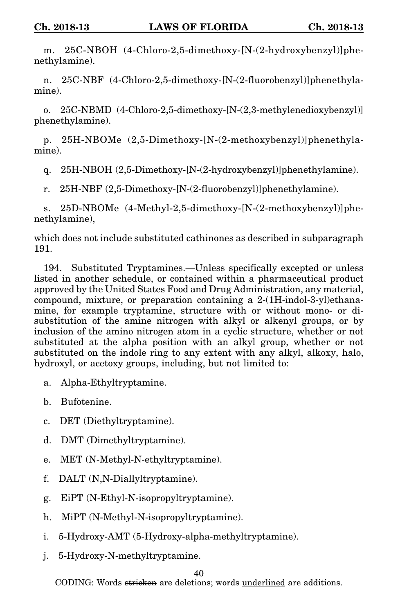m. 25C-NBOH (4-Chloro-2,5-dimethoxy-[N-(2-hydroxybenzyl)]phenethylamine).

n. 25C-NBF (4-Chloro-2,5-dimethoxy-[N-(2-fluorobenzyl)]phenethylamine).

o. 25C-NBMD (4-Chloro-2,5-dimethoxy-[N-(2,3-methylenedioxybenzyl)] phenethylamine).

p. 25H-NBOMe (2,5-Dimethoxy-[N-(2-methoxybenzyl)]phenethylamine).

q. 25H-NBOH (2,5-Dimethoxy-[N-(2-hydroxybenzyl)]phenethylamine).

r. 25H-NBF (2,5-Dimethoxy-[N-(2-fluorobenzyl)]phenethylamine).

s. 25D-NBOMe (4-Methyl-2,5-dimethoxy-[N-(2-methoxybenzyl)]phenethylamine),

which does not include substituted cathinones as described in subparagraph 191.

194. Substituted Tryptamines.—Unless specifically excepted or unless listed in another schedule, or contained within a pharmaceutical product approved by the United States Food and Drug Administration, any material, compound, mixture, or preparation containing a 2-(1H-indol-3-yl)ethanamine, for example tryptamine, structure with or without mono- or disubstitution of the amine nitrogen with alkyl or alkenyl groups, or by inclusion of the amino nitrogen atom in a cyclic structure, whether or not substituted at the alpha position with an alkyl group, whether or not substituted on the indole ring to any extent with any alkyl, alkoxy, halo, hydroxyl, or acetoxy groups, including, but not limited to:

a. Alpha-Ethyltryptamine.

b. Bufotenine.

c. DET (Diethyltryptamine).

d. DMT (Dimethyltryptamine).

e. MET (N-Methyl-N-ethyltryptamine).

f. DALT (N,N-Diallyltryptamine).

g. EiPT (N-Ethyl-N-isopropyltryptamine).

h. MiPT (N-Methyl-N-isopropyltryptamine).

i. 5-Hydroxy-AMT (5-Hydroxy-alpha-methyltryptamine).

j. 5-Hydroxy-N-methyltryptamine.

40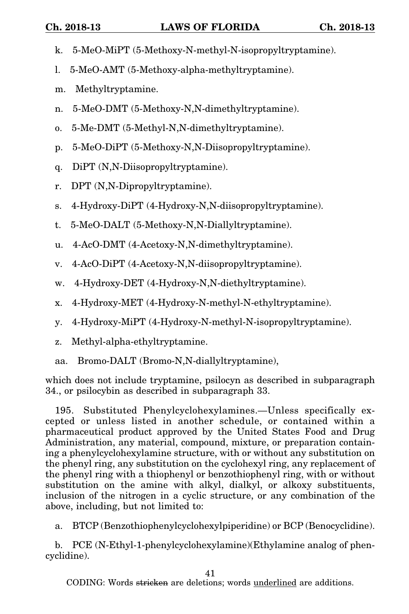- k. 5-MeO-MiPT (5-Methoxy-N-methyl-N-isopropyltryptamine).
- l. 5-MeO-AMT (5-Methoxy-alpha-methyltryptamine).
- m. Methyltryptamine.
- n. 5-MeO-DMT (5-Methoxy-N,N-dimethyltryptamine).
- o. 5-Me-DMT (5-Methyl-N,N-dimethyltryptamine).
- p. 5-MeO-DiPT (5-Methoxy-N,N-Diisopropyltryptamine).
- q. DiPT (N,N-Diisopropyltryptamine).
- r. DPT (N,N-Dipropyltryptamine).
- s. 4-Hydroxy-DiPT (4-Hydroxy-N,N-diisopropyltryptamine).
- t. 5-MeO-DALT (5-Methoxy-N,N-Diallyltryptamine).
- u. 4-AcO-DMT (4-Acetoxy-N,N-dimethyltryptamine).
- v. 4-AcO-DiPT (4-Acetoxy-N,N-diisopropyltryptamine).
- w. 4-Hydroxy-DET (4-Hydroxy-N,N-diethyltryptamine).
- x. 4-Hydroxy-MET (4-Hydroxy-N-methyl-N-ethyltryptamine).
- y. 4-Hydroxy-MiPT (4-Hydroxy-N-methyl-N-isopropyltryptamine).
- z. Methyl-alpha-ethyltryptamine.
- aa. Bromo-DALT (Bromo-N,N-diallyltryptamine),

which does not include tryptamine, psilocyn as described in subparagraph 34., or psilocybin as described in subparagraph 33.

195. Substituted Phenylcyclohexylamines.—Unless specifically excepted or unless listed in another schedule, or contained within a pharmaceutical product approved by the United States Food and Drug Administration, any material, compound, mixture, or preparation containing a phenylcyclohexylamine structure, with or without any substitution on the phenyl ring, any substitution on the cyclohexyl ring, any replacement of the phenyl ring with a thiophenyl or benzothiophenyl ring, with or without substitution on the amine with alkyl, dialkyl, or alkoxy substituents, inclusion of the nitrogen in a cyclic structure, or any combination of the above, including, but not limited to:

a. BTCP (Benzothiophenylcyclohexylpiperidine) or BCP (Benocyclidine).

b. PCE (N-Ethyl-1-phenylcyclohexylamine)(Ethylamine analog of phencyclidine).

41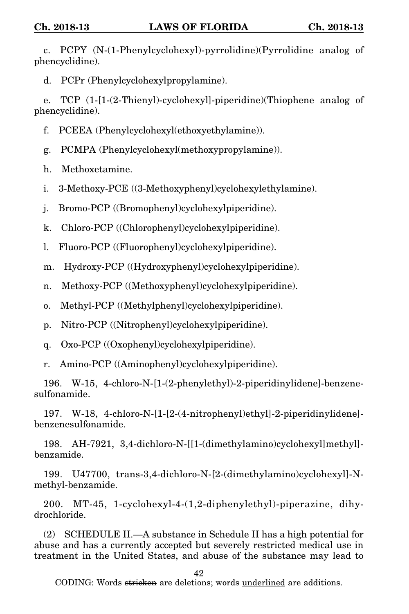c. PCPY (N-(1-Phenylcyclohexyl)-pyrrolidine)(Pyrrolidine analog of phencyclidine).

d. PCPr (Phenylcyclohexylpropylamine).

e. TCP (1-[1-(2-Thienyl)-cyclohexyl]-piperidine)(Thiophene analog of phencyclidine).

- f. PCEEA (Phenylcyclohexyl(ethoxyethylamine)).
- g. PCMPA (Phenylcyclohexyl(methoxypropylamine)).
- h. Methoxetamine.
- i. 3-Methoxy-PCE ((3-Methoxyphenyl)cyclohexylethylamine).
- j. Bromo-PCP ((Bromophenyl)cyclohexylpiperidine).
- k. Chloro-PCP ((Chlorophenyl)cyclohexylpiperidine).
- l. Fluoro-PCP ((Fluorophenyl)cyclohexylpiperidine).
- m. Hydroxy-PCP ((Hydroxyphenyl)cyclohexylpiperidine).
- n. Methoxy-PCP ((Methoxyphenyl)cyclohexylpiperidine).
- o. Methyl-PCP ((Methylphenyl)cyclohexylpiperidine).
- p. Nitro-PCP ((Nitrophenyl)cyclohexylpiperidine).
- q. Oxo-PCP ((Oxophenyl)cyclohexylpiperidine).
- r. Amino-PCP ((Aminophenyl)cyclohexylpiperidine).

196. W-15, 4-chloro-N-[1-(2-phenylethyl)-2-piperidinylidene]-benzenesulfonamide.

197. W-18, 4-chloro-N-[1-[2-(4-nitrophenyl)ethyl]-2-piperidinylidene] benzenesulfonamide.

198. AH-7921, 3,4-dichloro-N-[[1-(dimethylamino)cyclohexyl]methyl] benzamide.

199. U47700, trans-3,4-dichloro-N-[2-(dimethylamino)cyclohexyl]-Nmethyl-benzamide.

200. MT-45, 1-cyclohexyl-4-(1,2-diphenylethyl)-piperazine, dihydrochloride.

(2) SCHEDULE II.—A substance in Schedule II has a high potential for abuse and has a currently accepted but severely restricted medical use in treatment in the United States, and abuse of the substance may lead to

42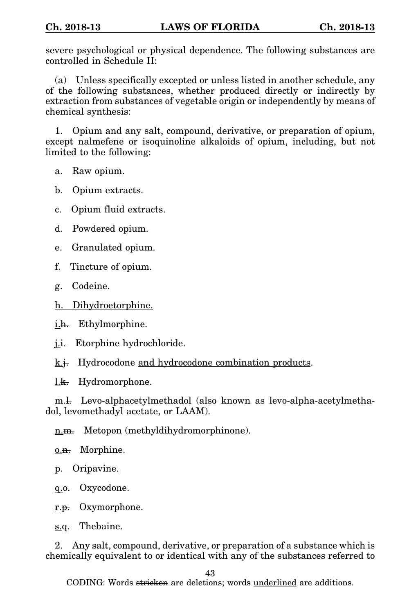severe psychological or physical dependence. The following substances are controlled in Schedule II:

(a) Unless specifically excepted or unless listed in another schedule, any of the following substances, whether produced directly or indirectly by extraction from substances of vegetable origin or independently by means of chemical synthesis:

1. Opium and any salt, compound, derivative, or preparation of opium, except nalmefene or isoquinoline alkaloids of opium, including, but not limited to the following:

a. Raw opium.

b. Opium extracts.

c. Opium fluid extracts.

d. Powdered opium.

e. Granulated opium.

f. Tincture of opium.

g. Codeine.

h. Dihydroetorphine.

i.h. Ethylmorphine.

j.i. Etorphine hydrochloride.

 $k$ . Hydrocodone and hydrocodone combination products.

l.k. Hydromorphone.

m.l. Levo-alphacetylmethadol (also known as levo-alpha-acetylmethadol, levomethadyl acetate, or LAAM).

n.m. Metopon (methyldihydromorphinone).

o.n. Morphine.

p. Oripavine.

q.o. Oxycodone.

r.<del>p.</del> Oxymorphone.

s.q. Thebaine.

2. Any salt, compound, derivative, or preparation of a substance which is chemically equivalent to or identical with any of the substances referred to

43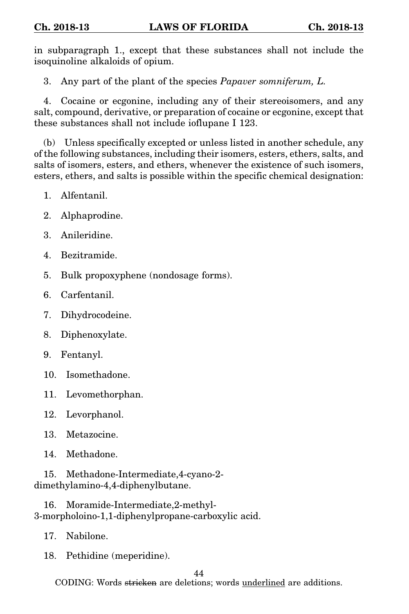in subparagraph 1., except that these substances shall not include the isoquinoline alkaloids of opium.

3. Any part of the plant of the species *Papaver somniferum, L.*

4. Cocaine or ecgonine, including any of their stereoisomers, and any salt, compound, derivative, or preparation of cocaine or ecgonine, except that these substances shall not include ioflupane I 123.

(b) Unless specifically excepted or unless listed in another schedule, any of the following substances, including their isomers, esters, ethers, salts, and salts of isomers, esters, and ethers, whenever the existence of such isomers, esters, ethers, and salts is possible within the specific chemical designation:

- 1. Alfentanil.
- 2. Alphaprodine.
- 3. Anileridine.
- 4. Bezitramide.
- 5. Bulk propoxyphene (nondosage forms).
- 6. Carfentanil.
- 7. Dihydrocodeine.
- 8. Diphenoxylate.
- 9. Fentanyl.
- 10. Isomethadone.
- 11. Levomethorphan.
- 12. Levorphanol.
- 13. Metazocine.
- 14. Methadone.

15. Methadone-Intermediate,4-cyano-2 dimethylamino-4,4-diphenylbutane.

16. Moramide-Intermediate,2-methyl-3-morpholoino-1,1-diphenylpropane-carboxylic acid.

- 17. Nabilone.
- 18. Pethidine (meperidine).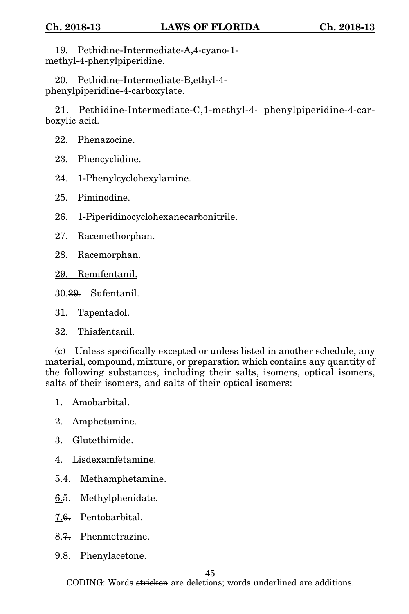19. Pethidine-Intermediate-A,4-cyano-1 methyl-4-phenylpiperidine.

20. Pethidine-Intermediate-B,ethyl-4 phenylpiperidine-4-carboxylate.

21. Pethidine-Intermediate-C,1-methyl-4- phenylpiperidine-4-carboxylic acid.

- 22. Phenazocine.
- 23. Phencyclidine.
- 24. 1-Phenylcyclohexylamine.
- 25. Piminodine.
- 26. 1-Piperidinocyclohexanecarbonitrile.
- 27. Racemethorphan.
- 28. Racemorphan.
- 29. Remifentanil.
- 30.29. Sufentanil.
- 31. Tapentadol.

32. Thiafentanil.

(c) Unless specifically excepted or unless listed in another schedule, any material, compound, mixture, or preparation which contains any quantity of the following substances, including their salts, isomers, optical isomers, salts of their isomers, and salts of their optical isomers:

- 1. Amobarbital.
- 2. Amphetamine.
- 3. Glutethimide.
- 4. Lisdexamfetamine.
- 5.4. Methamphetamine.
- 6.5. Methylphenidate.
- 7.6. Pentobarbital.
- 8.7. Phenmetrazine.
- 9.8. Phenylacetone.

45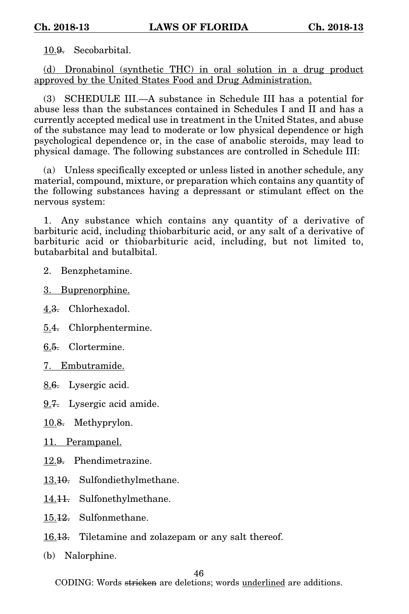10.9. Secobarbital.

(d) Dronabinol (synthetic THC) in oral solution in a drug product approved by the United States Food and Drug Administration.

(3) SCHEDULE III.—A substance in Schedule III has a potential for abuse less than the substances contained in Schedules I and II and has a currently accepted medical use in treatment in the United States, and abuse of the substance may lead to moderate or low physical dependence or high psychological dependence or, in the case of anabolic steroids, may lead to physical damage. The following substances are controlled in Schedule III:

(a) Unless specifically excepted or unless listed in another schedule, any material, compound, mixture, or preparation which contains any quantity of the following substances having a depressant or stimulant effect on the nervous system:

1. Any substance which contains any quantity of a derivative of barbituric acid, including thiobarbituric acid, or any salt of a derivative of barbituric acid or thiobarbituric acid, including, but not limited to, butabarbital and butalbital.

2. Benzphetamine.

3. Buprenorphine.

4.3. Chlorhexadol.

5.4. Chlorphentermine.

6.5. Clortermine.

7. Embutramide.

8.6. Lysergic acid.

9.7. Lysergic acid amide.

10.8. Methyprylon.

11. Perampanel.

12.9. Phendimetrazine.

13.10. Sulfondiethylmethane.

14.11. Sulfonethylmethane.

15.12. Sulfonmethane.

16.13. Tiletamine and zolazepam or any salt thereof.

(b) Nalorphine.

46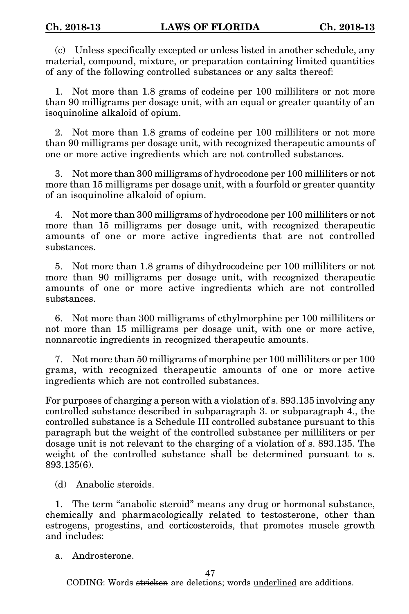(c) Unless specifically excepted or unless listed in another schedule, any material, compound, mixture, or preparation containing limited quantities of any of the following controlled substances or any salts thereof:

1. Not more than 1.8 grams of codeine per 100 milliliters or not more than 90 milligrams per dosage unit, with an equal or greater quantity of an isoquinoline alkaloid of opium.

2. Not more than 1.8 grams of codeine per 100 milliliters or not more than 90 milligrams per dosage unit, with recognized therapeutic amounts of one or more active ingredients which are not controlled substances.

3. Not more than 300 milligrams of hydrocodone per 100 milliliters or not more than 15 milligrams per dosage unit, with a fourfold or greater quantity of an isoquinoline alkaloid of opium.

4. Not more than 300 milligrams of hydrocodone per 100 milliliters or not more than 15 milligrams per dosage unit, with recognized therapeutic amounts of one or more active ingredients that are not controlled substances.

5. Not more than 1.8 grams of dihydrocodeine per 100 milliliters or not more than 90 milligrams per dosage unit, with recognized therapeutic amounts of one or more active ingredients which are not controlled substances.

6. Not more than 300 milligrams of ethylmorphine per 100 milliliters or not more than 15 milligrams per dosage unit, with one or more active, nonnarcotic ingredients in recognized therapeutic amounts.

7. Not more than 50 milligrams of morphine per 100 milliliters or per 100 grams, with recognized therapeutic amounts of one or more active ingredients which are not controlled substances.

For purposes of charging a person with a violation of s. 893.135 involving any controlled substance described in subparagraph 3. or subparagraph 4., the controlled substance is a Schedule III controlled substance pursuant to this paragraph but the weight of the controlled substance per milliliters or per dosage unit is not relevant to the charging of a violation of s. 893.135. The weight of the controlled substance shall be determined pursuant to s. 893.135(6).

(d) Anabolic steroids.

1. The term "anabolic steroid" means any drug or hormonal substance, chemically and pharmacologically related to testosterone, other than estrogens, progestins, and corticosteroids, that promotes muscle growth and includes:

a. Androsterone.

47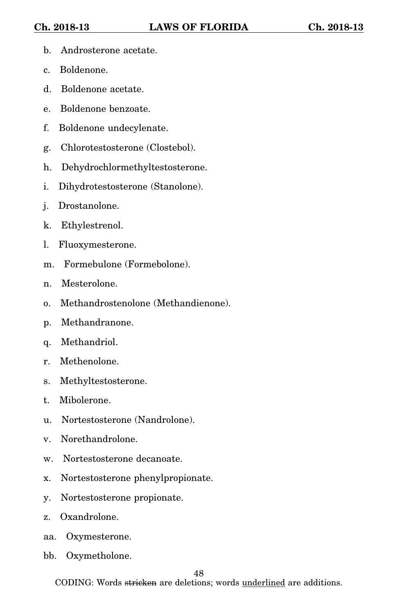- b. Androsterone acetate.
- c. Boldenone.
- d. Boldenone acetate.
- e. Boldenone benzoate.
- f. Boldenone undecylenate.
- g. Chlorotestosterone (Clostebol).
- h. Dehydrochlormethyltestosterone.
- i. Dihydrotestosterone (Stanolone).
- j. Drostanolone.
- k. Ethylestrenol.
- l. Fluoxymesterone.
- m. Formebulone (Formebolone).
- n. Mesterolone.
- o. Methandrostenolone (Methandienone).
- p. Methandranone.
- q. Methandriol.
- r. Methenolone.
- s. Methyltestosterone.
- t. Mibolerone.
- u. Nortestosterone (Nandrolone).
- v. Norethandrolone.
- w. Nortestosterone decanoate.
- x. Nortestosterone phenylpropionate.
- y. Nortestosterone propionate.
- z. Oxandrolone.
- aa. Oxymesterone.
- bb. Oxymetholone.

48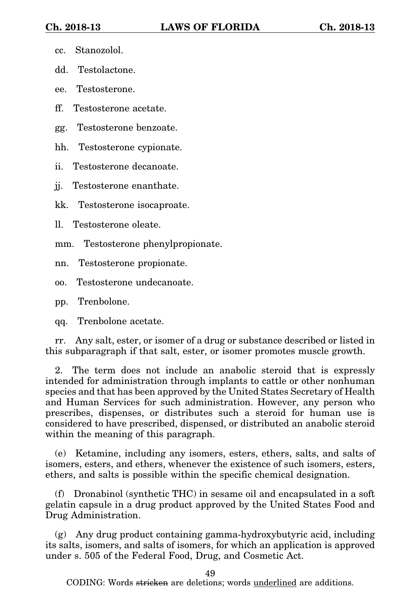- cc. Stanozolol.
- dd. Testolactone.
- ee. Testosterone.
- ff. Testosterone acetate.
- gg. Testosterone benzoate.

hh. Testosterone cypionate.

ii. Testosterone decanoate.

jj. Testosterone enanthate.

kk. Testosterone isocaproate.

ll. Testosterone oleate.

mm. Testosterone phenylpropionate.

nn. Testosterone propionate.

oo. Testosterone undecanoate.

pp. Trenbolone.

qq. Trenbolone acetate.

rr. Any salt, ester, or isomer of a drug or substance described or listed in this subparagraph if that salt, ester, or isomer promotes muscle growth.

2. The term does not include an anabolic steroid that is expressly intended for administration through implants to cattle or other nonhuman species and that has been approved by the United States Secretary of Health and Human Services for such administration. However, any person who prescribes, dispenses, or distributes such a steroid for human use is considered to have prescribed, dispensed, or distributed an anabolic steroid within the meaning of this paragraph.

(e) Ketamine, including any isomers, esters, ethers, salts, and salts of isomers, esters, and ethers, whenever the existence of such isomers, esters, ethers, and salts is possible within the specific chemical designation.

(f) Dronabinol (synthetic THC) in sesame oil and encapsulated in a soft gelatin capsule in a drug product approved by the United States Food and Drug Administration.

(g) Any drug product containing gamma-hydroxybutyric acid, including its salts, isomers, and salts of isomers, for which an application is approved under s. 505 of the Federal Food, Drug, and Cosmetic Act.

49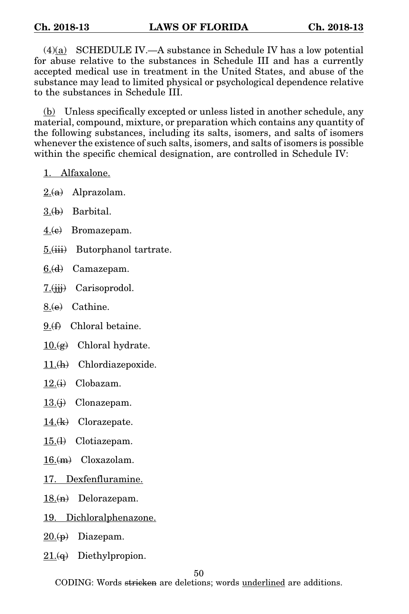(4)(a) SCHEDULE IV.—A substance in Schedule IV has a low potential for abuse relative to the substances in Schedule III and has a currently accepted medical use in treatment in the United States, and abuse of the substance may lead to limited physical or psychological dependence relative to the substances in Schedule III.

(b) Unless specifically excepted or unless listed in another schedule, any material, compound, mixture, or preparation which contains any quantity of the following substances, including its salts, isomers, and salts of isomers whenever the existence of such salts, isomers, and salts of isomers is possible within the specific chemical designation, are controlled in Schedule IV:

1. Alfaxalone.

 $2(\alpha)$  Alprazolam.

 $3.(\mathbf{b})$  Barbital.

 $4(e)$  Bromazepam.

5.(iii) Butorphanol tartrate.

- 6.(d) Camazepam.
- $7.(\ddot{ii})$  Carisoprodol.
- 8.(e) Cathine.
- 9.(f) Chloral betaine.
- $10.9$  Chloral hydrate.
- $11.(\text{h})$  Chlordiazepoxide.
- $12.(\text{i})$  Clobazam.
- $13.(\frac{1}{12})$  Clonazepam.
- $14.(\mathbf{k})$  Clorazepate.
- $15.$ (i) Clotiazepam.
- $16.4m$  Cloxazolam.
- 17. Dexfenfluramine.
- $18.(\mathrm{n})$  Delorazepam.
- 19. Dichloralphenazone.
- $20.9)$  Diazepam.
- $21.(q)$  Diethylpropion.

50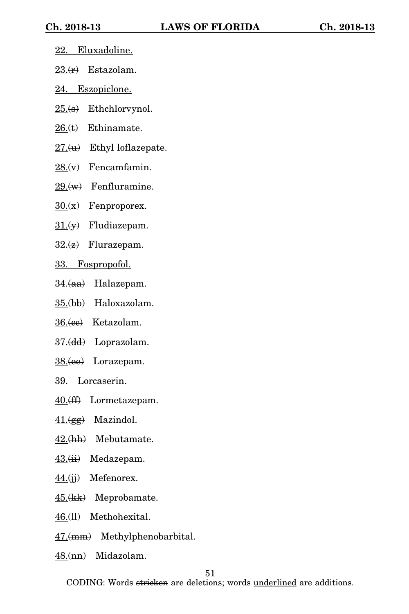- 22. Eluxadoline.
- $23(r)$  Estazolam.
- 24. Eszopiclone.
- $25(s)$  Ethchlorvynol.
- $26.4$  Ethinamate.
- $27(w)$  Ethyl loflazepate.
- $28.(\text{v})$  Fencamfamin.
- $29(w)$  Fenfluramine.
- $30(x)$  Fenproporex.
- $31.(y)$  Fludiazepam.
- $32.(z)$  Flurazepam.
- 33. Fospropofol.
- 34.(aa) Halazepam.
- 35.(bb) Haloxazolam.
- 36.(ee) Ketazolam.
- 37.(dd) Loprazolam.
- 38.(ee) Lorazepam.
- 39. Lorcaserin.
- 40.(ff) Lormetazepam.
- $41.(gg)$  Mazindol.
- 42.(hh) Mebutamate.
- 43.(ii) Medazepam.
- 44.(ii) Mefenorex.
- 45.(kk) Meprobamate.
- 46.(ll) Methohexital.
- 47.(mm) Methylphenobarbital.
- 48.(nn) Midazolam.

51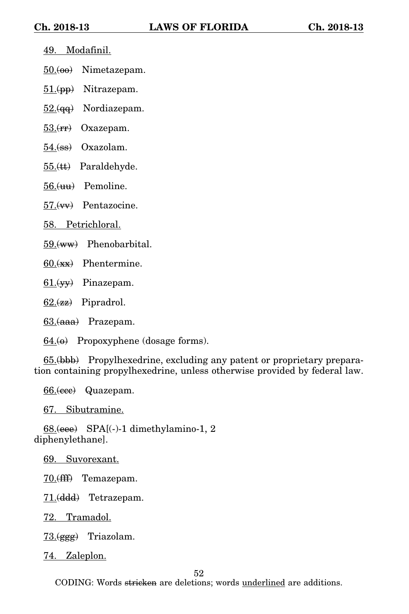- 49. Modafinil.
- 50.(00) Nimetazepam.
- $51.$ (pp) Nitrazepam.
- $52(qq)$  Nordiazepam.
- $53(rr)$  Oxazepam.
- $54.<sub>(ss)</sub>$  Oxazolam.
- 55.(tt) Paraldehyde.
- $56.$ (uu) Pemoline.
- 57.(vv) Pentazocine.
- 58. Petrichloral.
- 59.(ww) Phenobarbital.
- 60.(xx) Phentermine.
- $61.$ (yy) Pinazepam.
- $62.(zz)$  Pipradrol.
- 63. (aaa) Prazepam.
- $64.(\theta)$  Propoxyphene (dosage forms).

65.(bbb) Propylhexedrine, excluding any patent or proprietary preparation containing propylhexedrine, unless otherwise provided by federal law.

66.(eee) Quazepam.

67. Sibutramine.

68.(eee) SPA[(-)-1 dimethylamino-1, 2 diphenylethane].

69. Suvorexant.

70. (fff) Temazepam.

71.(ddd) Tetrazepam.

72. Tramadol.

 $73.$ (ggg) Triazolam.

74. Zaleplon.

52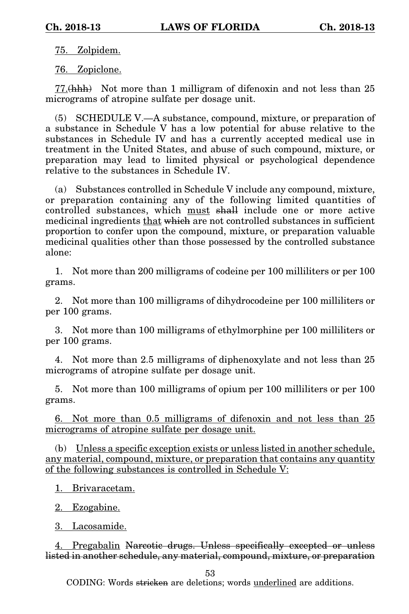75. Zolpidem.

76. Zopiclone.

77.(hhh) Not more than 1 milligram of difenoxin and not less than 25 micrograms of atropine sulfate per dosage unit.

(5) SCHEDULE V.—A substance, compound, mixture, or preparation of a substance in Schedule V has a low potential for abuse relative to the substances in Schedule IV and has a currently accepted medical use in treatment in the United States, and abuse of such compound, mixture, or preparation may lead to limited physical or psychological dependence relative to the substances in Schedule IV.

(a) Substances controlled in Schedule V include any compound, mixture, or preparation containing any of the following limited quantities of controlled substances, which must shall include one or more active medicinal ingredients that which are not controlled substances in sufficient proportion to confer upon the compound, mixture, or preparation valuable medicinal qualities other than those possessed by the controlled substance alone:

1. Not more than 200 milligrams of codeine per 100 milliliters or per 100 grams.

2. Not more than 100 milligrams of dihydrocodeine per 100 milliliters or per 100 grams.

3. Not more than 100 milligrams of ethylmorphine per 100 milliliters or per 100 grams.

4. Not more than 2.5 milligrams of diphenoxylate and not less than 25 micrograms of atropine sulfate per dosage unit.

5. Not more than 100 milligrams of opium per 100 milliliters or per 100 grams.

6. Not more than 0.5 milligrams of difenoxin and not less than 25 micrograms of atropine sulfate per dosage unit.

(b) Unless a specific exception exists or unless listed in another schedule, any material, compound, mixture, or preparation that contains any quantity of the following substances is controlled in Schedule V:

1. Brivaracetam.

2. Ezogabine.

3. Lacosamide.

4. Pregabalin Narcotic drugs. Unless specifically excepted or unless listed in another schedule, any material, compound, mixture, or preparation

53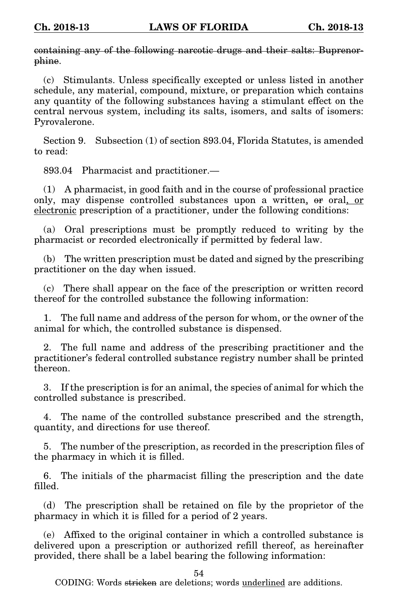containing any of the following narcotic drugs and their salts: Buprenorphine.

(c) Stimulants. Unless specifically excepted or unless listed in another schedule, any material, compound, mixture, or preparation which contains any quantity of the following substances having a stimulant effect on the central nervous system, including its salts, isomers, and salts of isomers: Pyrovalerone.

Section 9. Subsection (1) of section 893.04, Florida Statutes, is amended to read:

893.04 Pharmacist and practitioner.—

(1) A pharmacist, in good faith and in the course of professional practice only, may dispense controlled substances upon a written, or oral, or electronic prescription of a practitioner, under the following conditions:

(a) Oral prescriptions must be promptly reduced to writing by the pharmacist or recorded electronically if permitted by federal law.

(b) The written prescription must be dated and signed by the prescribing practitioner on the day when issued.

(c) There shall appear on the face of the prescription or written record thereof for the controlled substance the following information:

1. The full name and address of the person for whom, or the owner of the animal for which, the controlled substance is dispensed.

2. The full name and address of the prescribing practitioner and the practitioner's federal controlled substance registry number shall be printed thereon.

3. If the prescription is for an animal, the species of animal for which the controlled substance is prescribed.

4. The name of the controlled substance prescribed and the strength, quantity, and directions for use thereof.

5. The number of the prescription, as recorded in the prescription files of the pharmacy in which it is filled.

6. The initials of the pharmacist filling the prescription and the date filled.

(d) The prescription shall be retained on file by the proprietor of the pharmacy in which it is filled for a period of 2 years.

(e) Affixed to the original container in which a controlled substance is delivered upon a prescription or authorized refill thereof, as hereinafter provided, there shall be a label bearing the following information:

54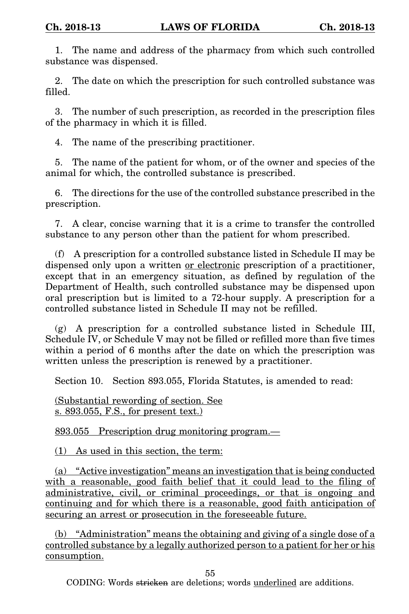1. The name and address of the pharmacy from which such controlled substance was dispensed.

2. The date on which the prescription for such controlled substance was filled.

3. The number of such prescription, as recorded in the prescription files of the pharmacy in which it is filled.

4. The name of the prescribing practitioner.

5. The name of the patient for whom, or of the owner and species of the animal for which, the controlled substance is prescribed.

6. The directions for the use of the controlled substance prescribed in the prescription.

7. A clear, concise warning that it is a crime to transfer the controlled substance to any person other than the patient for whom prescribed.

(f) A prescription for a controlled substance listed in Schedule II may be dispensed only upon a written <u>or electronic</u> prescription of a practitioner, except that in an emergency situation, as defined by regulation of the Department of Health, such controlled substance may be dispensed upon oral prescription but is limited to a 72-hour supply. A prescription for a controlled substance listed in Schedule II may not be refilled.

(g) A prescription for a controlled substance listed in Schedule III, Schedule IV, or Schedule V may not be filled or refilled more than five times within a period of 6 months after the date on which the prescription was written unless the prescription is renewed by a practitioner.

Section 10. Section 893.055, Florida Statutes, is amended to read:

(Substantial rewording of section. See s. 893.055, F.S., for present text.)

893.055 Prescription drug monitoring program.—

(1) As used in this section, the term:

(a) "Active investigation" means an investigation that is being conducted with a reasonable, good faith belief that it could lead to the filing of administrative, civil, or criminal proceedings, or that is ongoing and continuing and for which there is a reasonable, good faith anticipation of securing an arrest or prosecution in the foreseeable future.

(b) "Administration" means the obtaining and giving of a single dose of a controlled substance by a legally authorized person to a patient for her or his consumption.

55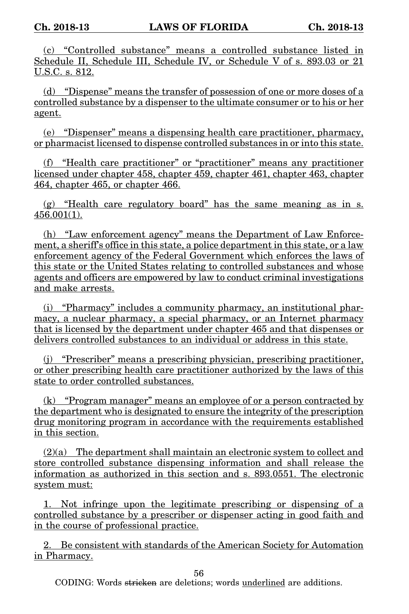(c) "Controlled substance" means a controlled substance listed in Schedule II, Schedule III, Schedule IV, or Schedule V of s. 893.03 or 21 U.S.C. s. 812.

(d) "Dispense" means the transfer of possession of one or more doses of a controlled substance by a dispenser to the ultimate consumer or to his or her agent.

(e) "Dispenser" means a dispensing health care practitioner, pharmacy, or pharmacist licensed to dispense controlled substances in or into this state.

(f) "Health care practitioner" or "practitioner" means any practitioner licensed under chapter 458, chapter 459, chapter 461, chapter 463, chapter 464, chapter 465, or chapter 466.

(g) "Health care regulatory board" has the same meaning as in s. 456.001(1).

(h) "Law enforcement agency" means the Department of Law Enforcement, a sheriff's office in this state, a police department in this state, or a law enforcement agency of the Federal Government which enforces the laws of this state or the United States relating to controlled substances and whose agents and officers are empowered by law to conduct criminal investigations and make arrests.

(i) "Pharmacy" includes a community pharmacy, an institutional pharmacy, a nuclear pharmacy, a special pharmacy, or an Internet pharmacy that is licensed by the department under chapter 465 and that dispenses or delivers controlled substances to an individual or address in this state.

(j) "Prescriber" means a prescribing physician, prescribing practitioner, or other prescribing health care practitioner authorized by the laws of this state to order controlled substances.

(k) "Program manager" means an employee of or a person contracted by the department who is designated to ensure the integrity of the prescription drug monitoring program in accordance with the requirements established in this section.

 $(2)(a)$  The department shall maintain an electronic system to collect and store controlled substance dispensing information and shall release the information as authorized in this section and s. 893.0551. The electronic system must:

1. Not infringe upon the legitimate prescribing or dispensing of a controlled substance by a prescriber or dispenser acting in good faith and in the course of professional practice.

2. Be consistent with standards of the American Society for Automation in Pharmacy.

56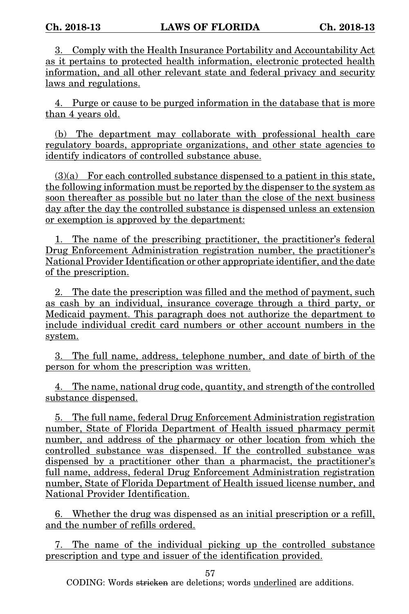3. Comply with the Health Insurance Portability and Accountability Act as it pertains to protected health information, electronic protected health information, and all other relevant state and federal privacy and security laws and regulations.

4. Purge or cause to be purged information in the database that is more than 4 years old.

(b) The department may collaborate with professional health care regulatory boards, appropriate organizations, and other state agencies to identify indicators of controlled substance abuse.

 $(3)(a)$  For each controlled substance dispensed to a patient in this state, the following information must be reported by the dispenser to the system as soon thereafter as possible but no later than the close of the next business day after the day the controlled substance is dispensed unless an extension or exemption is approved by the department:

1. The name of the prescribing practitioner, the practitioner's federal Drug Enforcement Administration registration number, the practitioner's National Provider Identification or other appropriate identifier, and the date of the prescription.

2. The date the prescription was filled and the method of payment, such as cash by an individual, insurance coverage through a third party, or Medicaid payment. This paragraph does not authorize the department to include individual credit card numbers or other account numbers in the system.

3. The full name, address, telephone number, and date of birth of the person for whom the prescription was written.

4. The name, national drug code, quantity, and strength of the controlled substance dispensed.

5. The full name, federal Drug Enforcement Administration registration number, State of Florida Department of Health issued pharmacy permit number, and address of the pharmacy or other location from which the controlled substance was dispensed. If the controlled substance was dispensed by a practitioner other than a pharmacist, the practitioner's full name, address, federal Drug Enforcement Administration registration number, State of Florida Department of Health issued license number, and National Provider Identification.

6. Whether the drug was dispensed as an initial prescription or a refill, and the number of refills ordered.

7. The name of the individual picking up the controlled substance prescription and type and issuer of the identification provided.

57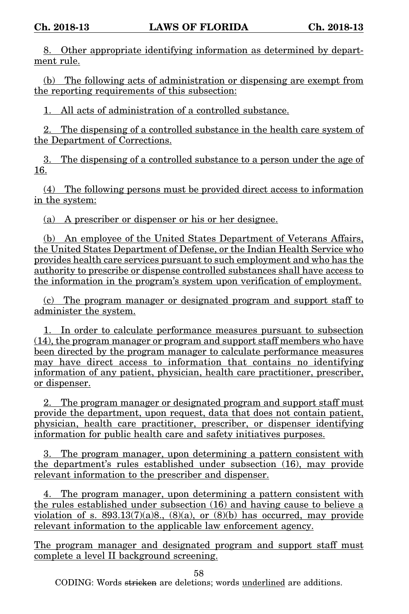8. Other appropriate identifying information as determined by department rule.

(b) The following acts of administration or dispensing are exempt from the reporting requirements of this subsection:

1. All acts of administration of a controlled substance.

2. The dispensing of a controlled substance in the health care system of the Department of Corrections.

3. The dispensing of a controlled substance to a person under the age of 16.

(4) The following persons must be provided direct access to information in the system:

(a) A prescriber or dispenser or his or her designee.

(b) An employee of the United States Department of Veterans Affairs, the United States Department of Defense, or the Indian Health Service who provides health care services pursuant to such employment and who has the authority to prescribe or dispense controlled substances shall have access to the information in the program's system upon verification of employment.

(c) The program manager or designated program and support staff to administer the system.

1. In order to calculate performance measures pursuant to subsection (14), the program manager or program and support staff members who have been directed by the program manager to calculate performance measures may have direct access to information that contains no identifying information of any patient, physician, health care practitioner, prescriber, or dispenser.

2. The program manager or designated program and support staff must provide the department, upon request, data that does not contain patient, physician, health care practitioner, prescriber, or dispenser identifying information for public health care and safety initiatives purposes.

3. The program manager, upon determining a pattern consistent with the department's rules established under subsection (16), may provide relevant information to the prescriber and dispenser.

The program manager, upon determining a pattern consistent with the rules established under subsection (16) and having cause to believe a violation of s.  $893.13(7)(a)8$ ,  $(8)(a)$ , or  $(8)(b)$  has occurred, may provide relevant information to the applicable law enforcement agency.

The program manager and designated program and support staff must complete a level II background screening.

58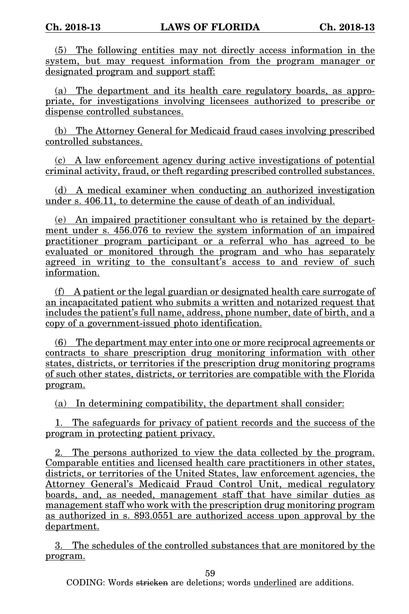(5) The following entities may not directly access information in the system, but may request information from the program manager or designated program and support staff:

(a) The department and its health care regulatory boards, as appropriate, for investigations involving licensees authorized to prescribe or dispense controlled substances.

(b) The Attorney General for Medicaid fraud cases involving prescribed controlled substances.

(c) A law enforcement agency during active investigations of potential criminal activity, fraud, or theft regarding prescribed controlled substances.

(d) A medical examiner when conducting an authorized investigation under s. 406.11, to determine the cause of death of an individual.

(e) An impaired practitioner consultant who is retained by the department under s. 456.076 to review the system information of an impaired practitioner program participant or a referral who has agreed to be evaluated or monitored through the program and who has separately agreed in writing to the consultant's access to and review of such information.

(f) A patient or the legal guardian or designated health care surrogate of an incapacitated patient who submits a written and notarized request that includes the patient's full name, address, phone number, date of birth, and a copy of a government-issued photo identification.

(6) The department may enter into one or more reciprocal agreements or contracts to share prescription drug monitoring information with other states, districts, or territories if the prescription drug monitoring programs of such other states, districts, or territories are compatible with the Florida program.

(a) In determining compatibility, the department shall consider:

1. The safeguards for privacy of patient records and the success of the program in protecting patient privacy.

The persons authorized to view the data collected by the program. Comparable entities and licensed health care practitioners in other states, districts, or territories of the United States, law enforcement agencies, the Attorney General's Medicaid Fraud Control Unit, medical regulatory boards, and, as needed, management staff that have similar duties as management staff who work with the prescription drug monitoring program as authorized in s. 893.0551 are authorized access upon approval by the department.

3. The schedules of the controlled substances that are monitored by the program.

59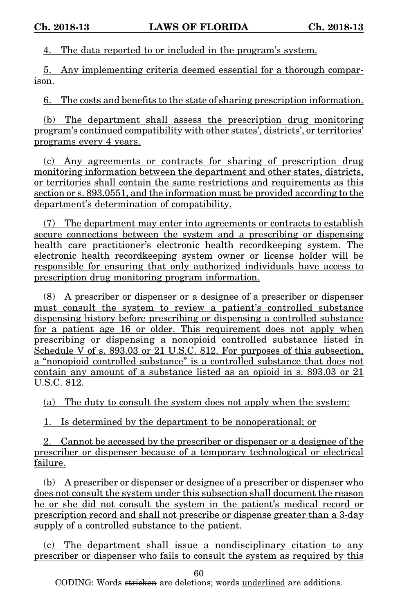4. The data reported to or included in the program's system.

5. Any implementing criteria deemed essential for a thorough comparison.

6. The costs and benefits to the state of sharing prescription information.

(b) The department shall assess the prescription drug monitoring program's continued compatibility with other states', districts', or territories' programs every 4 years.

(c) Any agreements or contracts for sharing of prescription drug monitoring information between the department and other states, districts, or territories shall contain the same restrictions and requirements as this section or s. 893.0551, and the information must be provided according to the department's determination of compatibility.

(7) The department may enter into agreements or contracts to establish secure connections between the system and a prescribing or dispensing health care practitioner's electronic health recordkeeping system. The electronic health recordkeeping system owner or license holder will be responsible for ensuring that only authorized individuals have access to prescription drug monitoring program information.

(8) A prescriber or dispenser or a designee of a prescriber or dispenser must consult the system to review a patient's controlled substance dispensing history before prescribing or dispensing a controlled substance for a patient age 16 or older. This requirement does not apply when prescribing or dispensing a nonopioid controlled substance listed in Schedule V of s. 893.03 or 21 U.S.C. 812. For purposes of this subsection, a "nonopioid controlled substance" is a controlled substance that does not contain any amount of a substance listed as an opioid in s. 893.03 or 21 U.S.C. 812.

(a) The duty to consult the system does not apply when the system:

1. Is determined by the department to be nonoperational; or

2. Cannot be accessed by the prescriber or dispenser or a designee of the prescriber or dispenser because of a temporary technological or electrical failure.

(b) A prescriber or dispenser or designee of a prescriber or dispenser who does not consult the system under this subsection shall document the reason he or she did not consult the system in the patient's medical record or prescription record and shall not prescribe or dispense greater than a 3-day supply of a controlled substance to the patient.

(c) The department shall issue a nondisciplinary citation to any prescriber or dispenser who fails to consult the system as required by this

60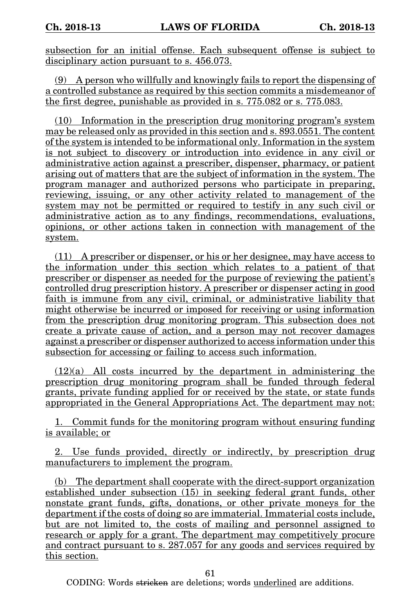subsection for an initial offense. Each subsequent offense is subject to disciplinary action pursuant to s. 456.073.

(9) A person who willfully and knowingly fails to report the dispensing of a controlled substance as required by this section commits a misdemeanor of the first degree, punishable as provided in s. 775.082 or s. 775.083.

(10) Information in the prescription drug monitoring program's system may be released only as provided in this section and s. 893.0551. The content of the system is intended to be informational only. Information in the system is not subject to discovery or introduction into evidence in any civil or administrative action against a prescriber, dispenser, pharmacy, or patient arising out of matters that are the subject of information in the system. The program manager and authorized persons who participate in preparing, reviewing, issuing, or any other activity related to management of the system may not be permitted or required to testify in any such civil or administrative action as to any findings, recommendations, evaluations, opinions, or other actions taken in connection with management of the system.

(11) A prescriber or dispenser, or his or her designee, may have access to the information under this section which relates to a patient of that prescriber or dispenser as needed for the purpose of reviewing the patient's controlled drug prescription history. A prescriber or dispenser acting in good faith is immune from any civil, criminal, or administrative liability that might otherwise be incurred or imposed for receiving or using information from the prescription drug monitoring program. This subsection does not create a private cause of action, and a person may not recover damages against a prescriber or dispenser authorized to access information under this subsection for accessing or failing to access such information.

(12)(a) All costs incurred by the department in administering the prescription drug monitoring program shall be funded through federal grants, private funding applied for or received by the state, or state funds appropriated in the General Appropriations Act. The department may not:

1. Commit funds for the monitoring program without ensuring funding is available; or

2. Use funds provided, directly or indirectly, by prescription drug manufacturers to implement the program.

(b) The department shall cooperate with the direct-support organization established under subsection  $(15)$  in seeking federal grant funds, other nonstate grant funds, gifts, donations, or other private moneys for the department if the costs of doing so are immaterial. Immaterial costs include, but are not limited to, the costs of mailing and personnel assigned to research or apply for a grant. The department may competitively procure and contract pursuant to s. 287.057 for any goods and services required by this section.

61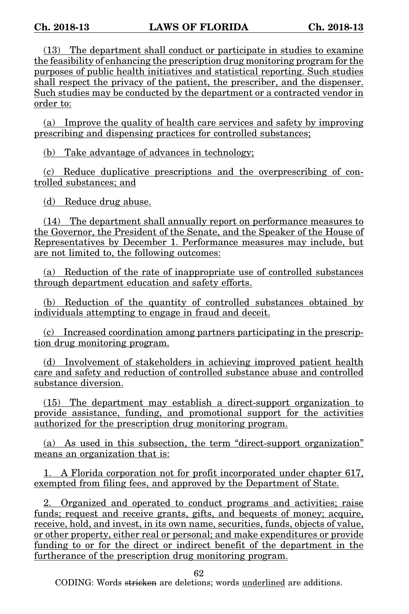(13) The department shall conduct or participate in studies to examine the feasibility of enhancing the prescription drug monitoring program for the purposes of public health initiatives and statistical reporting. Such studies shall respect the privacy of the patient, the prescriber, and the dispenser. Such studies may be conducted by the department or a contracted vendor in order to:

(a) Improve the quality of health care services and safety by improving prescribing and dispensing practices for controlled substances;

(b) Take advantage of advances in technology;

(c) Reduce duplicative prescriptions and the overprescribing of controlled substances; and

(d) Reduce drug abuse.

(14) The department shall annually report on performance measures to the Governor, the President of the Senate, and the Speaker of the House of Representatives by December 1. Performance measures may include, but are not limited to, the following outcomes:

(a) Reduction of the rate of inappropriate use of controlled substances through department education and safety efforts.

(b) Reduction of the quantity of controlled substances obtained by individuals attempting to engage in fraud and deceit.

(c) Increased coordination among partners participating in the prescription drug monitoring program.

(d) Involvement of stakeholders in achieving improved patient health care and safety and reduction of controlled substance abuse and controlled substance diversion.

(15) The department may establish a direct-support organization to provide assistance, funding, and promotional support for the activities authorized for the prescription drug monitoring program.

(a) As used in this subsection, the term "direct-support organization" means an organization that is:

1. A Florida corporation not for profit incorporated under chapter 617, exempted from filing fees, and approved by the Department of State.

2. Organized and operated to conduct programs and activities; raise funds; request and receive grants, gifts, and bequests of money; acquire, receive, hold, and invest, in its own name, securities, funds, objects of value, or other property, either real or personal; and make expenditures or provide funding to or for the direct or indirect benefit of the department in the furtherance of the prescription drug monitoring program.

62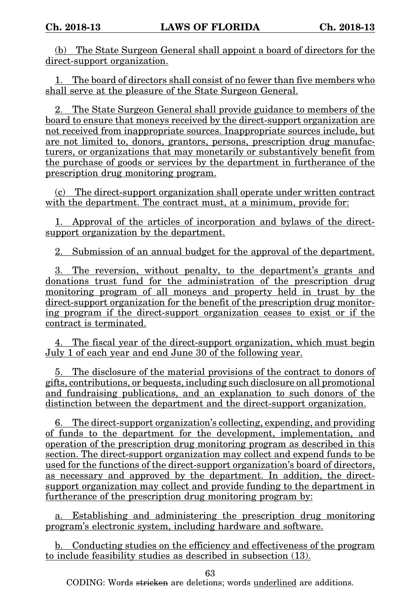(b) The State Surgeon General shall appoint a board of directors for the direct-support organization.

1. The board of directors shall consist of no fewer than five members who shall serve at the pleasure of the State Surgeon General.

2. The State Surgeon General shall provide guidance to members of the board to ensure that moneys received by the direct-support organization are not received from inappropriate sources. Inappropriate sources include, but are not limited to, donors, grantors, persons, prescription drug manufacturers, or organizations that may monetarily or substantively benefit from the purchase of goods or services by the department in furtherance of the prescription drug monitoring program.

(c) The direct-support organization shall operate under written contract with the department. The contract must, at a minimum, provide for:

1. Approval of the articles of incorporation and bylaws of the directsupport organization by the department.

2. Submission of an annual budget for the approval of the department.

3. The reversion, without penalty, to the department's grants and donations trust fund for the administration of the prescription drug monitoring program of all moneys and property held in trust by the direct-support organization for the benefit of the prescription drug monitoring program if the direct-support organization ceases to exist or if the contract is terminated.

4. The fiscal year of the direct-support organization, which must begin July 1 of each year and end June 30 of the following year.

5. The disclosure of the material provisions of the contract to donors of gifts, contributions, or bequests, including such disclosure on all promotional and fundraising publications, and an explanation to such donors of the distinction between the department and the direct-support organization.

6. The direct-support organization's collecting, expending, and providing of funds to the department for the development, implementation, and operation of the prescription drug monitoring program as described in this section. The direct-support organization may collect and expend funds to be used for the functions of the direct-support organization's board of directors, as necessary and approved by the department. In addition, the directsupport organization may collect and provide funding to the department in furtherance of the prescription drug monitoring program by:

a. Establishing and administering the prescription drug monitoring program's electronic system, including hardware and software.

b. Conducting studies on the efficiency and effectiveness of the program to include feasibility studies as described in subsection (13).

63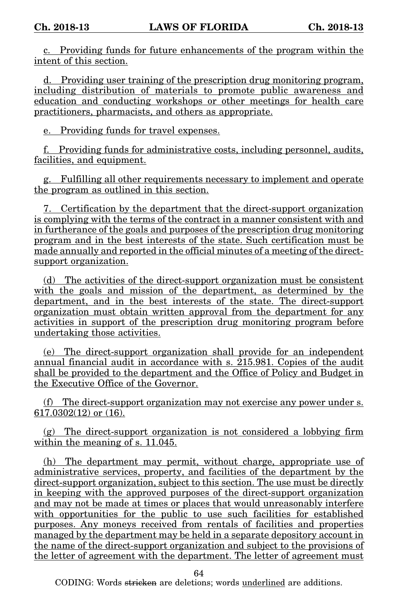c. Providing funds for future enhancements of the program within the intent of this section.

d. Providing user training of the prescription drug monitoring program, including distribution of materials to promote public awareness and education and conducting workshops or other meetings for health care practitioners, pharmacists, and others as appropriate.

e. Providing funds for travel expenses.

f. Providing funds for administrative costs, including personnel, audits, facilities, and equipment.

g. Fulfilling all other requirements necessary to implement and operate the program as outlined in this section.

7. Certification by the department that the direct-support organization is complying with the terms of the contract in a manner consistent with and in furtherance of the goals and purposes of the prescription drug monitoring program and in the best interests of the state. Such certification must be made annually and reported in the official minutes of a meeting of the directsupport organization.

(d) The activities of the direct-support organization must be consistent with the goals and mission of the department, as determined by the department, and in the best interests of the state. The direct-support organization must obtain written approval from the department for any activities in support of the prescription drug monitoring program before undertaking those activities.

(e) The direct-support organization shall provide for an independent annual financial audit in accordance with s. 215.981. Copies of the audit shall be provided to the department and the Office of Policy and Budget in the Executive Office of the Governor.

(f) The direct-support organization may not exercise any power under s. 617.0302(12) or (16).

(g) The direct-support organization is not considered a lobbying firm within the meaning of s. 11.045.

(h) The department may permit, without charge, appropriate use of administrative services, property, and facilities of the department by the direct-support organization, subject to this section. The use must be directly in keeping with the approved purposes of the direct-support organization and may not be made at times or places that would unreasonably interfere with opportunities for the public to use such facilities for established purposes. Any moneys received from rentals of facilities and properties managed by the department may be held in a separate depository account in the name of the direct-support organization and subject to the provisions of the letter of agreement with the department. The letter of agreement must

64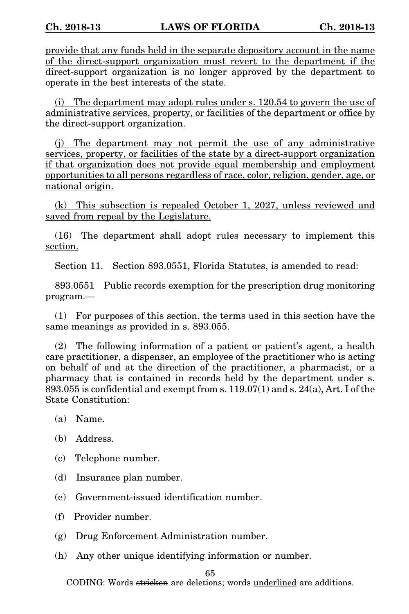provide that any funds held in the separate depository account in the name of the direct-support organization must revert to the department if the direct-support organization is no longer approved by the department to operate in the best interests of the state.

(i) The department may adopt rules under s. 120.54 to govern the use of administrative services, property, or facilities of the department or office by the direct-support organization.

(j) The department may not permit the use of any administrative services, property, or facilities of the state by a direct-support organization if that organization does not provide equal membership and employment opportunities to all persons regardless of race, color, religion, gender, age, or national origin.

(k) This subsection is repealed October 1, 2027, unless reviewed and saved from repeal by the Legislature.

(16) The department shall adopt rules necessary to implement this section.

Section 11. Section 893.0551, Florida Statutes, is amended to read:

893.0551 Public records exemption for the prescription drug monitoring program.—

(1) For purposes of this section, the terms used in this section have the same meanings as provided in s. 893.055.

(2) The following information of a patient or patient's agent, a health care practitioner, a dispenser, an employee of the practitioner who is acting on behalf of and at the direction of the practitioner, a pharmacist, or a pharmacy that is contained in records held by the department under s. 893.055 is confidential and exempt from s. 119.07(1) and s. 24(a), Art. I of the State Constitution:

(a) Name.

(b) Address.

(c) Telephone number.

(d) Insurance plan number.

(e) Government-issued identification number.

(f) Provider number.

(g) Drug Enforcement Administration number.

(h) Any other unique identifying information or number.

65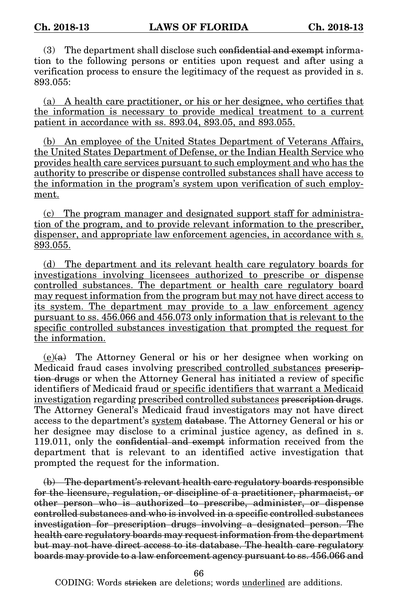(3) The department shall disclose such confidential and exempt information to the following persons or entities upon request and after using a verification process to ensure the legitimacy of the request as provided in s. 893.055:

(a) A health care practitioner, or his or her designee, who certifies that the information is necessary to provide medical treatment to a current patient in accordance with ss. 893.04, 893.05, and 893.055.

(b) An employee of the United States Department of Veterans Affairs, the United States Department of Defense, or the Indian Health Service who provides health care services pursuant to such employment and who has the authority to prescribe or dispense controlled substances shall have access to the information in the program's system upon verification of such employment.

(c) The program manager and designated support staff for administration of the program, and to provide relevant information to the prescriber, dispenser, and appropriate law enforcement agencies, in accordance with s. 893.055.

(d) The department and its relevant health care regulatory boards for investigations involving licensees authorized to prescribe or dispense controlled substances. The department or health care regulatory board may request information from the program but may not have direct access to its system. The department may provide to a law enforcement agency pursuant to ss. 456.066 and 456.073 only information that is relevant to the specific controlled substances investigation that prompted the request for the information.

 $(e)(a)$  The Attorney General or his or her designee when working on Medicaid fraud cases involving prescribed controlled substances prescription drugs or when the Attorney General has initiated a review of specific identifiers of Medicaid fraud or specific identifiers that warrant a Medicaid investigation regarding prescribed controlled substances prescription drugs. The Attorney General's Medicaid fraud investigators may not have direct access to the department's system database. The Attorney General or his or her designee may disclose to a criminal justice agency, as defined in s. 119.011, only the confidential and exempt information received from the department that is relevant to an identified active investigation that prompted the request for the information.

(b) The department's relevant health care regulatory boards responsible for the licensure, regulation, or discipline of a practitioner, pharmacist, or other person who is authorized to prescribe, administer, or dispense controlled substances and who is involved in a specific controlled substances investigation for prescription drugs involving a designated person. The health care regulatory boards may request information from the department but may not have direct access to its database. The health care regulatory boards may provide to a law enforcement agency pursuant to ss. 456.066 and

66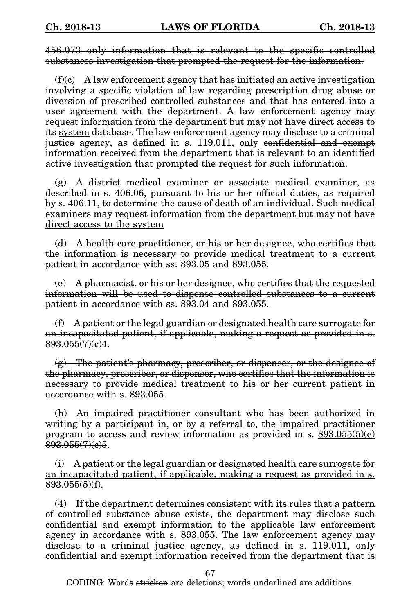## 456.073 only information that is relevant to the specific controlled substances investigation that prompted the request for the information.

 $(f)(e)$  A law enforcement agency that has initiated an active investigation involving a specific violation of law regarding prescription drug abuse or diversion of prescribed controlled substances and that has entered into a user agreement with the department. A law enforcement agency may request information from the department but may not have direct access to its system database. The law enforcement agency may disclose to a criminal justice agency, as defined in s. 119.011, only confidential and exempt information received from the department that is relevant to an identified active investigation that prompted the request for such information.

(g) A district medical examiner or associate medical examiner, as described in s. 406.06, pursuant to his or her official duties, as required by s. 406.11, to determine the cause of death of an individual. Such medical examiners may request information from the department but may not have direct access to the system

(d) A health care practitioner, or his or her designee, who certifies that the information is necessary to provide medical treatment to a current patient in accordance with ss. 893.05 and 893.055.

(e) A pharmacist, or his or her designee, who certifies that the requested information will be used to dispense controlled substances to a current patient in accordance with ss. 893.04 and 893.055.

 $(f)$  A patient or the legal guardian or designated health care surrogate for an incapacitated patient, if applicable, making a request as provided in s. 893.055(7)(c)4.

 $\left(\mathbf{g}\right)$  The patient's pharmacy, prescriber, or dispenser, or the designee of the pharmacy, prescriber, or dispenser, who certifies that the information is necessary to provide medical treatment to his or her current patient in accordance with s. 893.055.

(h) An impaired practitioner consultant who has been authorized in writing by a participant in, or by a referral to, the impaired practitioner program to access and review information as provided in s.  $893.055(5)(e)$ 893.055(7)(c)5.

(i) A patient or the legal guardian or designated health care surrogate for an incapacitated patient, if applicable, making a request as provided in s. 893.055(5)(f).

(4) If the department determines consistent with its rules that a pattern of controlled substance abuse exists, the department may disclose such confidential and exempt information to the applicable law enforcement agency in accordance with s. 893.055. The law enforcement agency may disclose to a criminal justice agency, as defined in s. 119.011, only confidential and exempt information received from the department that is

67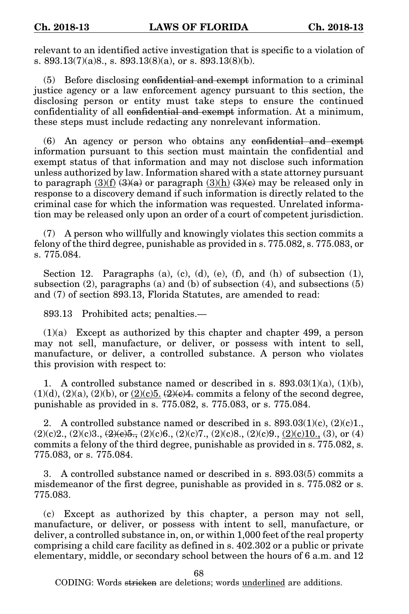relevant to an identified active investigation that is specific to a violation of s.  $893.13(7)(a)8$ , s.  $893.13(8)(a)$ , or s.  $893.13(8)(b)$ .

 $(5)$  Before disclosing confidential and exempt information to a criminal justice agency or a law enforcement agency pursuant to this section, the disclosing person or entity must take steps to ensure the continued confidentiality of all confidential and exempt information. At a minimum, these steps must include redacting any nonrelevant information.

(6) An agency or person who obtains any confidential and exempt information pursuant to this section must maintain the confidential and exempt status of that information and may not disclose such information unless authorized by law. Information shared with a state attorney pursuant to paragraph  $(3)(f)$   $(3)(a)$  or paragraph  $(3)(h)$   $(3)(e)$  may be released only in response to a discovery demand if such information is directly related to the criminal case for which the information was requested. Unrelated information may be released only upon an order of a court of competent jurisdiction.

(7) A person who willfully and knowingly violates this section commits a felony of the third degree, punishable as provided in s. 775.082, s. 775.083, or s. 775.084.

Section 12. Paragraphs (a), (c), (d), (e), (f), and (h) of subsection (1), subsection  $(2)$ , paragraphs  $(a)$  and  $(b)$  of subsection  $(4)$ , and subsections  $(5)$ and (7) of section 893.13, Florida Statutes, are amended to read:

893.13 Prohibited acts; penalties.—

(1)(a) Except as authorized by this chapter and chapter 499, a person may not sell, manufacture, or deliver, or possess with intent to sell, manufacture, or deliver, a controlled substance. A person who violates this provision with respect to:

1. A controlled substance named or described in s. 893.03(1)(a), (1)(b),  $(1)(d)$ ,  $(2)(a)$ ,  $(2)(b)$ , or  $(2)(c)5$ .  $(2)(e)4$ , commits a felony of the second degree, punishable as provided in s. 775.082, s. 775.083, or s. 775.084.

2. A controlled substance named or described in s.  $893.03(1)(c)$ ,  $(2)(c)1$ .  $(2)(c)2, (2)(c)3, (2)(e)5, (2)(c)6, (2)(c)7, (2)(c)8, (2)(c)9, (2)(c)10, (3),$  or (4) commits a felony of the third degree, punishable as provided in s. 775.082, s. 775.083, or s. 775.084.

3. A controlled substance named or described in s. 893.03(5) commits a misdemeanor of the first degree, punishable as provided in s. 775.082 or s. 775.083.

(c) Except as authorized by this chapter, a person may not sell, manufacture, or deliver, or possess with intent to sell, manufacture, or deliver, a controlled substance in, on, or within 1,000 feet of the real property comprising a child care facility as defined in s. 402.302 or a public or private elementary, middle, or secondary school between the hours of 6 a.m. and 12

68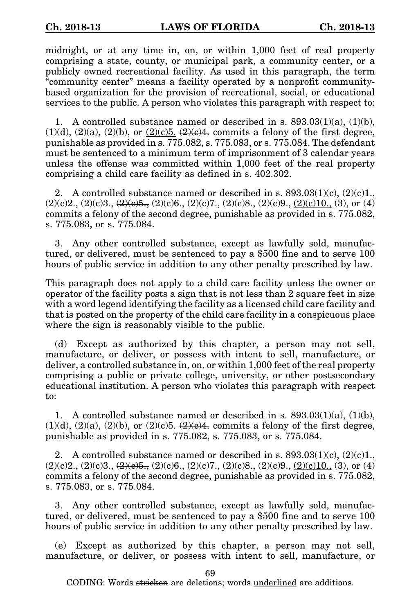midnight, or at any time in, on, or within 1,000 feet of real property comprising a state, county, or municipal park, a community center, or a publicly owned recreational facility. As used in this paragraph, the term "community center" means a facility operated by a nonprofit communitybased organization for the provision of recreational, social, or educational services to the public. A person who violates this paragraph with respect to:

1. A controlled substance named or described in s.  $893.03(1)(a)$ ,  $(1)(b)$ ,  $(1)(d)$ ,  $(2)(a)$ ,  $(2)(b)$ , or  $(2)(c)5$ .  $(2)(e)4$ , commits a felony of the first degree, punishable as provided in s. 775.082, s. 775.083, or s. 775.084. The defendant must be sentenced to a minimum term of imprisonment of 3 calendar years unless the offense was committed within 1,000 feet of the real property comprising a child care facility as defined in s. 402.302.

2. A controlled substance named or described in s.  $893.03(1)(c)$ ,  $(2)(c)1$ .  $(2)(c)2, (2)(c)3, (2)(e)5, (2)(c)6, (2)(c)7, (2)(c)8, (2)(c)9, (2)(c)10, (3),$  or  $(4)$ commits a felony of the second degree, punishable as provided in s. 775.082, s. 775.083, or s. 775.084.

3. Any other controlled substance, except as lawfully sold, manufactured, or delivered, must be sentenced to pay a \$500 fine and to serve 100 hours of public service in addition to any other penalty prescribed by law.

This paragraph does not apply to a child care facility unless the owner or operator of the facility posts a sign that is not less than 2 square feet in size with a word legend identifying the facility as a licensed child care facility and that is posted on the property of the child care facility in a conspicuous place where the sign is reasonably visible to the public.

(d) Except as authorized by this chapter, a person may not sell, manufacture, or deliver, or possess with intent to sell, manufacture, or deliver, a controlled substance in, on, or within 1,000 feet of the real property comprising a public or private college, university, or other postsecondary educational institution. A person who violates this paragraph with respect to:

1. A controlled substance named or described in s.  $893.03(1)(a)$ ,  $(1)(b)$ ,  $(1)(d)$ ,  $(2)(a)$ ,  $(2)(b)$ , or  $(2)(c)5$ .  $(2)(e)4$ , commits a felony of the first degree, punishable as provided in s. 775.082, s. 775.083, or s. 775.084.

2. A controlled substance named or described in s.  $893.03(1)(c)$ ,  $(2)(c)1$ .  $(2)(c)2, (2)(c)3, (2)(e)5, (2)(c)6, (2)(c)7, (2)(c)8, (2)(c)9, (2)(c)10, (3),$  or (4) commits a felony of the second degree, punishable as provided in s. 775.082, s. 775.083, or s. 775.084.

3. Any other controlled substance, except as lawfully sold, manufactured, or delivered, must be sentenced to pay a \$500 fine and to serve 100 hours of public service in addition to any other penalty prescribed by law.

(e) Except as authorized by this chapter, a person may not sell, manufacture, or deliver, or possess with intent to sell, manufacture, or

69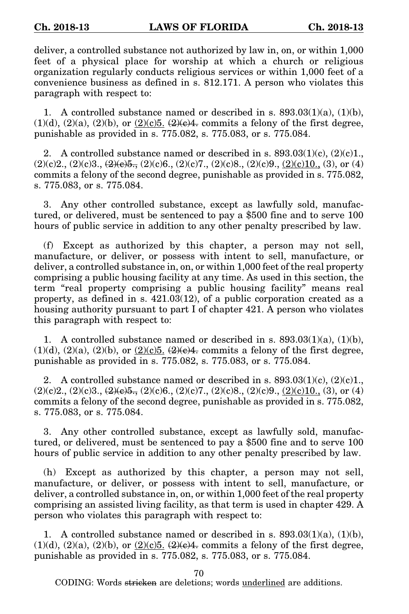deliver, a controlled substance not authorized by law in, on, or within 1,000 feet of a physical place for worship at which a church or religious organization regularly conducts religious services or within 1,000 feet of a convenience business as defined in s. 812.171. A person who violates this paragraph with respect to:

1. A controlled substance named or described in s.  $893.03(1)(a)$ ,  $(1)(b)$ ,  $(1)(d)$ ,  $(2)(a)$ ,  $(2)(b)$ , or  $(2)(c)5$ .  $(2)(e)4$ . commits a felony of the first degree, punishable as provided in s. 775.082, s. 775.083, or s. 775.084.

2. A controlled substance named or described in s.  $893.03(1)(c)$ ,  $(2)(c)1$ .  $(2)(c)2, (2)(c)3, (2)(e)5, (2)(c)6, (2)(c)7, (2)(c)8, (2)(c)9, (2)(c)10, (3),$  or (4) commits a felony of the second degree, punishable as provided in s. 775.082, s. 775.083, or s. 775.084.

3. Any other controlled substance, except as lawfully sold, manufactured, or delivered, must be sentenced to pay a \$500 fine and to serve 100 hours of public service in addition to any other penalty prescribed by law.

(f) Except as authorized by this chapter, a person may not sell, manufacture, or deliver, or possess with intent to sell, manufacture, or deliver, a controlled substance in, on, or within 1,000 feet of the real property comprising a public housing facility at any time. As used in this section, the term "real property comprising a public housing facility" means real property, as defined in s.  $421.03(12)$ , of a public corporation created as a housing authority pursuant to part I of chapter 421. A person who violates this paragraph with respect to:

1. A controlled substance named or described in s.  $893.03(1)(a)$ ,  $(1)(b)$ ,  $(1)(d)$ ,  $(2)(a)$ ,  $(2)(b)$ , or  $(2)(c)5$ .  $(2)(e)4$ , commits a felony of the first degree, punishable as provided in s. 775.082, s. 775.083, or s. 775.084.

2. A controlled substance named or described in s.  $893.03(1)(c)$ ,  $(2)(c)1$ .  $(2)(c)2, (2)(c)3, (2)(e)5, (2)(c)6, (2)(c)7, (2)(c)8, (2)(c)9, (2)(c)10, (3),$  or (4) commits a felony of the second degree, punishable as provided in s. 775.082, s. 775.083, or s. 775.084.

3. Any other controlled substance, except as lawfully sold, manufactured, or delivered, must be sentenced to pay a \$500 fine and to serve 100 hours of public service in addition to any other penalty prescribed by law.

(h) Except as authorized by this chapter, a person may not sell, manufacture, or deliver, or possess with intent to sell, manufacture, or deliver, a controlled substance in, on, or within 1,000 feet of the real property comprising an assisted living facility, as that term is used in chapter 429. A person who violates this paragraph with respect to:

1. A controlled substance named or described in s.  $893.03(1)(a)$ ,  $(1)(b)$ ,  $(1)(d)$ ,  $(2)(a)$ ,  $(2)(b)$ , or  $(2)(c)5$ .  $(2)(e)4$ , commits a felony of the first degree, punishable as provided in s. 775.082, s. 775.083, or s. 775.084.

70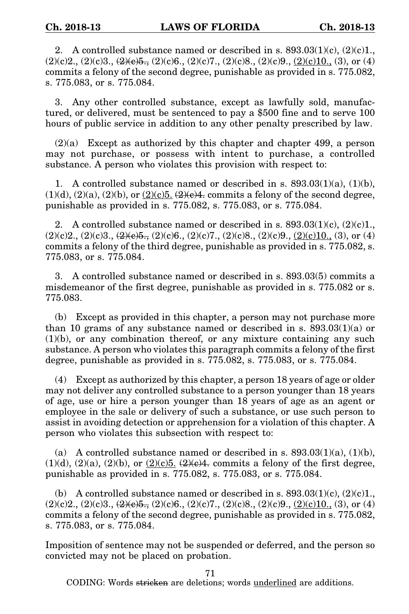2. A controlled substance named or described in s.  $893.03(1)(c)$ ,  $(2)(c)1$ .  $(2)(c)2, (2)(c)3, (2)(e)5, (2)(c)6, (2)(c)7, (2)(c)8, (2)(c)9, (2)(c)10, (3),$  or (4) commits a felony of the second degree, punishable as provided in s. 775.082, s. 775.083, or s. 775.084.

3. Any other controlled substance, except as lawfully sold, manufactured, or delivered, must be sentenced to pay a \$500 fine and to serve 100 hours of public service in addition to any other penalty prescribed by law.

(2)(a) Except as authorized by this chapter and chapter 499, a person may not purchase, or possess with intent to purchase, a controlled substance. A person who violates this provision with respect to:

1. A controlled substance named or described in s.  $893.03(1)(a)$ ,  $(1)(b)$ ,  $(1)(d)$ ,  $(2)(a)$ ,  $(2)(b)$ , or  $(2)(c)5$ .  $(2)(e)4$ , commits a felony of the second degree, punishable as provided in s. 775.082, s. 775.083, or s. 775.084.

2. A controlled substance named or described in s.  $893.03(1)(c)$ ,  $(2)(c)1$ .  $(2)(c)2, (2)(c)3, (2)(e)5, (2)(c)6, (2)(c)7, (2)(c)8, (2)(c)9, (2)(c)10, (3),$  or (4) commits a felony of the third degree, punishable as provided in s. 775.082, s. 775.083, or s. 775.084.

3. A controlled substance named or described in s. 893.03(5) commits a misdemeanor of the first degree, punishable as provided in s. 775.082 or s. 775.083.

(b) Except as provided in this chapter, a person may not purchase more than 10 grams of any substance named or described in s.  $893.03(1)(a)$  or  $(1)(b)$ , or any combination thereof, or any mixture containing any such substance. A person who violates this paragraph commits a felony of the first degree, punishable as provided in s. 775.082, s. 775.083, or s. 775.084.

(4) Except as authorized by this chapter, a person 18 years of age or older may not deliver any controlled substance to a person younger than 18 years of age, use or hire a person younger than 18 years of age as an agent or employee in the sale or delivery of such a substance, or use such person to assist in avoiding detection or apprehension for a violation of this chapter. A person who violates this subsection with respect to:

(a) A controlled substance named or described in s.  $893.03(1)(a)$ ,  $(1)(b)$ ,  $(1)(d)$ ,  $(2)(a)$ ,  $(2)(b)$ , or  $(2)(c)5$ .  $(2)(e)4$ , commits a felony of the first degree, punishable as provided in s. 775.082, s. 775.083, or s. 775.084.

(b) A controlled substance named or described in s.  $893.03(1)(c)$ ,  $(2)(c)1$ .  $(2)(c)2, (2)(c)3, (2)(e)5, (2)(c)6, (2)(c)7, (2)(c)8, (2)(c)9, (2)(c)10, (3),$  or (4) commits a felony of the second degree, punishable as provided in s. 775.082, s. 775.083, or s. 775.084.

Imposition of sentence may not be suspended or deferred, and the person so convicted may not be placed on probation.

71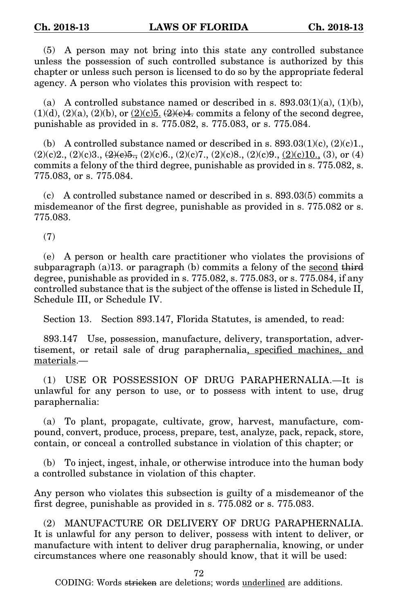(5) A person may not bring into this state any controlled substance unless the possession of such controlled substance is authorized by this chapter or unless such person is licensed to do so by the appropriate federal agency. A person who violates this provision with respect to:

(a) A controlled substance named or described in s.  $893.03(1)(a)$ ,  $(1)(b)$ ,  $(1)(d)$ ,  $(2)(a)$ ,  $(2)(b)$ , or  $(2)(c)5$ .  $\left(\frac{2}{c}\right)4$ , commits a felony of the second degree, punishable as provided in s. 775.082, s. 775.083, or s. 775.084.

(b) A controlled substance named or described in s.  $893.03(1)(c)$ ,  $(2)(c)1$ .  $(2)(c)2, (2)(c)3, (2)(e)5, (2)(c)6, (2)(c)7, (2)(c)8, (2)(c)9, (2)(c)10, (3),$  or (4) commits a felony of the third degree, punishable as provided in s. 775.082, s. 775.083, or s. 775.084.

(c) A controlled substance named or described in s. 893.03(5) commits a misdemeanor of the first degree, punishable as provided in s. 775.082 or s. 775.083.

(7)

(e) A person or health care practitioner who violates the provisions of subparagraph  $(a)13$ . or paragraph  $(b)$  commits a felony of the second third degree, punishable as provided in s. 775.082, s. 775.083, or s. 775.084, if any controlled substance that is the subject of the offense is listed in Schedule II, Schedule III, or Schedule IV.

Section 13. Section 893.147, Florida Statutes, is amended, to read:

893.147 Use, possession, manufacture, delivery, transportation, advertisement, or retail sale of drug paraphernalia, specified machines, and materials.—

(1) USE OR POSSESSION OF DRUG PARAPHERNALIA.—It is unlawful for any person to use, or to possess with intent to use, drug paraphernalia:

(a) To plant, propagate, cultivate, grow, harvest, manufacture, compound, convert, produce, process, prepare, test, analyze, pack, repack, store, contain, or conceal a controlled substance in violation of this chapter; or

(b) To inject, ingest, inhale, or otherwise introduce into the human body a controlled substance in violation of this chapter.

Any person who violates this subsection is guilty of a misdemeanor of the first degree, punishable as provided in s. 775.082 or s. 775.083.

(2) MANUFACTURE OR DELIVERY OF DRUG PARAPHERNALIA. It is unlawful for any person to deliver, possess with intent to deliver, or manufacture with intent to deliver drug paraphernalia, knowing, or under circumstances where one reasonably should know, that it will be used:

72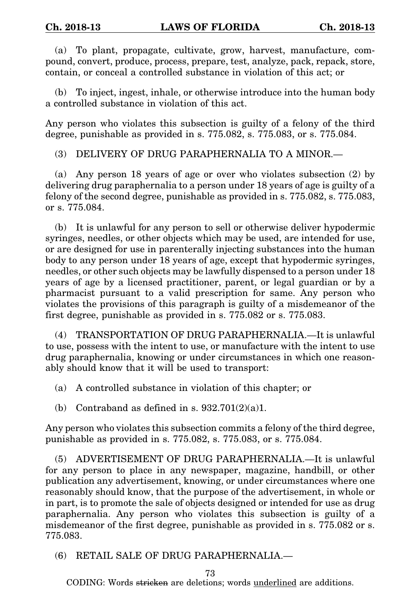(a) To plant, propagate, cultivate, grow, harvest, manufacture, compound, convert, produce, process, prepare, test, analyze, pack, repack, store, contain, or conceal a controlled substance in violation of this act; or

(b) To inject, ingest, inhale, or otherwise introduce into the human body a controlled substance in violation of this act.

Any person who violates this subsection is guilty of a felony of the third degree, punishable as provided in s. 775.082, s. 775.083, or s. 775.084.

(3) DELIVERY OF DRUG PARAPHERNALIA TO A MINOR.—

(a) Any person 18 years of age or over who violates subsection (2) by delivering drug paraphernalia to a person under 18 years of age is guilty of a felony of the second degree, punishable as provided in s. 775.082, s. 775.083, or s. 775.084.

(b) It is unlawful for any person to sell or otherwise deliver hypodermic syringes, needles, or other objects which may be used, are intended for use, or are designed for use in parenterally injecting substances into the human body to any person under 18 years of age, except that hypodermic syringes, needles, or other such objects may be lawfully dispensed to a person under 18 years of age by a licensed practitioner, parent, or legal guardian or by a pharmacist pursuant to a valid prescription for same. Any person who violates the provisions of this paragraph is guilty of a misdemeanor of the first degree, punishable as provided in s. 775.082 or s. 775.083.

(4) TRANSPORTATION OF DRUG PARAPHERNALIA.—It is unlawful to use, possess with the intent to use, or manufacture with the intent to use drug paraphernalia, knowing or under circumstances in which one reasonably should know that it will be used to transport:

(a) A controlled substance in violation of this chapter; or

(b) Contraband as defined in s.  $932.701(2)(a)1$ .

Any person who violates this subsection commits a felony of the third degree, punishable as provided in s. 775.082, s. 775.083, or s. 775.084.

(5) ADVERTISEMENT OF DRUG PARAPHERNALIA.—It is unlawful for any person to place in any newspaper, magazine, handbill, or other publication any advertisement, knowing, or under circumstances where one reasonably should know, that the purpose of the advertisement, in whole or in part, is to promote the sale of objects designed or intended for use as drug paraphernalia. Any person who violates this subsection is guilty of a misdemeanor of the first degree, punishable as provided in s. 775.082 or s. 775.083.

(6) RETAIL SALE OF DRUG PARAPHERNALIA.—

73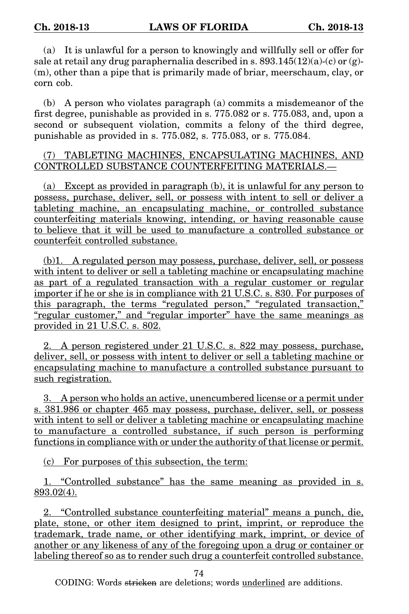(a) It is unlawful for a person to knowingly and willfully sell or offer for sale at retail any drug paraphernalia described in s.  $893.145(12)(a)-(c)$  or (g)-(m), other than a pipe that is primarily made of briar, meerschaum, clay, or corn cob.

(b) A person who violates paragraph (a) commits a misdemeanor of the first degree, punishable as provided in s. 775.082 or s. 775.083, and, upon a second or subsequent violation, commits a felony of the third degree, punishable as provided in s. 775.082, s. 775.083, or s. 775.084.

## (7) TABLETING MACHINES, ENCAPSULATING MACHINES, AND CONTROLLED SUBSTANCE COUNTERFEITING MATERIALS.—

(a) Except as provided in paragraph (b), it is unlawful for any person to possess, purchase, deliver, sell, or possess with intent to sell or deliver a tableting machine, an encapsulating machine, or controlled substance counterfeiting materials knowing, intending, or having reasonable cause to believe that it will be used to manufacture a controlled substance or counterfeit controlled substance.

(b)1. A regulated person may possess, purchase, deliver, sell, or possess with intent to deliver or sell a tableting machine or encapsulating machine as part of a regulated transaction with a regular customer or regular importer if he or she is in compliance with 21 U.S.C. s. 830. For purposes of this paragraph, the terms "regulated person," "regulated transaction," "regular customer," and "regular importer" have the same meanings as provided in 21 U.S.C. s. 802.

2. A person registered under 21 U.S.C. s. 822 may possess, purchase, deliver, sell, or possess with intent to deliver or sell a tableting machine or encapsulating machine to manufacture a controlled substance pursuant to such registration.

3. A person who holds an active, unencumbered license or a permit under s. 381.986 or chapter 465 may possess, purchase, deliver, sell, or possess with intent to sell or deliver a tableting machine or encapsulating machine to manufacture a controlled substance, if such person is performing functions in compliance with or under the authority of that license or permit.

(c) For purposes of this subsection, the term:

1. "Controlled substance" has the same meaning as provided in s. 893.02(4).

2. "Controlled substance counterfeiting material" means a punch, die, plate, stone, or other item designed to print, imprint, or reproduce the trademark, trade name, or other identifying mark, imprint, or device of another or any likeness of any of the foregoing upon a drug or container or labeling thereof so as to render such drug a counterfeit controlled substance.

74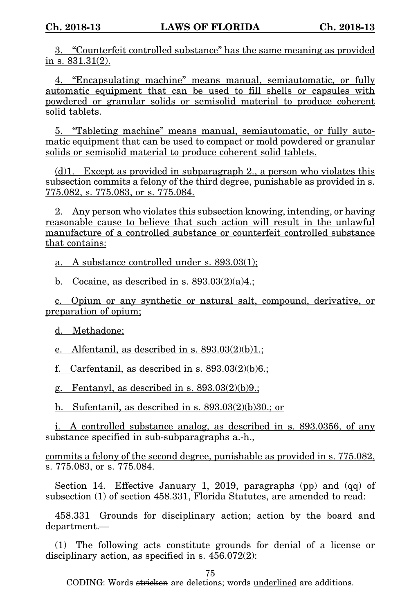3. "Counterfeit controlled substance" has the same meaning as provided in s. 831.31(2).

4. "Encapsulating machine" means manual, semiautomatic, or fully automatic equipment that can be used to fill shells or capsules with powdered or granular solids or semisolid material to produce coherent solid tablets.

5. "Tableting machine" means manual, semiautomatic, or fully automatic equipment that can be used to compact or mold powdered or granular solids or semisolid material to produce coherent solid tablets.

(d)1. Except as provided in subparagraph 2., a person who violates this subsection commits a felony of the third degree, punishable as provided in s. 775.082, s. 775.083, or s. 775.084.

2. Any person who violates this subsection knowing, intending, or having reasonable cause to believe that such action will result in the unlawful manufacture of a controlled substance or counterfeit controlled substance that contains:

a. A substance controlled under s. 893.03(1);

b. Cocaine, as described in s.  $893.03(2)(a)4$ .;

c. Opium or any synthetic or natural salt, compound, derivative, or preparation of opium;

d. Methadone;

e. Alfentanil, as described in s. 893.03(2)(b)1.;

f. Carfentanil, as described in s.  $893.03(2)(b)6$ .

g. Fentanyl, as described in s.  $893.03(2)(b)9$ .

h. Sufentanil, as described in s. 893.03(2)(b)30.; or

i. A controlled substance analog, as described in s. 893.0356, of any substance specified in sub-subparagraphs a.-h.,

commits a felony of the second degree, punishable as provided in s. 775.082, s. 775.083, or s. 775.084.

Section 14. Effective January 1, 2019, paragraphs (pp) and (qq) of subsection (1) of section 458.331, Florida Statutes, are amended to read:

458.331 Grounds for disciplinary action; action by the board and department.—

(1) The following acts constitute grounds for denial of a license or disciplinary action, as specified in s. 456.072(2):

75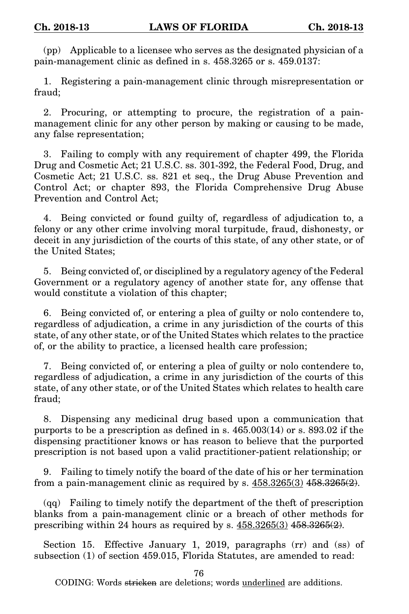(pp) Applicable to a licensee who serves as the designated physician of a pain-management clinic as defined in s. 458.3265 or s. 459.0137:

1. Registering a pain-management clinic through misrepresentation or fraud;

2. Procuring, or attempting to procure, the registration of a painmanagement clinic for any other person by making or causing to be made, any false representation;

3. Failing to comply with any requirement of chapter 499, the Florida Drug and Cosmetic Act; 21 U.S.C. ss. 301-392, the Federal Food, Drug, and Cosmetic Act; 21 U.S.C. ss. 821 et seq., the Drug Abuse Prevention and Control Act; or chapter 893, the Florida Comprehensive Drug Abuse Prevention and Control Act;

4. Being convicted or found guilty of, regardless of adjudication to, a felony or any other crime involving moral turpitude, fraud, dishonesty, or deceit in any jurisdiction of the courts of this state, of any other state, or of the United States;

5. Being convicted of, or disciplined by a regulatory agency of the Federal Government or a regulatory agency of another state for, any offense that would constitute a violation of this chapter;

6. Being convicted of, or entering a plea of guilty or nolo contendere to, regardless of adjudication, a crime in any jurisdiction of the courts of this state, of any other state, or of the United States which relates to the practice of, or the ability to practice, a licensed health care profession;

7. Being convicted of, or entering a plea of guilty or nolo contendere to, regardless of adjudication, a crime in any jurisdiction of the courts of this state, of any other state, or of the United States which relates to health care fraud;

8. Dispensing any medicinal drug based upon a communication that purports to be a prescription as defined in s. 465.003(14) or s. 893.02 if the dispensing practitioner knows or has reason to believe that the purported prescription is not based upon a valid practitioner-patient relationship; or

9. Failing to timely notify the board of the date of his or her termination from a pain-management clinic as required by s.  $458.3265(3)$   $458.3265(2)$ .

(qq) Failing to timely notify the department of the theft of prescription blanks from a pain-management clinic or a breach of other methods for prescribing within 24 hours as required by s.  $458.3265(3)$   $458.3265(2)$ .

Section 15. Effective January 1, 2019, paragraphs (rr) and (ss) of subsection (1) of section 459.015, Florida Statutes, are amended to read:

76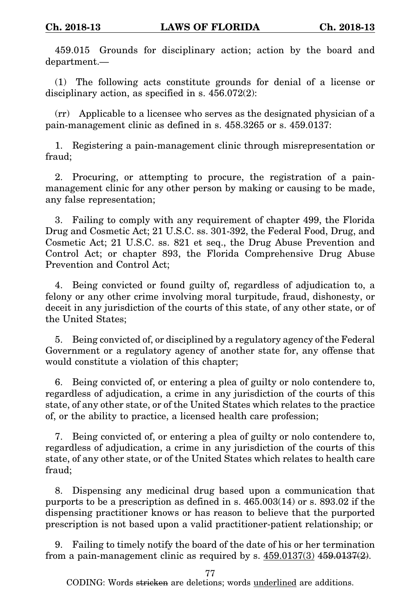459.015 Grounds for disciplinary action; action by the board and department.—

(1) The following acts constitute grounds for denial of a license or disciplinary action, as specified in s. 456.072(2):

(rr) Applicable to a licensee who serves as the designated physician of a pain-management clinic as defined in s. 458.3265 or s. 459.0137:

1. Registering a pain-management clinic through misrepresentation or fraud;

2. Procuring, or attempting to procure, the registration of a painmanagement clinic for any other person by making or causing to be made, any false representation;

3. Failing to comply with any requirement of chapter 499, the Florida Drug and Cosmetic Act; 21 U.S.C. ss. 301-392, the Federal Food, Drug, and Cosmetic Act; 21 U.S.C. ss. 821 et seq., the Drug Abuse Prevention and Control Act; or chapter 893, the Florida Comprehensive Drug Abuse Prevention and Control Act;

4. Being convicted or found guilty of, regardless of adjudication to, a felony or any other crime involving moral turpitude, fraud, dishonesty, or deceit in any jurisdiction of the courts of this state, of any other state, or of the United States;

5. Being convicted of, or disciplined by a regulatory agency of the Federal Government or a regulatory agency of another state for, any offense that would constitute a violation of this chapter;

6. Being convicted of, or entering a plea of guilty or nolo contendere to, regardless of adjudication, a crime in any jurisdiction of the courts of this state, of any other state, or of the United States which relates to the practice of, or the ability to practice, a licensed health care profession;

7. Being convicted of, or entering a plea of guilty or nolo contendere to, regardless of adjudication, a crime in any jurisdiction of the courts of this state, of any other state, or of the United States which relates to health care fraud;

8. Dispensing any medicinal drug based upon a communication that purports to be a prescription as defined in s. 465.003(14) or s. 893.02 if the dispensing practitioner knows or has reason to believe that the purported prescription is not based upon a valid practitioner-patient relationship; or

9. Failing to timely notify the board of the date of his or her termination from a pain-management clinic as required by s.  $459.0137(3)$   $459.0137(2)$ .

77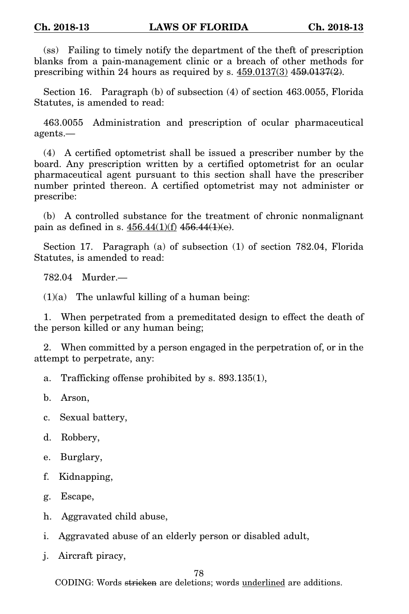(ss) Failing to timely notify the department of the theft of prescription blanks from a pain-management clinic or a breach of other methods for prescribing within 24 hours as required by s.  $459.0137(3)$   $459.0137(2)$ .

Section 16. Paragraph (b) of subsection (4) of section 463.0055, Florida Statutes, is amended to read:

463.0055 Administration and prescription of ocular pharmaceutical agents.—

(4) A certified optometrist shall be issued a prescriber number by the board. Any prescription written by a certified optometrist for an ocular pharmaceutical agent pursuant to this section shall have the prescriber number printed thereon. A certified optometrist may not administer or prescribe:

(b) A controlled substance for the treatment of chronic nonmalignant pain as defined in s.  $456.44(1)(f)$   $456.44(1)(e)$ .

Section 17. Paragraph (a) of subsection (1) of section 782.04, Florida Statutes, is amended to read:

782.04 Murder.—

 $(1)(a)$  The unlawful killing of a human being:

1. When perpetrated from a premeditated design to effect the death of the person killed or any human being;

2. When committed by a person engaged in the perpetration of, or in the attempt to perpetrate, any:

a. Trafficking offense prohibited by s. 893.135(1),

b. Arson,

c. Sexual battery,

d. Robbery,

e. Burglary,

f. Kidnapping,

g. Escape,

h. Aggravated child abuse,

i. Aggravated abuse of an elderly person or disabled adult,

j. Aircraft piracy,

78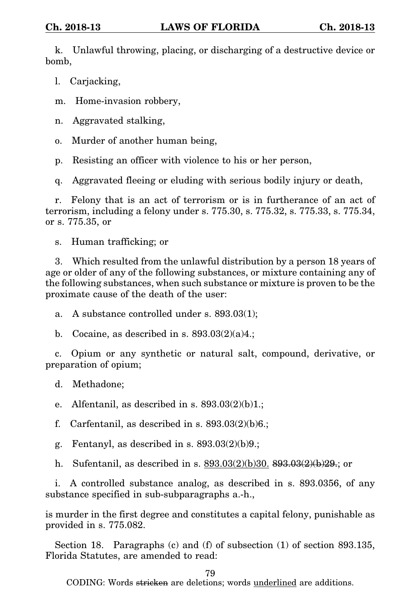k. Unlawful throwing, placing, or discharging of a destructive device or bomb,

l. Carjacking,

m. Home-invasion robbery,

n. Aggravated stalking,

o. Murder of another human being,

p. Resisting an officer with violence to his or her person,

q. Aggravated fleeing or eluding with serious bodily injury or death,

r. Felony that is an act of terrorism or is in furtherance of an act of terrorism, including a felony under s. 775.30, s. 775.32, s. 775.33, s. 775.34, or s. 775.35, or

s. Human trafficking; or

3. Which resulted from the unlawful distribution by a person 18 years of age or older of any of the following substances, or mixture containing any of the following substances, when such substance or mixture is proven to be the proximate cause of the death of the user:

a. A substance controlled under s. 893.03(1);

b. Cocaine, as described in s.  $893.03(2)(a)4$ .;

c. Opium or any synthetic or natural salt, compound, derivative, or preparation of opium;

e. Alfentanil, as described in s.  $893.03(2)(b)1$ .;

f. Carfentanil, as described in s.  $893.03(2)(b)6$ .;

g. Fentanyl, as described in s.  $893.03(2)(b)9$ .

h. Sufentanil, as described in s.  $893.03(2)(b)30.893.03(2)(b)29$ ; or

i. A controlled substance analog, as described in s. 893.0356, of any substance specified in sub-subparagraphs a.-h.,

is murder in the first degree and constitutes a capital felony, punishable as provided in s. 775.082.

Section 18. Paragraphs (c) and (f) of subsection (1) of section 893.135, Florida Statutes, are amended to read:

79

d. Methadone;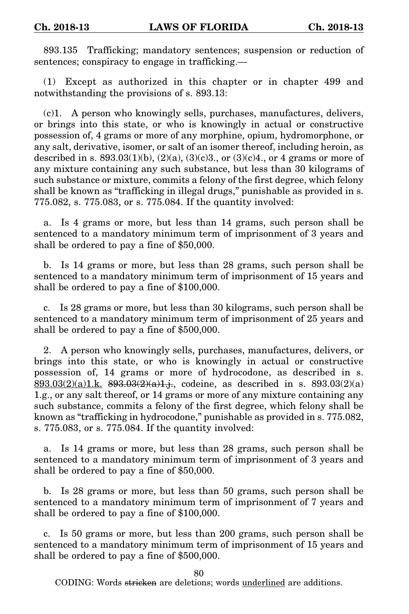893.135 Trafficking; mandatory sentences; suspension or reduction of sentences; conspiracy to engage in trafficking.—

(1) Except as authorized in this chapter or in chapter 499 and notwithstanding the provisions of s. 893.13:

(c)1. A person who knowingly sells, purchases, manufactures, delivers, or brings into this state, or who is knowingly in actual or constructive possession of, 4 grams or more of any morphine, opium, hydromorphone, or any salt, derivative, isomer, or salt of an isomer thereof, including heroin, as described in s. 893.03(1)(b), (2)(a), (3)(c)3., or (3)(c)4., or 4 grams or more of any mixture containing any such substance, but less than 30 kilograms of such substance or mixture, commits a felony of the first degree, which felony shall be known as "trafficking in illegal drugs," punishable as provided in s. 775.082, s. 775.083, or s. 775.084. If the quantity involved:

a. Is 4 grams or more, but less than 14 grams, such person shall be sentenced to a mandatory minimum term of imprisonment of 3 years and shall be ordered to pay a fine of \$50,000.

b. Is 14 grams or more, but less than 28 grams, such person shall be sentenced to a mandatory minimum term of imprisonment of 15 years and shall be ordered to pay a fine of \$100,000.

c. Is 28 grams or more, but less than 30 kilograms, such person shall be sentenced to a mandatory minimum term of imprisonment of 25 years and shall be ordered to pay a fine of \$500,000.

2. A person who knowingly sells, purchases, manufactures, delivers, or brings into this state, or who is knowingly in actual or constructive possession of, 14 grams or more of hydrocodone, as described in s. 893.03 $(2)(a)1.k. 893.03(2)(a)1.i.$ , codeine, as described in s. 893.03 $(2)(a)$ 1.g., or any salt thereof, or 14 grams or more of any mixture containing any such substance, commits a felony of the first degree, which felony shall be known as "trafficking in hydrocodone," punishable as provided in s. 775.082, s. 775.083, or s. 775.084. If the quantity involved:

a. Is 14 grams or more, but less than 28 grams, such person shall be sentenced to a mandatory minimum term of imprisonment of 3 years and shall be ordered to pay a fine of \$50,000.

b. Is 28 grams or more, but less than 50 grams, such person shall be sentenced to a mandatory minimum term of imprisonment of 7 years and shall be ordered to pay a fine of \$100,000.

c. Is 50 grams or more, but less than 200 grams, such person shall be sentenced to a mandatory minimum term of imprisonment of 15 years and shall be ordered to pay a fine of \$500,000.

80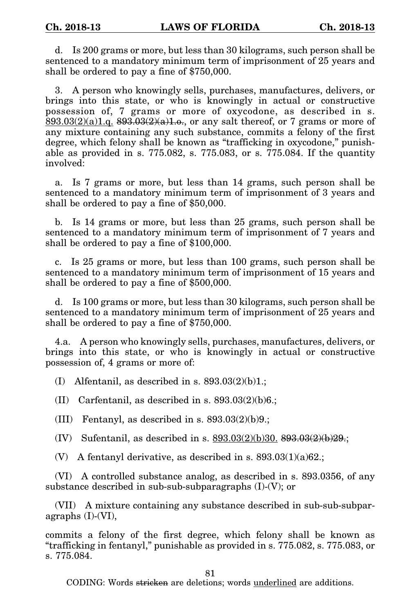d. Is 200 grams or more, but less than 30 kilograms, such person shall be sentenced to a mandatory minimum term of imprisonment of 25 years and shall be ordered to pay a fine of \$750,000.

3. A person who knowingly sells, purchases, manufactures, delivers, or brings into this state, or who is knowingly in actual or constructive possession of, 7 grams or more of oxycodone, as described in s.  $893.03(2)(a)1.q.$   $893.03(2)(a)1.o.,$  or any salt thereof, or 7 grams or more of any mixture containing any such substance, commits a felony of the first degree, which felony shall be known as "trafficking in oxycodone," punishable as provided in s. 775.082, s. 775.083, or s. 775.084. If the quantity involved:

a. Is 7 grams or more, but less than 14 grams, such person shall be sentenced to a mandatory minimum term of imprisonment of 3 years and shall be ordered to pay a fine of \$50,000.

b. Is 14 grams or more, but less than 25 grams, such person shall be sentenced to a mandatory minimum term of imprisonment of 7 years and shall be ordered to pay a fine of \$100,000.

c. Is 25 grams or more, but less than 100 grams, such person shall be sentenced to a mandatory minimum term of imprisonment of 15 years and shall be ordered to pay a fine of \$500,000.

d. Is 100 grams or more, but less than 30 kilograms, such person shall be sentenced to a mandatory minimum term of imprisonment of 25 years and shall be ordered to pay a fine of \$750,000.

4.a. A person who knowingly sells, purchases, manufactures, delivers, or brings into this state, or who is knowingly in actual or constructive possession of, 4 grams or more of:

(I) Alfentanil, as described in s.  $893.03(2)(b)1$ .;

(II) Carfentanil, as described in s.  $893.03(2)(b)6$ .;

(III) Fentanyl, as described in s.  $893.03(2)(b)9$ .;

(IV) Sufentanil, as described in s.  $893.03(2)(b)30.893.03(2)(b)29.$ ;

(V) A fentanyl derivative, as described in s.  $893.03(1)(a)62$ .;

(VI) A controlled substance analog, as described in s. 893.0356, of any substance described in sub-sub-subparagraphs (I)-(V); or

(VII) A mixture containing any substance described in sub-sub-subparagraphs (I)-(VI),

commits a felony of the first degree, which felony shall be known as "trafficking in fentanyl," punishable as provided in s. 775.082, s. 775.083, or s. 775.084.

81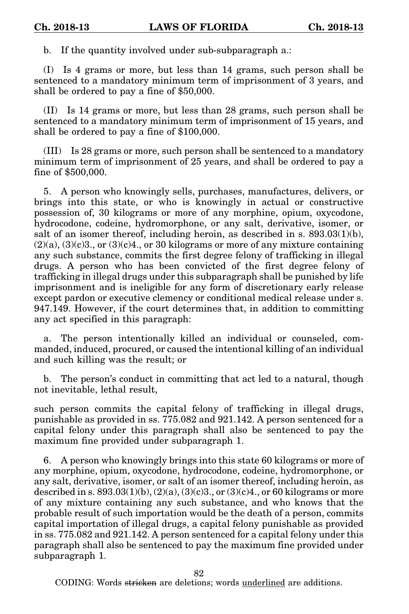b. If the quantity involved under sub-subparagraph a.:

(I) Is 4 grams or more, but less than 14 grams, such person shall be sentenced to a mandatory minimum term of imprisonment of 3 years, and shall be ordered to pay a fine of \$50,000.

(II) Is 14 grams or more, but less than 28 grams, such person shall be sentenced to a mandatory minimum term of imprisonment of 15 years, and shall be ordered to pay a fine of \$100,000.

(III) Is 28 grams or more, such person shall be sentenced to a mandatory minimum term of imprisonment of 25 years, and shall be ordered to pay a fine of \$500,000.

5. A person who knowingly sells, purchases, manufactures, delivers, or brings into this state, or who is knowingly in actual or constructive possession of, 30 kilograms or more of any morphine, opium, oxycodone, hydrocodone, codeine, hydromorphone, or any salt, derivative, isomer, or salt of an isomer thereof, including heroin, as described in s. 893.03(1)(b),  $(2)(a)$ ,  $(3)(c)3$ ., or  $(3)(c)4$ ., or 30 kilograms or more of any mixture containing any such substance, commits the first degree felony of trafficking in illegal drugs. A person who has been convicted of the first degree felony of trafficking in illegal drugs under this subparagraph shall be punished by life imprisonment and is ineligible for any form of discretionary early release except pardon or executive clemency or conditional medical release under s. 947.149. However, if the court determines that, in addition to committing any act specified in this paragraph:

a. The person intentionally killed an individual or counseled, commanded, induced, procured, or caused the intentional killing of an individual and such killing was the result; or

b. The person's conduct in committing that act led to a natural, though not inevitable, lethal result,

such person commits the capital felony of trafficking in illegal drugs, punishable as provided in ss. 775.082 and 921.142. A person sentenced for a capital felony under this paragraph shall also be sentenced to pay the maximum fine provided under subparagraph 1.

6. A person who knowingly brings into this state 60 kilograms or more of any morphine, opium, oxycodone, hydrocodone, codeine, hydromorphone, or any salt, derivative, isomer, or salt of an isomer thereof, including heroin, as described in s.  $893.03(1)(b)$ ,  $(2)(a)$ ,  $(3)(c)3$ ., or  $(3)(c)4$ ., or 60 kilograms or more of any mixture containing any such substance, and who knows that the probable result of such importation would be the death of a person, commits capital importation of illegal drugs, a capital felony punishable as provided in ss. 775.082 and 921.142. A person sentenced for a capital felony under this paragraph shall also be sentenced to pay the maximum fine provided under subparagraph 1.

82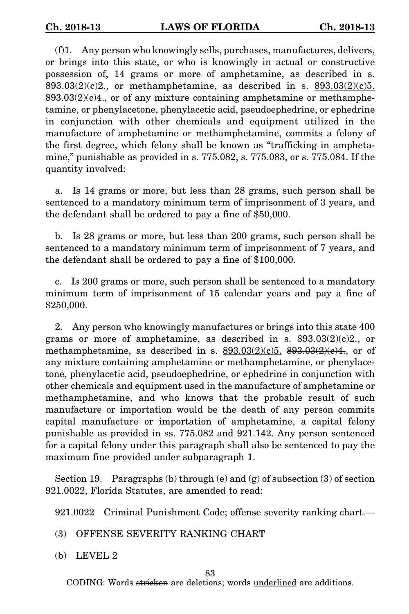(f)1. Any person who knowingly sells, purchases, manufactures, delivers, or brings into this state, or who is knowingly in actual or constructive possession of, 14 grams or more of amphetamine, as described in s.  $893.03(2)(c)2$ ., or methamphetamine, as described in s.  $893.03(2)(c)5$ .  $893.03(2)(e)4$ , or of any mixture containing amphetamine or methamphetamine, or phenylacetone, phenylacetic acid, pseudoephedrine, or ephedrine in conjunction with other chemicals and equipment utilized in the manufacture of amphetamine or methamphetamine, commits a felony of the first degree, which felony shall be known as "trafficking in amphetamine," punishable as provided in s. 775.082, s. 775.083, or s. 775.084. If the quantity involved:

a. Is 14 grams or more, but less than 28 grams, such person shall be sentenced to a mandatory minimum term of imprisonment of 3 years, and the defendant shall be ordered to pay a fine of \$50,000.

b. Is 28 grams or more, but less than 200 grams, such person shall be sentenced to a mandatory minimum term of imprisonment of 7 years, and the defendant shall be ordered to pay a fine of \$100,000.

c. Is 200 grams or more, such person shall be sentenced to a mandatory minimum term of imprisonment of 15 calendar years and pay a fine of \$250,000.

2. Any person who knowingly manufactures or brings into this state 400 grams or more of amphetamine, as described in s.  $893.03(2)(c)2$ ., or methamphetamine, as described in s.  $893.03(2)(c)5$ .  $893.03(2)(e)4$ , or of any mixture containing amphetamine or methamphetamine, or phenylacetone, phenylacetic acid, pseudoephedrine, or ephedrine in conjunction with other chemicals and equipment used in the manufacture of amphetamine or methamphetamine, and who knows that the probable result of such manufacture or importation would be the death of any person commits capital manufacture or importation of amphetamine, a capital felony punishable as provided in ss. 775.082 and 921.142. Any person sentenced for a capital felony under this paragraph shall also be sentenced to pay the maximum fine provided under subparagraph 1.

Section 19. Paragraphs (b) through (e) and  $(g)$  of subsection (3) of section 921.0022, Florida Statutes, are amended to read:

921.0022 Criminal Punishment Code; offense severity ranking chart.—

- (3) OFFENSE SEVERITY RANKING CHART
- (b) LEVEL 2

83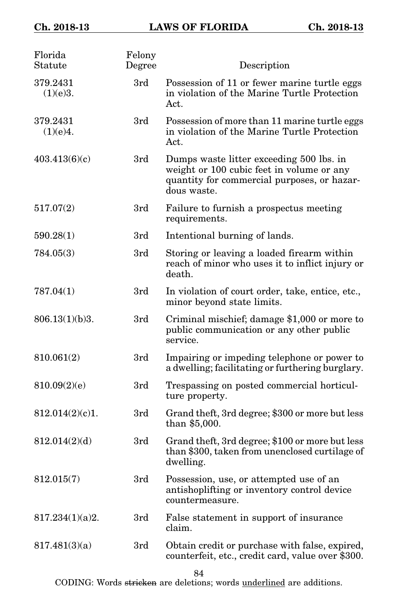| Florida<br>Statute   | Felony<br>Degree | Description                                                                                                                                         |
|----------------------|------------------|-----------------------------------------------------------------------------------------------------------------------------------------------------|
| 379.2431<br>(1)(e)3. | 3rd              | Possession of 11 or fewer marine turtle eggs<br>in violation of the Marine Turtle Protection<br>Act.                                                |
| 379.2431<br>(1)(e)4. | 3rd              | Possession of more than 11 marine turtle eggs<br>in violation of the Marine Turtle Protection<br>Act.                                               |
| 403.413(6)(c)        | 3rd              | Dumps waste litter exceeding 500 lbs. in<br>weight or 100 cubic feet in volume or any<br>quantity for commercial purposes, or hazar-<br>dous waste. |
| 517.07(2)            | 3rd              | Failure to furnish a prospectus meeting<br>requirements.                                                                                            |
| 590.28(1)            | 3rd              | Intentional burning of lands.                                                                                                                       |
| 784.05(3)            | 3rd              | Storing or leaving a loaded firearm within<br>reach of minor who uses it to inflict injury or<br>death.                                             |
| 787.04(1)            | 3rd              | In violation of court order, take, entice, etc.,<br>minor beyond state limits.                                                                      |
| 806.13(1)(b)3.       | 3rd              | Criminal mischief; damage \$1,000 or more to<br>public communication or any other public<br>service.                                                |
| 810.061(2)           | 3rd              | Impairing or impeding telephone or power to<br>a dwelling; facilitating or furthering burglary.                                                     |
| 810.09(2)(e)         | 3rd              | Trespassing on posted commercial horticul-<br>ture property.                                                                                        |
| 812.014(2)(c)1.      | 3rd              | Grand theft, 3rd degree; \$300 or more but less<br>than \$5,000.                                                                                    |
| 812.014(2)(d)        | 3rd              | Grand theft, 3rd degree; \$100 or more but less<br>than \$300, taken from unenclosed curtilage of<br>dwelling.                                      |
| 812.015(7)           | 3rd              | Possession, use, or attempted use of an<br>antishoplifting or inventory control device<br>countermeasure.                                           |
| 817.234(1)(a)2.      | 3rd              | False statement in support of insurance<br>claim.                                                                                                   |
| 817.481(3)(a)        | 3rd              | Obtain credit or purchase with false, expired,<br>counterfeit, etc., credit card, value over \$300.                                                 |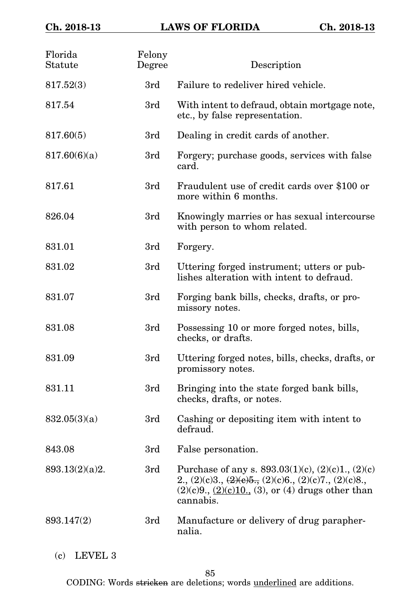| Florida<br>${\rm Statute}$ | Felony<br>Degree | Description                                                                                                                                                                        |
|----------------------------|------------------|------------------------------------------------------------------------------------------------------------------------------------------------------------------------------------|
| 817.52(3)                  | 3rd              | Failure to redeliver hired vehicle.                                                                                                                                                |
| 817.54                     | 3rd              | With intent to defraud, obtain mortgage note,<br>etc., by false representation.                                                                                                    |
| 817.60(5)                  | 3rd              | Dealing in credit cards of another.                                                                                                                                                |
| 817.60(6)(a)               | 3rd              | Forgery; purchase goods, services with false<br>card.                                                                                                                              |
| 817.61                     | 3rd              | Fraudulent use of credit cards over \$100 or<br>more within 6 months.                                                                                                              |
| 826.04                     | 3rd              | Knowingly marries or has sexual intercourse<br>with person to whom related.                                                                                                        |
| 831.01                     | 3rd              | Forgery.                                                                                                                                                                           |
| 831.02                     | 3rd              | Uttering forged instrument; utters or pub-<br>lishes alteration with intent to defraud.                                                                                            |
| 831.07                     | 3rd              | Forging bank bills, checks, drafts, or pro-<br>missory notes.                                                                                                                      |
| 831.08                     | 3rd              | Possessing 10 or more forged notes, bills,<br>checks, or drafts.                                                                                                                   |
| 831.09                     | 3rd              | Uttering forged notes, bills, checks, drafts, or<br>promissory notes.                                                                                                              |
| 831.11                     | 3rd              | Bringing into the state forged bank bills,<br>checks, drafts, or notes.                                                                                                            |
| 832.05(3)(a)               | 3rd              | Cashing or depositing item with intent to<br>defraud.                                                                                                                              |
| 843.08                     | 3rd              | False personation.                                                                                                                                                                 |
| 893.13(2)(a)2.             | 3rd              | Purchase of any s. $893.03(1)(c)$ , $(2)(c)1$ , $(2)(c)$<br>2., $(2)(c)3, (2)(e)5, (2)(c)6, (2)(c)7, (2)(c)8,$<br>$(2)(c)9, (2)(c)10, (3),$ or $(4)$ drugs other than<br>cannabis. |
| 893.147(2)                 | 3rd              | Manufacture or delivery of drug parapher-<br>nalia.                                                                                                                                |

(c) LEVEL 3

85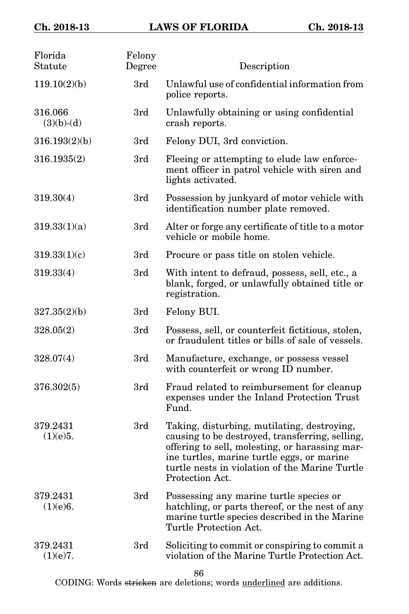| Florida<br>Statute      | Felony<br>Degree | Description                                                                                                                                                                                                                                                         |
|-------------------------|------------------|---------------------------------------------------------------------------------------------------------------------------------------------------------------------------------------------------------------------------------------------------------------------|
| 119.10(2)(b)            | 3rd              | Unlawful use of confidential information from<br>police reports.                                                                                                                                                                                                    |
| 316.066<br>$(3)(b)-(d)$ | 3rd              | Unlawfully obtaining or using confidential<br>crash reports.                                                                                                                                                                                                        |
| 316.193(2)(b)           | 3rd              | Felony DUI, 3rd conviction.                                                                                                                                                                                                                                         |
| 316.1935(2)             | 3rd              | Fleeing or attempting to elude law enforce-<br>ment officer in patrol vehicle with siren and<br>lights activated.                                                                                                                                                   |
| 319.30(4)               | 3rd              | Possession by junkyard of motor vehicle with<br>identification number plate removed.                                                                                                                                                                                |
| 319.33(1)(a)            | 3rd              | Alter or forge any certificate of title to a motor<br>vehicle or mobile home.                                                                                                                                                                                       |
| 319.33(1)(c)            | 3rd              | Procure or pass title on stolen vehicle.                                                                                                                                                                                                                            |
| 319.33(4)               | 3rd              | With intent to defraud, possess, sell, etc., a<br>blank, forged, or unlawfully obtained title or<br>registration.                                                                                                                                                   |
| 327.35(2)(b)            | 3rd              | Felony BUI.                                                                                                                                                                                                                                                         |
| 328.05(2)               | 3rd              | Possess, sell, or counterfeit fictitious, stolen,<br>or fraudulent titles or bills of sale of vessels.                                                                                                                                                              |
| 328.07(4)               | 3rd              | Manufacture, exchange, or possess vessel<br>with counterfeit or wrong ID number.                                                                                                                                                                                    |
| 376.302(5)              | 3rd              | Fraud related to reimbursement for cleanup<br>expenses under the Inland Protection Trust<br>Fund.                                                                                                                                                                   |
| 379.2431<br>(1)(e)5.    | 3rd              | Taking, disturbing, mutilating, destroying,<br>causing to be destroyed, transferring, selling,<br>offering to sell, molesting, or harassing mar-<br>ine turtles, marine turtle eggs, or marine<br>turtle nests in violation of the Marine Turtle<br>Protection Act. |
| 379.2431<br>(1)(e)6.    | 3rd              | Possessing any marine turtle species or<br>hatchling, or parts thereof, or the nest of any<br>marine turtle species described in the Marine<br>Turtle Protection Act.                                                                                               |
| 379.2431<br>(1)(e)7.    | 3rd              | Soliciting to commit or conspiring to commit a<br>violation of the Marine Turtle Protection Act.                                                                                                                                                                    |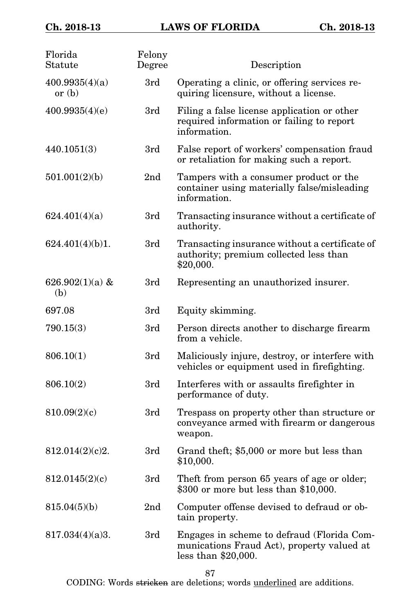| Florida<br>Statute         | Felony<br>Degree | Description                                                                                                       |
|----------------------------|------------------|-------------------------------------------------------------------------------------------------------------------|
| 400.9935(4)(a)<br>or $(b)$ | 3rd              | Operating a clinic, or offering services re-<br>quiring licensure, without a license.                             |
| 400.9935(4)(e)             | 3rd              | Filing a false license application or other<br>required information or failing to report<br>information.          |
| 440.1051(3)                | 3rd              | False report of workers' compensation fraud<br>or retaliation for making such a report.                           |
| 501.001(2)(b)              | 2 <sub>nd</sub>  | Tampers with a consumer product or the<br>container using materially false/misleading<br>information.             |
| 624.401(4)(a)              | 3rd              | Transacting insurance without a certificate of<br>authority.                                                      |
| 624.401(4)(b)1.            | 3rd              | Transacting insurance without a certificate of<br>authority; premium collected less than<br>\$20,000.             |
| 626.902 $(1)(a)$ &<br>(b)  | 3rd              | Representing an unauthorized insurer.                                                                             |
| 697.08                     | 3rd              | Equity skimming.                                                                                                  |
| 790.15(3)                  | 3rd              | Person directs another to discharge firearm<br>from a vehicle.                                                    |
| 806.10(1)                  | 3rd              | Maliciously injure, destroy, or interfere with<br>vehicles or equipment used in firefighting.                     |
| 806.10(2)                  | 3rd              | Interferes with or assaults firefighter in<br>performance of duty.                                                |
| 810.09(2)(c)               | 3rd              | Trespass on property other than structure or<br>conveyance armed with firearm or dangerous<br>weapon.             |
| 812.014(2)(c)2.            | 3rd              | Grand theft; \$5,000 or more but less than<br>\$10,000.                                                           |
| 812.0145(2)(c)             | 3rd              | Theft from person 65 years of age or older;<br>\$300 or more but less than \$10,000.                              |
| 815.04(5)(b)               | 2 <sub>nd</sub>  | Computer offense devised to defraud or ob-<br>tain property.                                                      |
| 817.034(4)(a)3.            | 3rd              | Engages in scheme to defraud (Florida Com-<br>munications Fraud Act), property valued at<br>less than $$20,000$ . |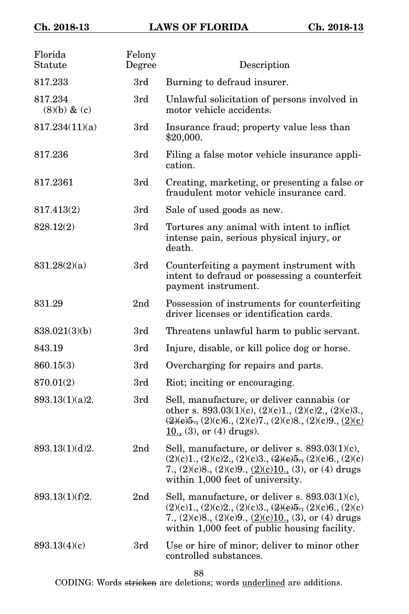## **Ch. 2018-13 LAWS OF FLORIDA Ch. 2018-13**

| Ch. 2018-13 |  |
|-------------|--|
|-------------|--|

| Florida<br>Statute          | Felony<br>Degree | Description                                                                                                                                                                                                                       |
|-----------------------------|------------------|-----------------------------------------------------------------------------------------------------------------------------------------------------------------------------------------------------------------------------------|
| 817.233                     | 3rd              | Burning to defraud insurer.                                                                                                                                                                                                       |
| 817.234<br>$(8)(b)$ & $(c)$ | 3rd              | Unlawful solicitation of persons involved in<br>motor vehicle accidents.                                                                                                                                                          |
| 817.234(11)(a)              | 3rd              | Insurance fraud; property value less than<br>\$20,000.                                                                                                                                                                            |
| 817.236                     | 3rd              | Filing a false motor vehicle insurance appli-<br>cation.                                                                                                                                                                          |
| 817.2361                    | 3rd              | Creating, marketing, or presenting a false or<br>fraudulent motor vehicle insurance card.                                                                                                                                         |
| 817.413(2)                  | 3rd              | Sale of used goods as new.                                                                                                                                                                                                        |
| 828.12(2)                   | 3rd              | Tortures any animal with intent to inflict<br>intense pain, serious physical injury, or<br>death.                                                                                                                                 |
| 831.28(2)(a)                | 3rd              | Counterfeiting a payment instrument with<br>intent to defraud or possessing a counterfeit<br>payment instrument.                                                                                                                  |
| 831.29                      | 2 <sub>nd</sub>  | Possession of instruments for counterfeiting<br>driver licenses or identification cards.                                                                                                                                          |
| 838.021(3)(b)               | 3rd              | Threatens unlawful harm to public servant.                                                                                                                                                                                        |
| 843.19                      | 3rd              | Injure, disable, or kill police dog or horse.                                                                                                                                                                                     |
| 860.15(3)                   | 3rd              | Overcharging for repairs and parts.                                                                                                                                                                                               |
| 870.01(2)                   | 3rd              | Riot; inciting or encouraging.                                                                                                                                                                                                    |
| 893.13(1)(a)2.              | 3rd              | Sell, manufacture, or deliver cannabis (or<br>other s. 893.03(1)(c), (2)(c)1., (2)(c)2., (2)(c)3.,<br>$\frac{(2)(e)5}{2}$ , $(2)(c)6$ , $(2)(c)7$ , $(2)(c)8$ , $(2)(c)9$ , $(2)(c)$<br>10., (3), or (4) drugs.                   |
| 893.13(1)(d)2.              | 2 <sub>nd</sub>  | Sell, manufacture, or deliver s. $893.03(1)(c)$ ,<br>$(2)(c)1, (2)(c)2, (2)(c)3, (2)(e)5, (2)(c)6, (2)(c)$<br>7., $(2)(c)8$ ., $(2)(c)9$ ., $(2)(c)10$ ., $(3)$ , or $(4)$ drugs<br>within 1,000 feet of university.              |
| 893.13(1)(f)2.              | 2nd              | Sell, manufacture, or deliver s. $893.03(1)(c)$ ,<br>$(2)(c)1, (2)(c)2, (2)(c)3, (2)(e)5, (2)(c)6, (2)(c)$<br>7., $(2)(c)8$ ., $(2)(c)9$ ., $(2)(c)10$ ., $(3)$ , or $(4)$ drugs<br>within 1,000 feet of public housing facility. |
| 893.13(4)(c)                | 3rd              | Use or hire of minor; deliver to minor other<br>controlled substances.                                                                                                                                                            |

88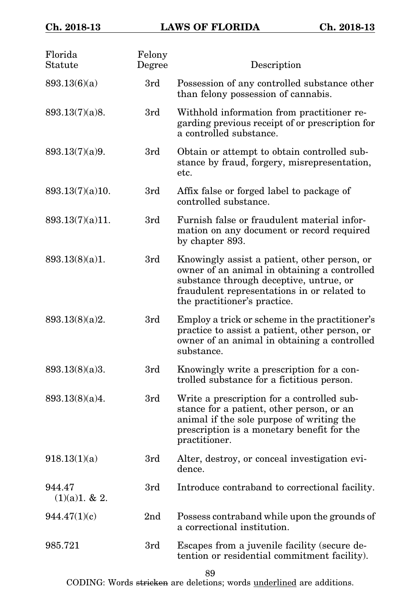| Florida<br>Statute      | Felony<br>Degree | Description                                                                                                                                                                                                            |
|-------------------------|------------------|------------------------------------------------------------------------------------------------------------------------------------------------------------------------------------------------------------------------|
| 893.13(6)(a)            | 3rd              | Possession of any controlled substance other<br>than felony possession of cannabis.                                                                                                                                    |
| 893.13(7)(a)8.          | 3rd              | Withhold information from practitioner re-<br>garding previous receipt of or prescription for<br>a controlled substance.                                                                                               |
| 893.13(7)(a)9.          | 3rd              | Obtain or attempt to obtain controlled sub-<br>stance by fraud, forgery, misrepresentation,<br>etc.                                                                                                                    |
| 893.13(7)(a)10.         | 3rd              | Affix false or forged label to package of<br>controlled substance.                                                                                                                                                     |
| 893.13(7)(a)11.         | 3rd              | Furnish false or fraudulent material infor-<br>mation on any document or record required<br>by chapter 893.                                                                                                            |
| 893.13(8)(a)1.          | 3rd              | Knowingly assist a patient, other person, or<br>owner of an animal in obtaining a controlled<br>substance through deceptive, untrue, or<br>fraudulent representations in or related to<br>the practitioner's practice. |
| 893.13(8)(a)2.          | 3rd              | Employ a trick or scheme in the practitioner's<br>practice to assist a patient, other person, or<br>owner of an animal in obtaining a controlled<br>substance.                                                         |
| 893.13(8)(a)3.          | 3rd              | Knowingly write a prescription for a con-<br>trolled substance for a fictitious person.                                                                                                                                |
| 893.13(8)(a)4.          | 3rd              | Write a prescription for a controlled sub-<br>stance for a patient, other person, or an<br>animal if the sole purpose of writing the<br>prescription is a monetary benefit for the<br>practitioner.                    |
| 918.13(1)(a)            | 3rd              | Alter, destroy, or conceal investigation evi-<br>dence.                                                                                                                                                                |
| 944.47<br>(1)(a)1. & 2. | 3rd              | Introduce contraband to correctional facility.                                                                                                                                                                         |
| 944.47(1)(c)            | 2nd              | Possess contraband while upon the grounds of<br>a correctional institution.                                                                                                                                            |
| 985.721                 | 3rd              | Escapes from a juvenile facility (secure de-<br>tention or residential commitment facility).                                                                                                                           |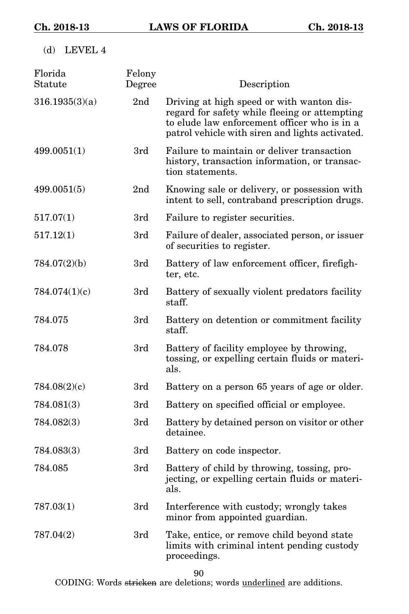(d) LEVEL 4

| Florida<br>Statute | Felony<br>Degree | Description                                                                                                                                                                                   |
|--------------------|------------------|-----------------------------------------------------------------------------------------------------------------------------------------------------------------------------------------------|
| 316.1935(3)(a)     | 2 <sub>nd</sub>  | Driving at high speed or with wanton dis-<br>regard for safety while fleeing or attempting<br>to elude law enforcement officer who is in a<br>patrol vehicle with siren and lights activated. |
| 499.0051(1)        | 3rd              | Failure to maintain or deliver transaction<br>history, transaction information, or transac-<br>tion statements.                                                                               |
| 499.0051(5)        | 2 <sub>nd</sub>  | Knowing sale or delivery, or possession with<br>intent to sell, contraband prescription drugs.                                                                                                |
| 517.07(1)          | 3rd              | Failure to register securities.                                                                                                                                                               |
| 517.12(1)          | 3rd              | Failure of dealer, associated person, or issuer<br>of securities to register.                                                                                                                 |
| 784.07(2)(b)       | 3rd              | Battery of law enforcement officer, firefigh-<br>ter, etc.                                                                                                                                    |
| 784.074(1)(c)      | 3rd              | Battery of sexually violent predators facility<br>staff.                                                                                                                                      |
| 784.075            | 3rd              | Battery on detention or commitment facility<br>staff.                                                                                                                                         |
| 784.078            | 3rd              | Battery of facility employee by throwing,<br>tossing, or expelling certain fluids or materi-<br>als.                                                                                          |
| 784.08(2)(c)       | 3rd              | Battery on a person 65 years of age or older.                                                                                                                                                 |
| 784.081(3)         | 3rd              | Battery on specified official or employee.                                                                                                                                                    |
| 784.082(3)         | 3rd              | Battery by detained person on visitor or other<br>detainee.                                                                                                                                   |
| 784.083(3)         | 3rd              | Battery on code inspector.                                                                                                                                                                    |
| 784.085            | 3rd              | Battery of child by throwing, tossing, pro-<br>jecting, or expelling certain fluids or materi-<br>als.                                                                                        |
| 787.03(1)          | 3rd              | Interference with custody; wrongly takes<br>minor from appointed guardian.                                                                                                                    |
| 787.04(2)          | 3rd              | Take, entice, or remove child beyond state<br>limits with criminal intent pending custody<br>proceedings.                                                                                     |

90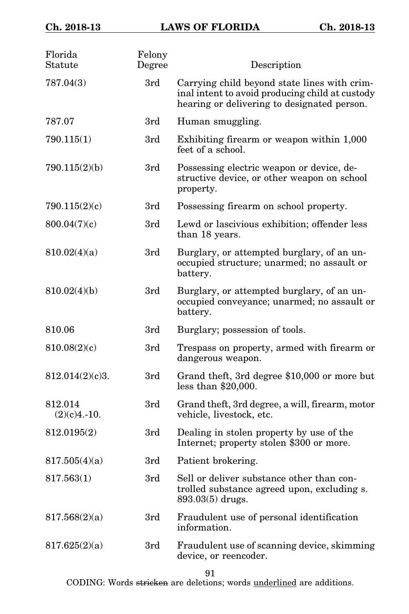| Florida<br>Statute        | Felony<br>Degree | Description                                                                                                                                    |
|---------------------------|------------------|------------------------------------------------------------------------------------------------------------------------------------------------|
| 787.04(3)                 | 3rd              | Carrying child beyond state lines with crim-<br>inal intent to avoid producing child at custody<br>hearing or delivering to designated person. |
| 787.07                    | 3rd              | Human smuggling.                                                                                                                               |
| 790.115(1)                | 3rd              | Exhibiting firearm or weapon within 1,000<br>feet of a school.                                                                                 |
| 790.115(2)(b)             | 3rd              | Possessing electric weapon or device, de-<br>structive device, or other weapon on school<br>property.                                          |
| 790.115(2)(c)             | 3rd              | Possessing firearm on school property.                                                                                                         |
| 800.04(7)(c)              | 3rd              | Lewd or lascivious exhibition; offender less<br>than 18 years.                                                                                 |
| 810.02(4)(a)              | 3rd              | Burglary, or attempted burglary, of an un-<br>occupied structure; unarmed; no assault or<br>battery.                                           |
| 810.02(4)(b)              | 3rd              | Burglary, or attempted burglary, of an un-<br>occupied conveyance; unarmed; no assault or<br>battery.                                          |
| 810.06                    | 3rd              | Burglary; possession of tools.                                                                                                                 |
| 810.08(2)(c)              | 3rd              | Trespass on property, armed with firearm or<br>dangerous weapon.                                                                               |
| 812.014(2)(c)3.           | 3rd              | Grand theft, 3rd degree \$10,000 or more but<br>less than $$20,000$ .                                                                          |
| 812.014<br>$(2)(c)4.-10.$ | 3rd              | Grand theft, 3rd degree, a will, firearm, motor<br>vehicle, livestock, etc.                                                                    |
| 812.0195(2)               | 3rd              | Dealing in stolen property by use of the<br>Internet; property stolen \$300 or more.                                                           |
| 817.505(4)(a)             | 3rd              | Patient brokering.                                                                                                                             |
| 817.563(1)                | 3rd              | Sell or deliver substance other than con-<br>trolled substance agreed upon, excluding s.<br>$893.03(5)$ drugs.                                 |
| 817.568(2)(a)             | 3rd              | Fraudulent use of personal identification<br>information.                                                                                      |
| 817.625(2)(a)             | 3rd              | Fraudulent use of scanning device, skimming<br>device, or reencoder.                                                                           |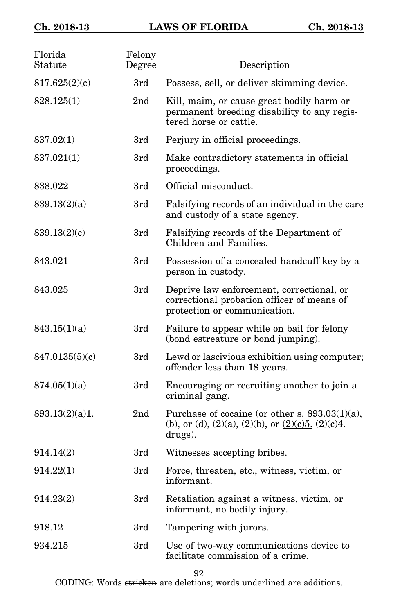| Florida<br>Statute | Felony<br>Degree | Description                                                                                                             |
|--------------------|------------------|-------------------------------------------------------------------------------------------------------------------------|
| 817.625(2)(c)      | 3rd              | Possess, sell, or deliver skimming device.                                                                              |
| 828.125(1)         | 2nd              | Kill, maim, or cause great bodily harm or<br>permanent breeding disability to any regis-<br>tered horse or cattle.      |
| 837.02(1)          | 3rd              | Perjury in official proceedings.                                                                                        |
| 837.021(1)         | 3rd              | Make contradictory statements in official<br>proceedings.                                                               |
| 838.022            | 3rd              | Official misconduct.                                                                                                    |
| 839.13(2)(a)       | 3rd              | Falsifying records of an individual in the care<br>and custody of a state agency.                                       |
| 839.13(2)(c)       | 3rd              | Falsifying records of the Department of<br>Children and Families.                                                       |
| 843.021            | 3rd              | Possession of a concealed handcuff key by a<br>person in custody.                                                       |
| 843.025            | 3rd              | Deprive law enforcement, correctional, or<br>correctional probation officer of means of<br>protection or communication. |
| 843.15(1)(a)       | 3rd              | Failure to appear while on bail for felony<br>(bond estreature or bond jumping).                                        |
| 847.0135(5)(c)     | 3rd              | Lewd or lascivious exhibition using computer;<br>offender less than 18 years.                                           |
| 874.05(1)(a)       | 3rd              | Encouraging or recruiting another to join a<br>criminal gang.                                                           |
| 893.13(2)(a)1.     | 2nd              | Purchase of cocaine (or other s. $893.03(1)(a)$ ,<br>(b), or (d), (2)(a), (2)(b), or $(2)(c)5$ , $(2)(e)4$ .<br>drugs). |
| 914.14(2)          | 3rd              | Witnesses accepting bribes.                                                                                             |
| 914.22(1)          | 3rd              | Force, threaten, etc., witness, victim, or<br>informant.                                                                |
| 914.23(2)          | 3rd              | Retaliation against a witness, victim, or<br>informant, no bodily injury.                                               |
| 918.12             | 3rd              | Tampering with jurors.                                                                                                  |
| 934.215            | 3rd              | Use of two-way communications device to<br>facilitate commission of a crime.                                            |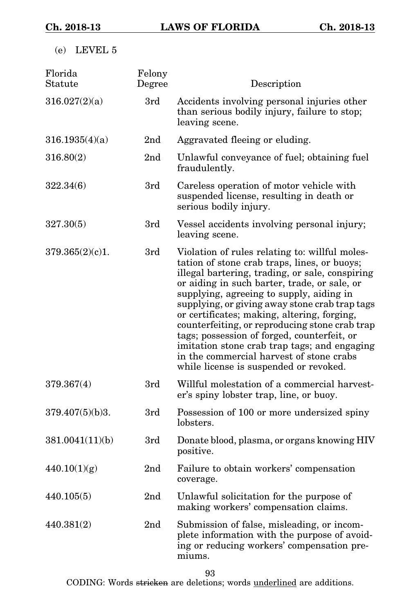(e) LEVEL 5

| Florida<br>Statute | Felony<br>Degree | Description                                                                                                                                                                                                                                                                                                                                                                                                                                                                                                                                                                           |
|--------------------|------------------|---------------------------------------------------------------------------------------------------------------------------------------------------------------------------------------------------------------------------------------------------------------------------------------------------------------------------------------------------------------------------------------------------------------------------------------------------------------------------------------------------------------------------------------------------------------------------------------|
| 316.027(2)(a)      | 3rd              | Accidents involving personal injuries other<br>than serious bodily injury, failure to stop;<br>leaving scene.                                                                                                                                                                                                                                                                                                                                                                                                                                                                         |
| 316.1935(4)(a)     | 2nd              | Aggravated fleeing or eluding.                                                                                                                                                                                                                                                                                                                                                                                                                                                                                                                                                        |
| 316.80(2)          | 2 <sub>nd</sub>  | Unlawful conveyance of fuel; obtaining fuel<br>fraudulently.                                                                                                                                                                                                                                                                                                                                                                                                                                                                                                                          |
| 322.34(6)          | 3rd              | Careless operation of motor vehicle with<br>suspended license, resulting in death or<br>serious bodily injury.                                                                                                                                                                                                                                                                                                                                                                                                                                                                        |
| 327.30(5)          | 3rd              | Vessel accidents involving personal injury;<br>leaving scene.                                                                                                                                                                                                                                                                                                                                                                                                                                                                                                                         |
| 379.365(2)(c)1.    | 3rd              | Violation of rules relating to: willful moles-<br>tation of stone crab traps, lines, or buoys;<br>illegal bartering, trading, or sale, conspiring<br>or aiding in such barter, trade, or sale, or<br>supplying, agreeing to supply, aiding in<br>supplying, or giving away stone crab trap tags<br>or certificates; making, altering, forging,<br>counterfeiting, or reproducing stone crab trap<br>tags; possession of forged, counterfeit, or<br>imitation stone crab trap tags; and engaging<br>in the commercial harvest of stone crabs<br>while license is suspended or revoked. |
| 379.367(4)         | 3rd              | Willful molestation of a commercial harvest-<br>er's spiny lobster trap, line, or buoy.                                                                                                                                                                                                                                                                                                                                                                                                                                                                                               |
| 379.407(5)(b)3.    | 3rd              | Possession of 100 or more undersized spiny<br>lobsters.                                                                                                                                                                                                                                                                                                                                                                                                                                                                                                                               |
| 381.0041(11)(b)    | 3rd              | Donate blood, plasma, or organs knowing HIV<br>positive.                                                                                                                                                                                                                                                                                                                                                                                                                                                                                                                              |
| 440.10(1)(g)       | 2 <sub>nd</sub>  | Failure to obtain workers' compensation<br>coverage.                                                                                                                                                                                                                                                                                                                                                                                                                                                                                                                                  |
| 440.105(5)         | 2 <sub>nd</sub>  | Unlawful solicitation for the purpose of<br>making workers' compensation claims.                                                                                                                                                                                                                                                                                                                                                                                                                                                                                                      |
| 440.381(2)         | 2 <sub>nd</sub>  | Submission of false, misleading, or incom-<br>plete information with the purpose of avoid-<br>ing or reducing workers' compensation pre-<br>miums.                                                                                                                                                                                                                                                                                                                                                                                                                                    |

93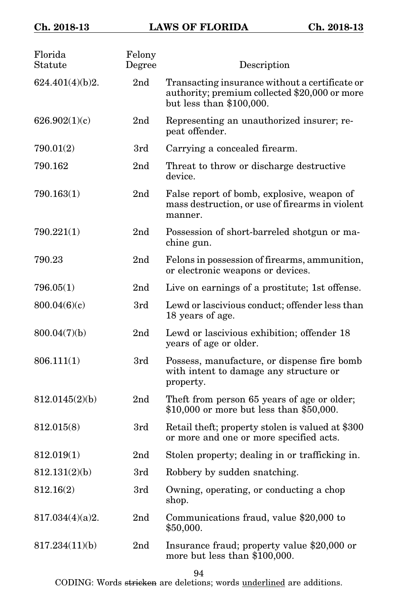| Florida<br>Statute | Felony<br>Degree | Description                                                                                                                   |
|--------------------|------------------|-------------------------------------------------------------------------------------------------------------------------------|
| 624.401(4)(b)2.    | 2 <sub>nd</sub>  | Transacting insurance without a certificate or<br>authority; premium collected \$20,000 or more<br>but less than $$100,000$ . |
| 626.902(1)(c)      | 2nd              | Representing an unauthorized insurer; re-<br>peat offender.                                                                   |
| 790.01(2)          | 3rd              | Carrying a concealed firearm.                                                                                                 |
| 790.162            | 2nd              | Threat to throw or discharge destructive<br>device.                                                                           |
| 790.163(1)         | 2nd              | False report of bomb, explosive, weapon of<br>mass destruction, or use of firearms in violent<br>manner.                      |
| 790.221(1)         | 2 <sub>nd</sub>  | Possession of short-barreled shotgun or ma-<br>chine gun.                                                                     |
| 790.23             | 2nd              | Felons in possession of firearms, ammunition,<br>or electronic weapons or devices.                                            |
| 796.05(1)          | 2 <sub>nd</sub>  | Live on earnings of a prostitute; 1st offense.                                                                                |
| 800.04(6)(c)       | 3rd              | Lewd or lascivious conduct; offender less than<br>18 years of age.                                                            |
| 800.04(7)(b)       | 2nd              | Lewd or lascivious exhibition; offender 18<br>years of age or older.                                                          |
| 806.111(1)         | 3rd              | Possess, manufacture, or dispense fire bomb<br>with intent to damage any structure or<br>property.                            |
| 812.0145(2)(b)     | 2nd              | Theft from person 65 years of age or older;<br>\$10,000 or more but less than \$50,000.                                       |
| 812.015(8)         | 3rd              | Retail theft; property stolen is valued at \$300<br>or more and one or more specified acts.                                   |
| 812.019(1)         | 2 <sub>nd</sub>  | Stolen property; dealing in or trafficking in.                                                                                |
| 812.131(2)(b)      | 3rd              | Robbery by sudden snatching.                                                                                                  |
| 812.16(2)          | 3rd              | Owning, operating, or conducting a chop<br>shop.                                                                              |
| 817.034(4)(a)2.    | 2nd              | Communications fraud, value \$20,000 to<br>\$50,000.                                                                          |
| 817.234(11)(b)     | 2nd              | Insurance fraud; property value \$20,000 or<br>more but less than \$100,000.                                                  |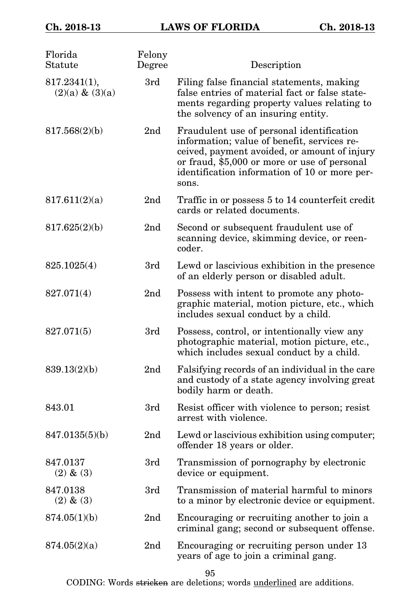| Florida<br>Statute                 | Felony<br>Degree | Description                                                                                                                                                                                                                                        |
|------------------------------------|------------------|----------------------------------------------------------------------------------------------------------------------------------------------------------------------------------------------------------------------------------------------------|
| 817.2341(1),<br>$(2)(a) \& (3)(a)$ | 3rd              | Filing false financial statements, making<br>false entries of material fact or false state-<br>ments regarding property values relating to<br>the solvency of an insuring entity.                                                                  |
| 817.568(2)(b)                      | 2nd              | Fraudulent use of personal identification<br>information; value of benefit, services re-<br>ceived, payment avoided, or amount of injury<br>or fraud, \$5,000 or more or use of personal<br>identification information of 10 or more per-<br>sons. |
| 817.611(2)(a)                      | 2nd              | Traffic in or possess 5 to 14 counterfeit credit<br>cards or related documents.                                                                                                                                                                    |
| 817.625(2)(b)                      | 2 <sub>nd</sub>  | Second or subsequent fraudulent use of<br>scanning device, skimming device, or reen-<br>coder.                                                                                                                                                     |
| 825.1025(4)                        | 3rd              | Lewd or lascivious exhibition in the presence<br>of an elderly person or disabled adult.                                                                                                                                                           |
| 827.071(4)                         | 2nd              | Possess with intent to promote any photo-<br>graphic material, motion picture, etc., which<br>includes sexual conduct by a child.                                                                                                                  |
| 827.071(5)                         | 3rd              | Possess, control, or intentionally view any<br>photographic material, motion picture, etc.,<br>which includes sexual conduct by a child.                                                                                                           |
| 839.13(2)(b)                       | 2nd              | Falsifying records of an individual in the care<br>and custody of a state agency involving great<br>bodily harm or death.                                                                                                                          |
| 843.01                             | 3rd              | Resist officer with violence to person; resist<br>arrest with violence.                                                                                                                                                                            |
| 847.0135(5)(b)                     | 2nd              | Lewd or lascivious exhibition using computer;<br>offender 18 years or older.                                                                                                                                                                       |
| 847.0137<br>$(2)$ & $(3)$          | 3rd              | Transmission of pornography by electronic<br>device or equipment.                                                                                                                                                                                  |
| 847.0138<br>$(2)$ & $(3)$          | 3rd              | Transmission of material harmful to minors<br>to a minor by electronic device or equipment.                                                                                                                                                        |
| 874.05(1)(b)                       | 2nd              | Encouraging or recruiting another to join a<br>criminal gang; second or subsequent offense.                                                                                                                                                        |
| 874.05(2)(a)                       | 2nd              | Encouraging or recruiting person under 13<br>years of age to join a criminal gang.                                                                                                                                                                 |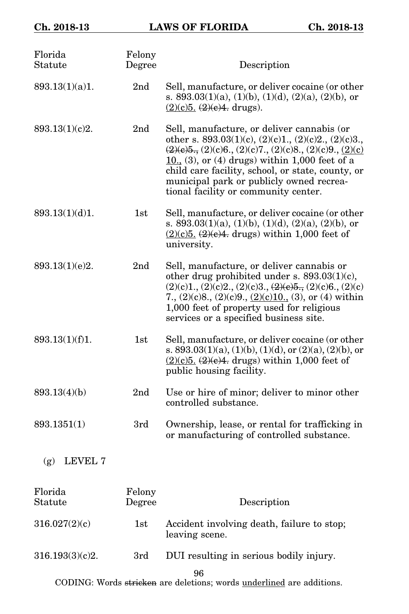| Florida<br>Statute | Felony<br>Degree | Description                                                                                                                                                                                                                                                                                                                                                                                   |
|--------------------|------------------|-----------------------------------------------------------------------------------------------------------------------------------------------------------------------------------------------------------------------------------------------------------------------------------------------------------------------------------------------------------------------------------------------|
| 893.13(1)(a)1.     | 2 <sub>nd</sub>  | Sell, manufacture, or deliver cocaine (or other<br>s. 893.03(1)(a), (1)(b), (1)(d), (2)(a), (2)(b), or<br>$(2)(c)5.$ $(2)(e)4.$ drugs).                                                                                                                                                                                                                                                       |
| 893.13(1)(c)2.     | 2 <sub>nd</sub>  | Sell, manufacture, or deliver cannabis (or<br>other s. 893.03(1)(c), (2)(c)1., (2)(c)2., (2)(c)3.,<br>$\frac{(2)(e)5}{2}$ , $(2)(c)6$ , $(2)(c)7$ , $(2)(c)8$ , $(2)(c)9$ , $(2)(c)$<br>$\underline{10}$ , (3), or (4) drugs) within 1,000 feet of a<br>child care facility, school, or state, county, or<br>municipal park or publicly owned recrea-<br>tional facility or community center. |
| 893.13(1)(d)1.     | 1st              | Sell, manufacture, or deliver cocaine (or other<br>s. 893.03(1)(a), (1)(b), (1)(d), (2)(a), (2)(b), or<br>$(2)(c)5. (2)(e)4.$ drugs) within 1,000 feet of<br>university.                                                                                                                                                                                                                      |
| 893.13(1)(e)2.     | 2 <sub>nd</sub>  | Sell, manufacture, or deliver cannabis or<br>other drug prohibited under s. $893.03(1)(c)$ ,<br>$(2)(c)1., (2)(c)2., (2)(c)3., (2)(e)5., (2)(c)6., (2)(c)$<br>7., $(2)(c)8$ ., $(2)(c)9$ ., $(2)(c)10$ ., $(3)$ , or $(4)$ within<br>1,000 feet of property used for religious<br>services or a specified business site.                                                                      |
| 893.13(1)(f)1.     | 1st              | Sell, manufacture, or deliver cocaine (or other<br>s. 893.03(1)(a), (1)(b), (1)(d), or (2)(a), (2)(b), or<br>$(2)(c)5. (2)(e)4.$ drugs) within 1,000 feet of<br>public housing facility.                                                                                                                                                                                                      |
| 893.13(4)(b)       | 2 <sub>nd</sub>  | Use or hire of minor; deliver to minor other<br>controlled substance.                                                                                                                                                                                                                                                                                                                         |
| 893.1351(1)        | 3rd              | Ownership, lease, or rental for trafficking in<br>or manufacturing of controlled substance.                                                                                                                                                                                                                                                                                                   |
| (g)<br>LEVEL 7     |                  |                                                                                                                                                                                                                                                                                                                                                                                               |
| Florida<br>Statute | Felony<br>Degree | Description                                                                                                                                                                                                                                                                                                                                                                                   |
| 316.027(2)(c)      | 1st              | Accident involving death, failure to stop;<br>leaving scene.                                                                                                                                                                                                                                                                                                                                  |
| 316.193(3)(c)2.    | 3rd              | DUI resulting in serious bodily injury.                                                                                                                                                                                                                                                                                                                                                       |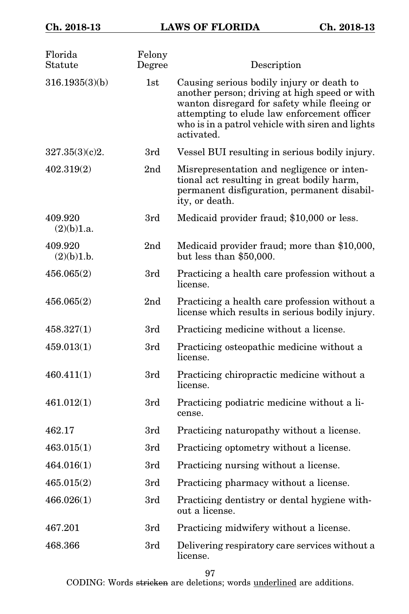| Florida<br>Statute    | Felony<br>Degree | Description                                                                                                                                                                                                                                                 |
|-----------------------|------------------|-------------------------------------------------------------------------------------------------------------------------------------------------------------------------------------------------------------------------------------------------------------|
| 316.1935(3)(b)        | 1st              | Causing serious bodily injury or death to<br>another person; driving at high speed or with<br>wanton disregard for safety while fleeing or<br>attempting to elude law enforcement officer<br>who is in a patrol vehicle with siren and lights<br>activated. |
| 327.35(3)(c)2.        | 3rd              | Vessel BUI resulting in serious bodily injury.                                                                                                                                                                                                              |
| 402.319(2)            | 2 <sub>nd</sub>  | Misrepresentation and negligence or inten-<br>tional act resulting in great bodily harm,<br>permanent disfiguration, permanent disabil-<br>ity, or death.                                                                                                   |
| 409.920<br>(2)(b)1.a. | 3rd              | Medicaid provider fraud; \$10,000 or less.                                                                                                                                                                                                                  |
| 409.920<br>(2)(b)1.b. | 2 <sub>nd</sub>  | Medicaid provider fraud; more than \$10,000,<br>but less than $$50,000$ .                                                                                                                                                                                   |
| 456.065(2)            | 3rd              | Practicing a health care profession without a<br>license.                                                                                                                                                                                                   |
| 456.065(2)            | 2 <sub>nd</sub>  | Practicing a health care profession without a<br>license which results in serious bodily injury.                                                                                                                                                            |
| 458.327(1)            | 3rd              | Practicing medicine without a license.                                                                                                                                                                                                                      |
| 459.013(1)            | 3rd              | Practicing osteopathic medicine without a<br>license.                                                                                                                                                                                                       |
| 460.411(1)            | 3rd              | Practicing chiropractic medicine without a<br>license.                                                                                                                                                                                                      |
| 461.012(1)            | 3rd              | Practicing podiatric medicine without a li-<br>cense.                                                                                                                                                                                                       |
| 462.17                | 3rd              | Practicing naturopathy without a license.                                                                                                                                                                                                                   |
| 463.015(1)            | 3rd              | Practicing optometry without a license.                                                                                                                                                                                                                     |
| 464.016(1)            | 3rd              | Practicing nursing without a license.                                                                                                                                                                                                                       |
| 465.015(2)            | 3rd              | Practicing pharmacy without a license.                                                                                                                                                                                                                      |
| 466.026(1)            | 3rd              | Practicing dentistry or dental hygiene with-<br>out a license.                                                                                                                                                                                              |
| 467.201               | 3rd              | Practicing midwifery without a license.                                                                                                                                                                                                                     |
| 468.366               | 3rd              | Delivering respiratory care services without a<br>license.                                                                                                                                                                                                  |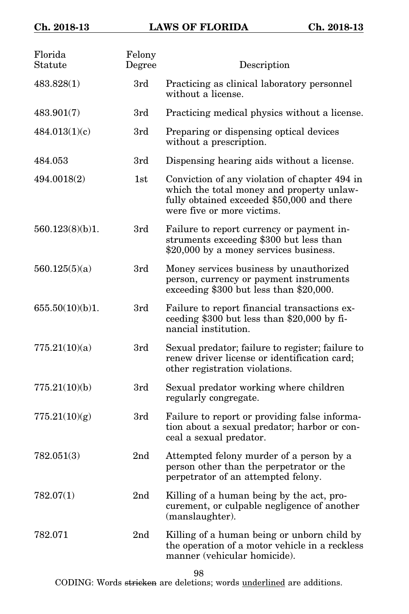| Florida<br>Statute | Felony<br>Degree | Description                                                                                                                                                            |
|--------------------|------------------|------------------------------------------------------------------------------------------------------------------------------------------------------------------------|
| 483.828(1)         | 3rd              | Practicing as clinical laboratory personnel<br>without a license.                                                                                                      |
| 483.901(7)         | 3rd              | Practicing medical physics without a license.                                                                                                                          |
| 484.013(1)(c)      | 3rd              | Preparing or dispensing optical devices<br>without a prescription.                                                                                                     |
| 484.053            | 3rd              | Dispensing hearing aids without a license.                                                                                                                             |
| 494.0018(2)        | 1st              | Conviction of any violation of chapter 494 in<br>which the total money and property unlaw-<br>fully obtained exceeded \$50,000 and there<br>were five or more victims. |
| 560.123(8)(b)1.    | 3rd              | Failure to report currency or payment in-<br>struments exceeding \$300 but less than<br>\$20,000 by a money services business.                                         |
| 560.125(5)(a)      | 3rd              | Money services business by unauthorized<br>person, currency or payment instruments<br>exceeding \$300 but less than \$20,000.                                          |
| 655.50(10)(b)1.    | 3rd              | Failure to report financial transactions ex-<br>ceeding $$300$ but less than $$20,000$ by fi-<br>nancial institution.                                                  |
| 775.21(10)(a)      | 3rd              | Sexual predator; failure to register; failure to<br>renew driver license or identification card;<br>other registration violations.                                     |
| 775.21(10)(b)      | 3rd              | Sexual predator working where children<br>regularly congregate.                                                                                                        |
| 775.21(10)(g)      | 3rd              | Failure to report or providing false informa-<br>tion about a sexual predator; harbor or con-<br>ceal a sexual predator.                                               |
| 782.051(3)         | 2 <sub>nd</sub>  | Attempted felony murder of a person by a<br>person other than the perpetrator or the<br>perpetrator of an attempted felony.                                            |
| 782.07(1)          | 2nd              | Killing of a human being by the act, pro-<br>curement, or culpable negligence of another<br>(manslaughter).                                                            |
| 782.071            | 2 <sub>nd</sub>  | Killing of a human being or unborn child by<br>the operation of a motor vehicle in a reckless<br>manner (vehicular homicide).                                          |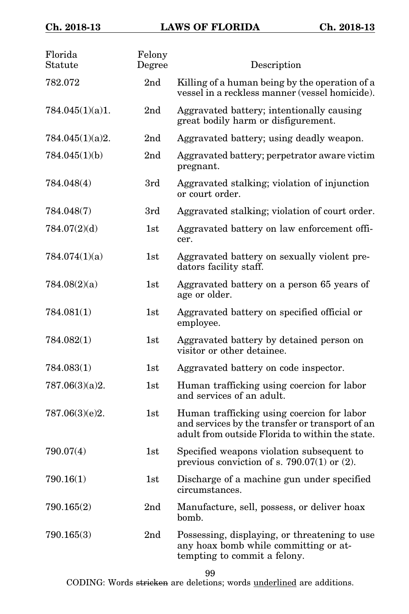| Florida<br>Statute | Felony<br>Degree | Description                                                                                                                                      |
|--------------------|------------------|--------------------------------------------------------------------------------------------------------------------------------------------------|
| 782.072            | 2 <sub>nd</sub>  | Killing of a human being by the operation of a<br>vessel in a reckless manner (vessel homicide).                                                 |
| 784.045(1)(a)1.    | 2 <sub>nd</sub>  | Aggravated battery; intentionally causing<br>great bodily harm or disfigurement.                                                                 |
| 784.045(1)(a)2.    | 2 <sub>nd</sub>  | Aggravated battery; using deadly weapon.                                                                                                         |
| 784.045(1)(b)      | 2 <sub>nd</sub>  | Aggravated battery; perpetrator aware victim<br>pregnant.                                                                                        |
| 784.048(4)         | 3rd              | Aggravated stalking; violation of injunction<br>or court order.                                                                                  |
| 784.048(7)         | 3rd              | Aggravated stalking; violation of court order.                                                                                                   |
| 784.07(2)(d)       | 1st              | Aggravated battery on law enforcement offi-<br>cer.                                                                                              |
| 784.074(1)(a)      | 1st              | Aggravated battery on sexually violent pre-<br>dators facility staff.                                                                            |
| 784.08(2)(a)       | 1st              | Aggravated battery on a person 65 years of<br>age or older.                                                                                      |
| 784.081(1)         | 1st              | Aggravated battery on specified official or<br>employee.                                                                                         |
| 784.082(1)         | 1st              | Aggravated battery by detained person on<br>visitor or other detainee.                                                                           |
| 784.083(1)         | 1st              | Aggravated battery on code inspector.                                                                                                            |
| 787.06(3)(a)2.     | 1st              | Human trafficking using coercion for labor<br>and services of an adult.                                                                          |
| 787.06(3)(e)2.     | 1st              | Human trafficking using coercion for labor<br>and services by the transfer or transport of an<br>adult from outside Florida to within the state. |
| 790.07(4)          | 1st              | Specified weapons violation subsequent to<br>previous conviction of s. 790.07(1) or $(2)$ .                                                      |
| 790.16(1)          | $_{\rm 1st}$     | Discharge of a machine gun under specified<br>circumstances.                                                                                     |
| 790.165(2)         | 2 <sub>nd</sub>  | Manufacture, sell, possess, or deliver hoax<br>bomb.                                                                                             |
| 790.165(3)         | 2 <sub>nd</sub>  | Possessing, displaying, or threatening to use<br>any hoax bomb while committing or at-<br>tempting to commit a felony.                           |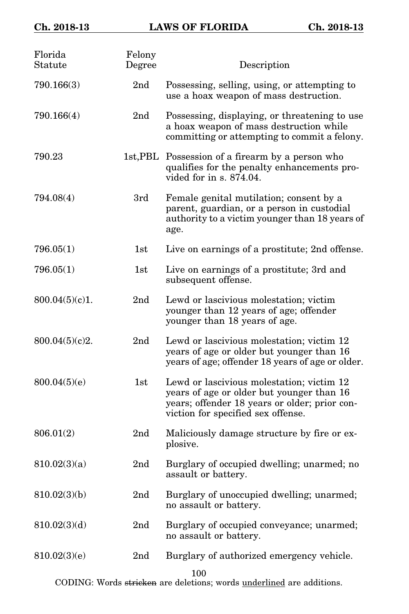| Florida<br>Statute | Felony<br>Degree | Description                                                                                                                                                                   |
|--------------------|------------------|-------------------------------------------------------------------------------------------------------------------------------------------------------------------------------|
| 790.166(3)         | 2 <sub>nd</sub>  | Possessing, selling, using, or attempting to<br>use a hoax weapon of mass destruction.                                                                                        |
| 790.166(4)         | 2 <sub>nd</sub>  | Possessing, displaying, or threatening to use<br>a hoax weapon of mass destruction while<br>committing or attempting to commit a felony.                                      |
| 790.23             |                  | 1st, PBL Possession of a firearm by a person who<br>qualifies for the penalty enhancements pro-<br>vided for in $s. 874.04$ .                                                 |
| 794.08(4)          | 3rd              | Female genital mutilation; consent by a<br>parent, guardian, or a person in custodial<br>authority to a victim younger than 18 years of<br>age.                               |
| 796.05(1)          | 1st              | Live on earnings of a prostitute; 2nd offense.                                                                                                                                |
| 796.05(1)          | 1st              | Live on earnings of a prostitute; 3rd and<br>subsequent offense.                                                                                                              |
| 800.04(5)(c)1.     | 2 <sub>nd</sub>  | Lewd or lascivious molestation; victim<br>younger than 12 years of age; offender<br>younger than 18 years of age.                                                             |
| 800.04(5)(c)2.     | 2 <sub>nd</sub>  | Lewd or lascivious molestation; victim 12<br>years of age or older but younger than 16<br>years of age; offender 18 years of age or older.                                    |
| 800.04(5)(e)       | 1st              | Lewd or lascivious molestation; victim 12<br>years of age or older but younger than 16<br>years; offender 18 years or older; prior con-<br>viction for specified sex offense. |
| 806.01(2)          | 2 <sub>nd</sub>  | Maliciously damage structure by fire or ex-<br>plosive.                                                                                                                       |
| 810.02(3)(a)       | 2 <sub>nd</sub>  | Burglary of occupied dwelling; unarmed; no<br>assault or battery.                                                                                                             |
| 810.02(3)(b)       | 2nd              | Burglary of unoccupied dwelling; unarmed;<br>no assault or battery.                                                                                                           |
| 810.02(3)(d)       | 2nd              | Burglary of occupied conveyance; unarmed;<br>no assault or battery.                                                                                                           |
| 810.02(3)(e)       | 2 <sub>nd</sub>  | Burglary of authorized emergency vehicle.                                                                                                                                     |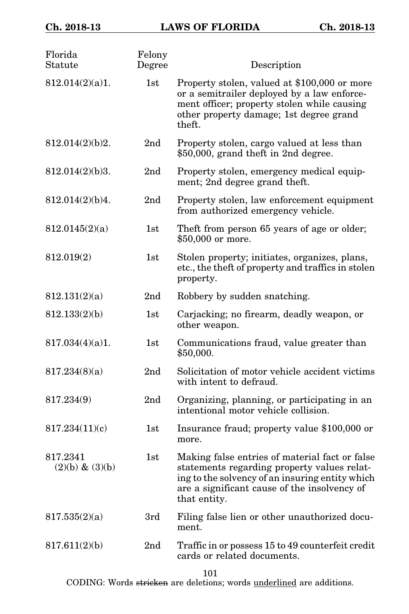| Florida<br>Statute             | Felony<br>Degree | Description                                                                                                                                                                                                      |
|--------------------------------|------------------|------------------------------------------------------------------------------------------------------------------------------------------------------------------------------------------------------------------|
| 812.014(2)(a)1.                | 1st              | Property stolen, valued at \$100,000 or more<br>or a semitrailer deployed by a law enforce-<br>ment officer; property stolen while causing<br>other property damage; 1st degree grand<br>theft.                  |
| 812.014(2)(b)2.                | 2 <sub>nd</sub>  | Property stolen, cargo valued at less than<br>\$50,000, grand theft in 2nd degree.                                                                                                                               |
| 812.014(2)(b)3.                | 2 <sub>nd</sub>  | Property stolen, emergency medical equip-<br>ment; 2nd degree grand theft.                                                                                                                                       |
| 812.014(2)(b)4.                | 2 <sub>nd</sub>  | Property stolen, law enforcement equipment<br>from authorized emergency vehicle.                                                                                                                                 |
| 812.0145(2)(a)                 | 1st              | Theft from person 65 years of age or older;<br>\$50,000 or more.                                                                                                                                                 |
| 812.019(2)                     | 1st              | Stolen property; initiates, organizes, plans,<br>etc., the theft of property and traffics in stolen<br>property.                                                                                                 |
| 812.131(2)(a)                  | 2 <sub>nd</sub>  | Robbery by sudden snatching.                                                                                                                                                                                     |
| 812.133(2)(b)                  | 1st              | Carjacking; no firearm, deadly weapon, or<br>other weapon.                                                                                                                                                       |
| 817.034(4)(a)1.                | 1st              | Communications fraud, value greater than<br>\$50,000.                                                                                                                                                            |
| 817.234(8)(a)                  | 2 <sub>nd</sub>  | Solicitation of motor vehicle accident victims<br>with intent to defraud.                                                                                                                                        |
| 817.234(9)                     | 2 <sub>nd</sub>  | Organizing, planning, or participating in an<br>intentional motor vehicle collision.                                                                                                                             |
| 817.234(11)(c)                 | 1st              | Insurance fraud; property value \$100,000 or<br>more.                                                                                                                                                            |
| 817.2341<br>$(2)(b) \& (3)(b)$ | 1st              | Making false entries of material fact or false<br>statements regarding property values relat-<br>ing to the solvency of an insuring entity which<br>are a significant cause of the insolvency of<br>that entity. |
| 817.535(2)(a)                  | 3rd              | Filing false lien or other unauthorized docu-<br>ment.                                                                                                                                                           |
| 817.611(2)(b)                  | 2nd              | Traffic in or possess 15 to 49 counterfeit credit<br>cards or related documents.                                                                                                                                 |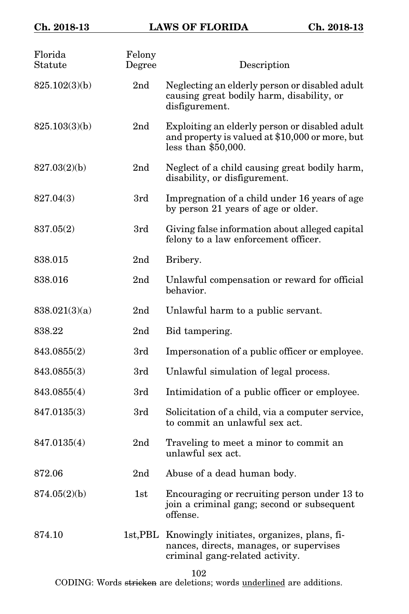| Florida<br>Statute | Felony<br>Degree | Description                                                                                                                       |
|--------------------|------------------|-----------------------------------------------------------------------------------------------------------------------------------|
| 825.102(3)(b)      | 2nd              | Neglecting an elderly person or disabled adult<br>causing great bodily harm, disability, or<br>disfigurement.                     |
| 825.103(3)(b)      | 2 <sub>nd</sub>  | Exploiting an elderly person or disabled adult<br>and property is valued at \$10,000 or more, but<br>less than $$50,000$ .        |
| 827.03(2)(b)       | 2nd              | Neglect of a child causing great bodily harm,<br>disability, or disfigurement.                                                    |
| 827.04(3)          | 3rd              | Impregnation of a child under 16 years of age<br>by person 21 years of age or older.                                              |
| 837.05(2)          | 3rd              | Giving false information about alleged capital<br>felony to a law enforcement officer.                                            |
| 838.015            | 2 <sub>nd</sub>  | Bribery.                                                                                                                          |
| 838.016            | 2 <sub>nd</sub>  | Unlawful compensation or reward for official<br>behavior.                                                                         |
| 838.021(3)(a)      | 2 <sub>nd</sub>  | Unlawful harm to a public servant.                                                                                                |
| 838.22             | 2 <sub>nd</sub>  | Bid tampering.                                                                                                                    |
| 843.0855(2)        | 3rd              | Impersonation of a public officer or employee.                                                                                    |
| 843.0855(3)        | 3rd              | Unlawful simulation of legal process.                                                                                             |
| 843.0855(4)        | 3rd              | Intimidation of a public officer or employee.                                                                                     |
| 847.0135(3)        | 3rd              | Solicitation of a child, via a computer service,<br>to commit an unlawful sex act.                                                |
| 847.0135(4)        | 2 <sub>nd</sub>  | Traveling to meet a minor to commit an<br>unlawful sex act.                                                                       |
| 872.06             | 2nd              | Abuse of a dead human body.                                                                                                       |
| 874.05(2)(b)       | 1st              | Encouraging or recruiting person under 13 to<br>join a criminal gang; second or subsequent<br>offense.                            |
| 874.10             |                  | 1st, PBL Knowingly initiates, organizes, plans, fi-<br>nances, directs, manages, or supervises<br>criminal gang-related activity. |
|                    |                  |                                                                                                                                   |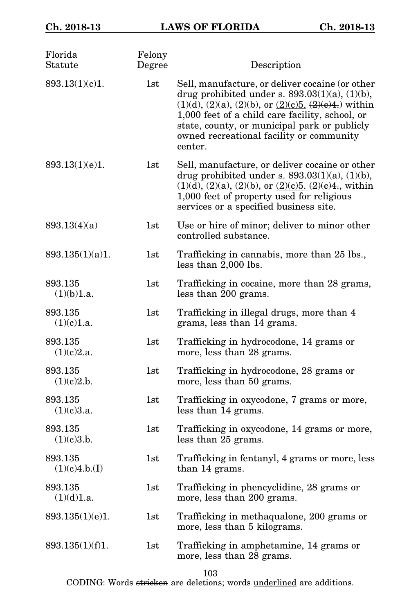| Florida<br>Statute       | Felony<br>Degree | Description                                                                                                                                                                                                                                                                                                                              |
|--------------------------|------------------|------------------------------------------------------------------------------------------------------------------------------------------------------------------------------------------------------------------------------------------------------------------------------------------------------------------------------------------|
| 893.13(1)(c)1.           | 1st              | Sell, manufacture, or deliver cocaine (or other<br>drug prohibited under s. $893.03(1)(a)$ , $(1)(b)$ ,<br>$(1)(d)$ , $(2)(a)$ , $(2)(b)$ , or $(2)(c)5$ . $(2)(e)4$ .) within<br>1,000 feet of a child care facility, school, or<br>state, county, or municipal park or publicly<br>owned recreational facility or community<br>center. |
| 893.13(1)(e)1.           | 1st              | Sell, manufacture, or deliver cocaine or other<br>drug prohibited under s. $893.03(1)(a)$ , $(1)(b)$ ,<br>$(1)(d)$ , $(2)(a)$ , $(2)(b)$ , or $(2)(c)5$ . $(2)(e)4$ ., within<br>1,000 feet of property used for religious<br>services or a specified business site.                                                                     |
| 893.13(4)(a)             | 1st              | Use or hire of minor; deliver to minor other<br>controlled substance.                                                                                                                                                                                                                                                                    |
| 893.135(1)(a)1.          | 1st              | Trafficking in cannabis, more than 25 lbs.,<br>less than 2,000 lbs.                                                                                                                                                                                                                                                                      |
| 893.135<br>(1)(b)1.a.    | 1st              | Trafficking in cocaine, more than 28 grams,<br>less than 200 grams.                                                                                                                                                                                                                                                                      |
| 893.135<br>(1)(c)1.a.    | 1st              | Trafficking in illegal drugs, more than 4<br>grams, less than 14 grams.                                                                                                                                                                                                                                                                  |
| 893.135<br>(1)(c)2.a.    | 1st              | Trafficking in hydrocodone, 14 grams or<br>more, less than 28 grams.                                                                                                                                                                                                                                                                     |
| 893.135<br>(1)(c)2.b.    | 1st              | Trafficking in hydrocodone, 28 grams or<br>more, less than 50 grams.                                                                                                                                                                                                                                                                     |
| 893.135<br>(1)(c)3.a.    | 1st              | Trafficking in oxycodone, 7 grams or more,<br>less than 14 grams.                                                                                                                                                                                                                                                                        |
| 893.135<br>(1)(c)3.b.    | 1st              | Trafficking in oxycodone, 14 grams or more,<br>less than 25 grams.                                                                                                                                                                                                                                                                       |
| 893.135<br>(1)(c)4.b.(I) | 1st              | Trafficking in fentanyl, 4 grams or more, less<br>than 14 grams.                                                                                                                                                                                                                                                                         |
| 893.135<br>(1)(d)1.a.    | 1st              | Trafficking in phencyclidine, 28 grams or<br>more, less than 200 grams.                                                                                                                                                                                                                                                                  |
| 893.135(1)(e)1.          | 1st              | Trafficking in methaqualone, 200 grams or<br>more, less than 5 kilograms.                                                                                                                                                                                                                                                                |
| 893.135(1)(f)1.          | 1st              | Trafficking in amphetamine, 14 grams or<br>more, less than 28 grams.                                                                                                                                                                                                                                                                     |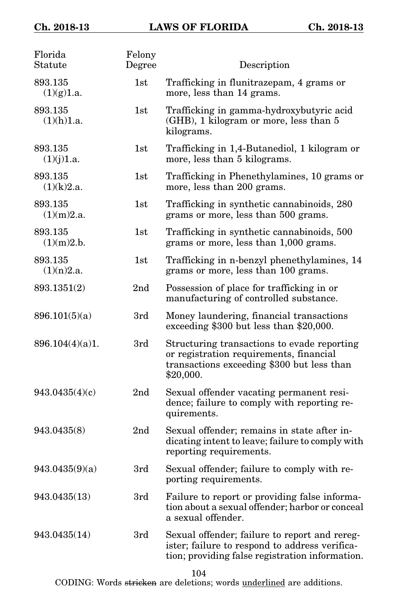| Florida<br>Statute    | Felony<br>Degree | Description                                                                                                                                        |
|-----------------------|------------------|----------------------------------------------------------------------------------------------------------------------------------------------------|
| 893.135<br>(1)(g)1.a. | 1st              | Trafficking in flunitrazepam, 4 grams or<br>more, less than 14 grams.                                                                              |
| 893.135<br>(1)(h)1.a. | 1st              | Trafficking in gamma-hydroxybutyric acid<br>(GHB), 1 kilogram or more, less than 5<br>kilograms.                                                   |
| 893.135<br>(1)(j)1.a. | 1st              | Trafficking in 1,4-Butanediol, 1 kilogram or<br>more, less than 5 kilograms.                                                                       |
| 893.135<br>(1)(k)2.a. | 1st              | Trafficking in Phenethylamines, 10 grams or<br>more, less than 200 grams.                                                                          |
| 893.135<br>(1)(m)2.a. | 1st              | Trafficking in synthetic cannabinoids, 280<br>grams or more, less than 500 grams.                                                                  |
| 893.135<br>(1)(m)2.b. | 1st              | Trafficking in synthetic cannabinoids, 500<br>grams or more, less than 1,000 grams.                                                                |
| 893.135<br>(1)(n)2.a. | 1st              | Trafficking in n-benzyl phenethylamines, 14<br>grams or more, less than 100 grams.                                                                 |
| 893.1351(2)           | 2 <sub>nd</sub>  | Possession of place for trafficking in or<br>manufacturing of controlled substance.                                                                |
| 896.101(5)(a)         | 3rd              | Money laundering, financial transactions<br>exceeding \$300 but less than \$20,000.                                                                |
| 896.104(4)(a)1.       | 3rd              | Structuring transactions to evade reporting<br>or registration requirements, financial<br>transactions exceeding \$300 but less than<br>\$20,000.  |
| 943.0435(4)(c)        | 2 <sub>nd</sub>  | Sexual offender vacating permanent resi-<br>dence; failure to comply with reporting re-<br>quirements.                                             |
| 943.0435(8)           | 2 <sub>nd</sub>  | Sexual offender; remains in state after in-<br>dicating intent to leave; failure to comply with<br>reporting requirements.                         |
| 943.0435(9)(a)        | 3rd              | Sexual offender; failure to comply with re-<br>porting requirements.                                                                               |
| 943.0435(13)          | 3rd              | Failure to report or providing false informa-<br>tion about a sexual offender; harbor or conceal<br>a sexual offender.                             |
| 943.0435(14)          | 3rd              | Sexual offender; failure to report and rereg-<br>ister; failure to respond to address verifica-<br>tion; providing false registration information. |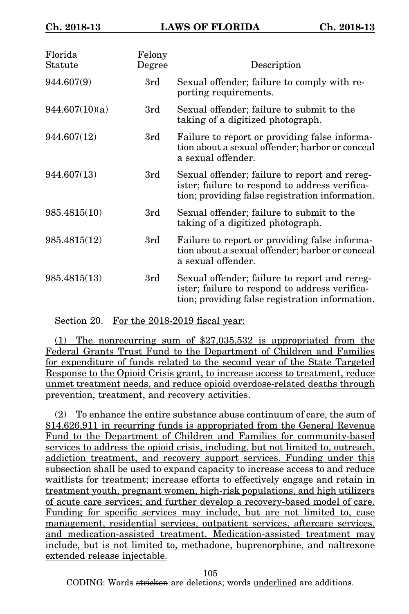|                | 3rd |                                                                                                                                                    |
|----------------|-----|----------------------------------------------------------------------------------------------------------------------------------------------------|
| 944.607(9)     |     | Sexual offender; failure to comply with re-<br>porting requirements.                                                                               |
| 944.607(10)(a) | 3rd | Sexual offender; failure to submit to the<br>taking of a digitized photograph.                                                                     |
| 944.607(12)    | 3rd | Failure to report or providing false informa-<br>tion about a sexual offender; harbor or conceal<br>a sexual offender.                             |
| 944.607(13)    | 3rd | Sexual offender; failure to report and rereg-<br>ister; failure to respond to address verifica-<br>tion; providing false registration information. |
| 985.4815(10)   | 3rd | Sexual offender; failure to submit to the<br>taking of a digitized photograph.                                                                     |
| 985.4815(12)   | 3rd | Failure to report or providing false informa-<br>tion about a sexual offender; harbor or conceal<br>a sexual offender.                             |
| 985.4815(13)   | 3rd | Sexual offender; failure to report and rereg-<br>ister; failure to respond to address verifica-<br>tion; providing false registration information. |

Section 20. For the 2018-2019 fiscal year:

(1) The nonrecurring sum of \$27,035,532 is appropriated from the Federal Grants Trust Fund to the Department of Children and Families for expenditure of funds related to the second year of the State Targeted Response to the Opioid Crisis grant, to increase access to treatment, reduce unmet treatment needs, and reduce opioid overdose-related deaths through prevention, treatment, and recovery activities.

(2) To enhance the entire substance abuse continuum of care, the sum of \$14,626,911 in recurring funds is appropriated from the General Revenue Fund to the Department of Children and Families for community-based services to address the opioid crisis, including, but not limited to, outreach, addiction treatment, and recovery support services. Funding under this subsection shall be used to expand capacity to increase access to and reduce waitlists for treatment; increase efforts to effectively engage and retain in treatment youth, pregnant women, high-risk populations, and high utilizers of acute care services; and further develop a recovery-based model of care. Funding for specific services may include, but are not limited to, case management, residential services, outpatient services, aftercare services, and medication-assisted treatment. Medication-assisted treatment may include, but is not limited to, methadone, buprenorphine, and naltrexone extended release injectable.

105